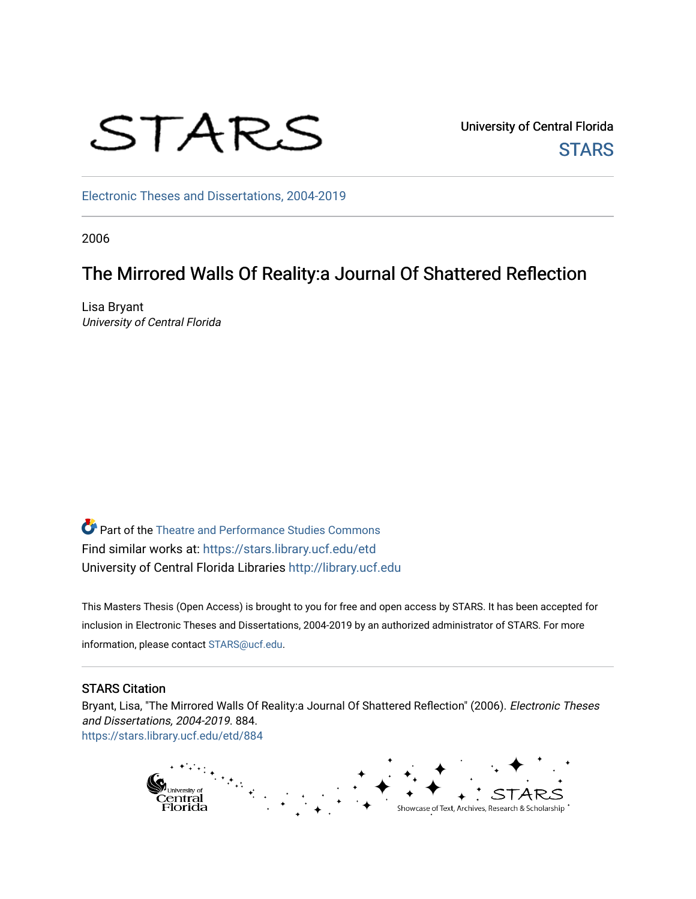

University of Central Florida **STARS** 

[Electronic Theses and Dissertations, 2004-2019](https://stars.library.ucf.edu/etd) 

2006

# The Mirrored Walls Of Reality:a Journal Of Shattered Reflection

Lisa Bryant University of Central Florida

Part of the [Theatre and Performance Studies Commons](http://network.bepress.com/hgg/discipline/552?utm_source=stars.library.ucf.edu%2Fetd%2F884&utm_medium=PDF&utm_campaign=PDFCoverPages)  Find similar works at: <https://stars.library.ucf.edu/etd> University of Central Florida Libraries [http://library.ucf.edu](http://library.ucf.edu/) 

This Masters Thesis (Open Access) is brought to you for free and open access by STARS. It has been accepted for inclusion in Electronic Theses and Dissertations, 2004-2019 by an authorized administrator of STARS. For more information, please contact [STARS@ucf.edu.](mailto:STARS@ucf.edu)

#### STARS Citation

Bryant, Lisa, "The Mirrored Walls Of Reality:a Journal Of Shattered Reflection" (2006). Electronic Theses and Dissertations, 2004-2019. 884. [https://stars.library.ucf.edu/etd/884](https://stars.library.ucf.edu/etd/884?utm_source=stars.library.ucf.edu%2Fetd%2F884&utm_medium=PDF&utm_campaign=PDFCoverPages)

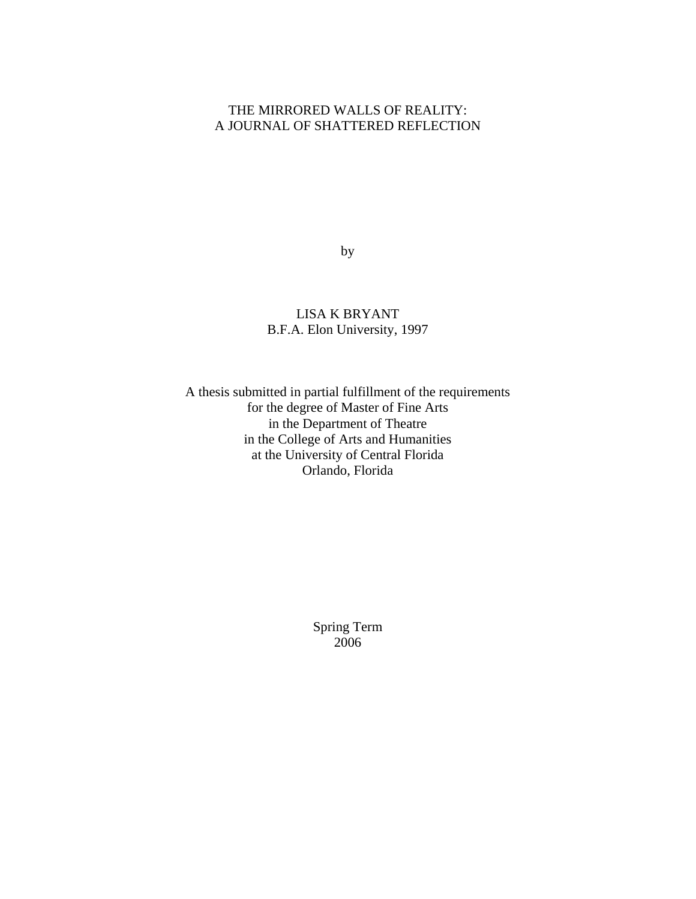# THE MIRRORED WALLS OF REALITY: A JOURNAL OF SHATTERED REFLECTION

by

LISA K BRYANT B.F.A. Elon University, 1997

A thesis submitted in partial fulfillment of the requirements for the degree of Master of Fine Arts in the Department of Theatre in the College of Arts and Humanities at the University of Central Florida Orlando, Florida

> Spring Term 2006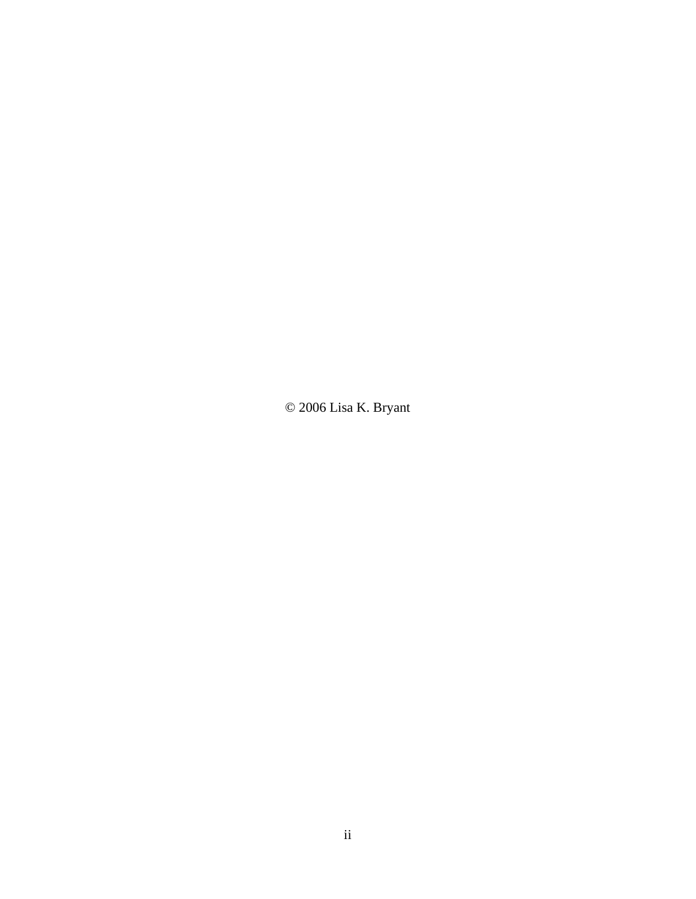© 2006 Lisa K. Bryant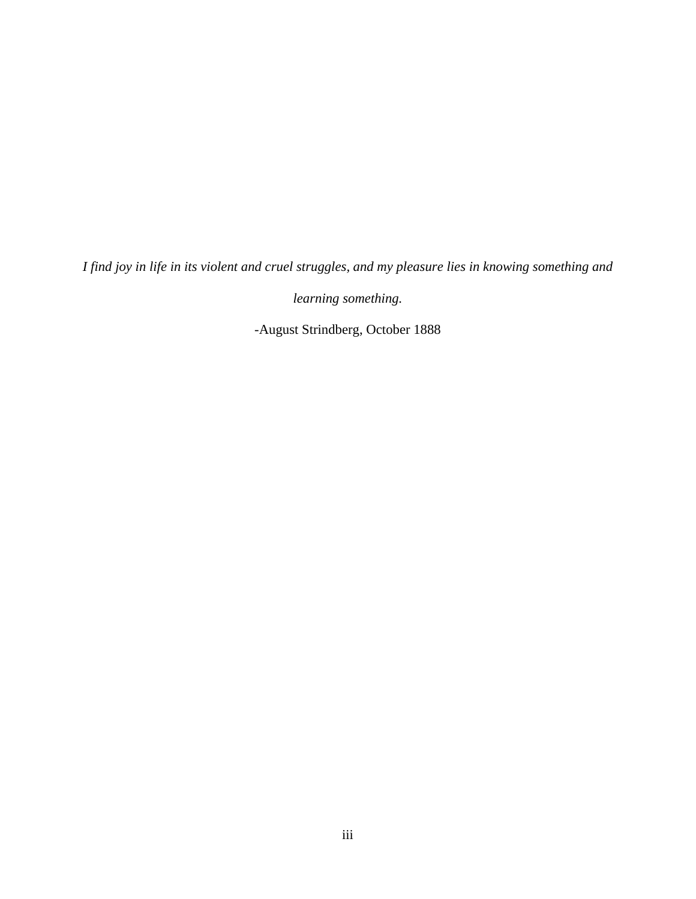*I find joy in life in its violent and cruel struggles, and my pleasure lies in knowing something and* 

*learning something.* 

-August Strindberg, October 1888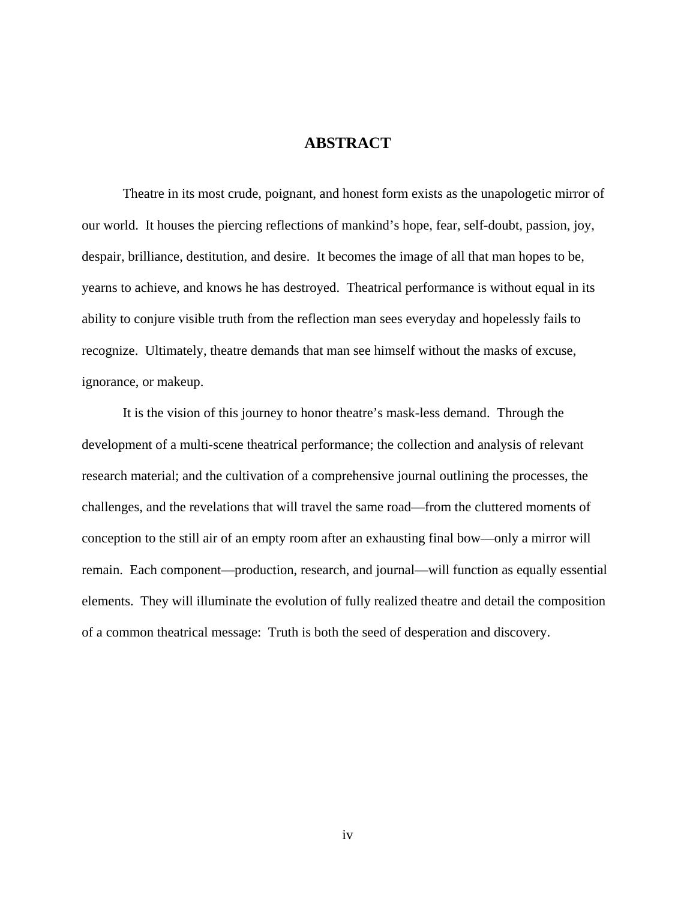## **ABSTRACT**

 Theatre in its most crude, poignant, and honest form exists as the unapologetic mirror of our world. It houses the piercing reflections of mankind's hope, fear, self-doubt, passion, joy, despair, brilliance, destitution, and desire. It becomes the image of all that man hopes to be, yearns to achieve, and knows he has destroyed. Theatrical performance is without equal in its ability to conjure visible truth from the reflection man sees everyday and hopelessly fails to recognize. Ultimately, theatre demands that man see himself without the masks of excuse, ignorance, or makeup.

 It is the vision of this journey to honor theatre's mask-less demand. Through the development of a multi-scene theatrical performance; the collection and analysis of relevant research material; and the cultivation of a comprehensive journal outlining the processes, the challenges, and the revelations that will travel the same road—from the cluttered moments of conception to the still air of an empty room after an exhausting final bow—only a mirror will remain. Each component—production, research, and journal—will function as equally essential elements. They will illuminate the evolution of fully realized theatre and detail the composition of a common theatrical message: Truth is both the seed of desperation and discovery.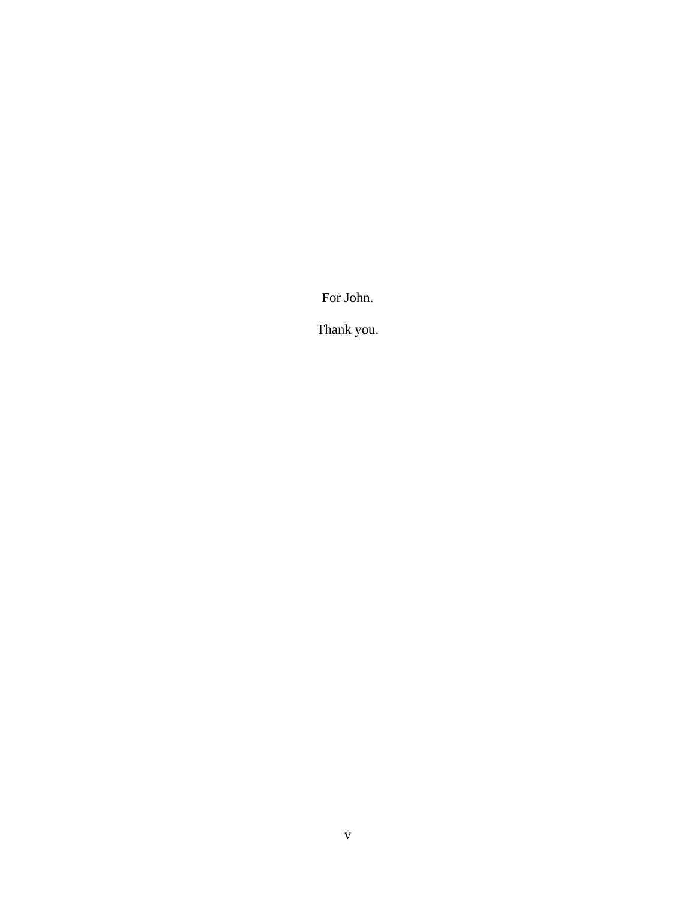For John.

Thank you.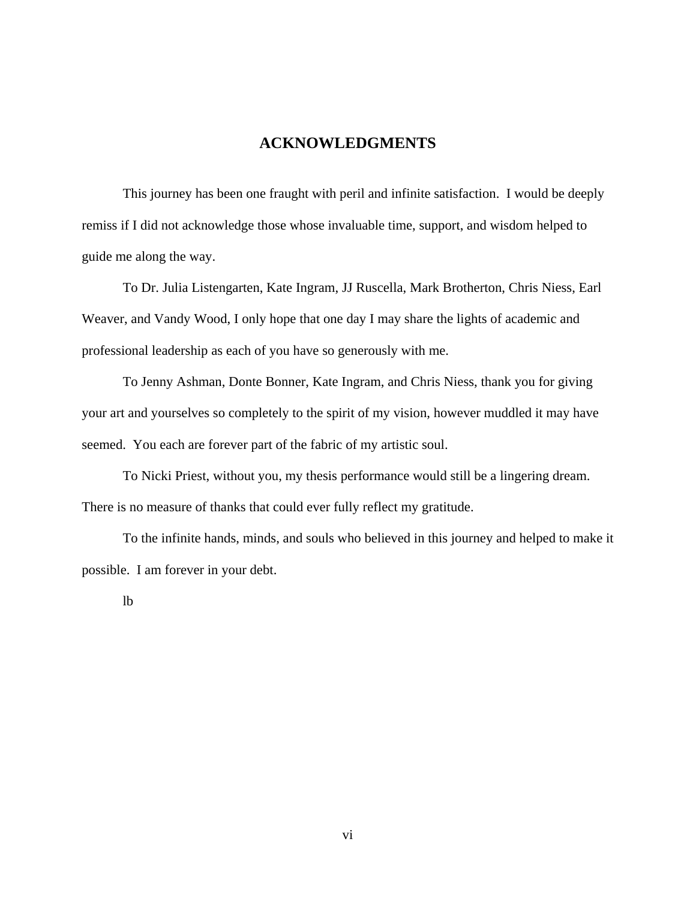# **ACKNOWLEDGMENTS**

This journey has been one fraught with peril and infinite satisfaction. I would be deeply remiss if I did not acknowledge those whose invaluable time, support, and wisdom helped to guide me along the way.

To Dr. Julia Listengarten, Kate Ingram, JJ Ruscella, Mark Brotherton, Chris Niess, Earl Weaver, and Vandy Wood, I only hope that one day I may share the lights of academic and professional leadership as each of you have so generously with me.

To Jenny Ashman, Donte Bonner, Kate Ingram, and Chris Niess, thank you for giving your art and yourselves so completely to the spirit of my vision, however muddled it may have seemed. You each are forever part of the fabric of my artistic soul.

To Nicki Priest, without you, my thesis performance would still be a lingering dream. There is no measure of thanks that could ever fully reflect my gratitude.

To the infinite hands, minds, and souls who believed in this journey and helped to make it possible. I am forever in your debt.

lb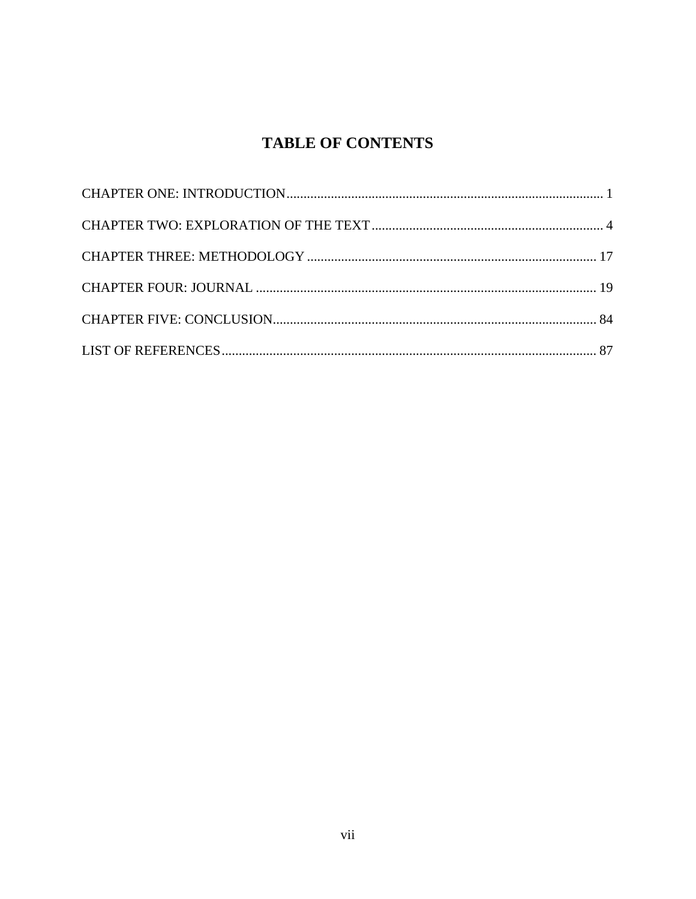# **TABLE OF CONTENTS**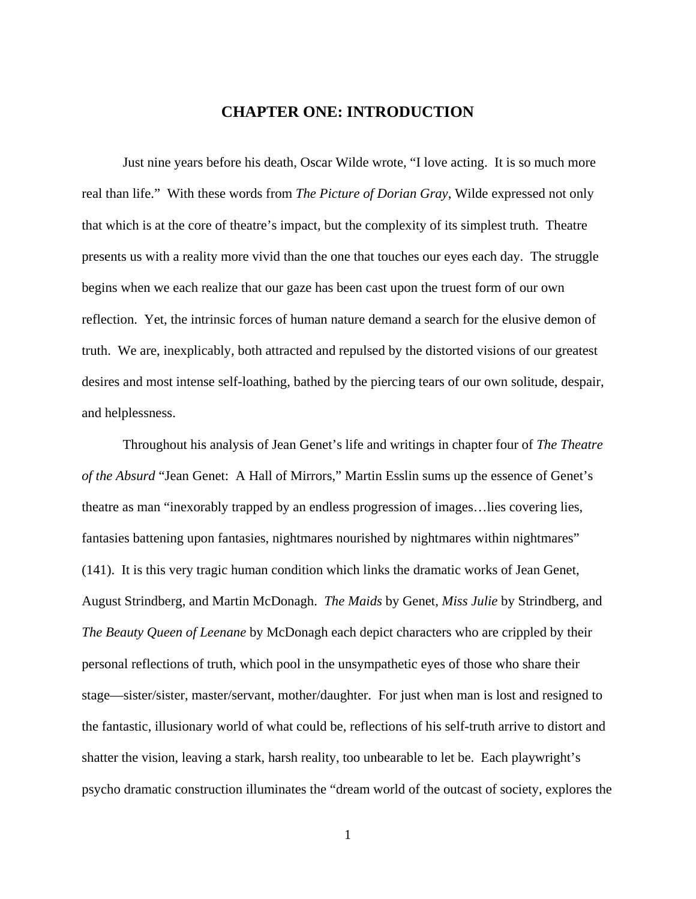## **CHAPTER ONE: INTRODUCTION**

<span id="page-8-0"></span>Just nine years before his death, Oscar Wilde wrote, "I love acting. It is so much more real than life." With these words from *The Picture of Dorian Gray*, Wilde expressed not only that which is at the core of theatre's impact, but the complexity of its simplest truth. Theatre presents us with a reality more vivid than the one that touches our eyes each day. The struggle begins when we each realize that our gaze has been cast upon the truest form of our own reflection. Yet, the intrinsic forces of human nature demand a search for the elusive demon of truth. We are, inexplicably, both attracted and repulsed by the distorted visions of our greatest desires and most intense self-loathing, bathed by the piercing tears of our own solitude, despair, and helplessness.

Throughout his analysis of Jean Genet's life and writings in chapter four of *The Theatre of the Absurd* "Jean Genet: A Hall of Mirrors," Martin Esslin sums up the essence of Genet's theatre as man "inexorably trapped by an endless progression of images…lies covering lies, fantasies battening upon fantasies, nightmares nourished by nightmares within nightmares" (141). It is this very tragic human condition which links the dramatic works of Jean Genet, August Strindberg, and Martin McDonagh. *The Maids* by Genet, *Miss Julie* by Strindberg, and *The Beauty Queen of Leenane* by McDonagh each depict characters who are crippled by their personal reflections of truth, which pool in the unsympathetic eyes of those who share their stage—sister/sister, master/servant, mother/daughter. For just when man is lost and resigned to the fantastic, illusionary world of what could be, reflections of his self-truth arrive to distort and shatter the vision, leaving a stark, harsh reality, too unbearable to let be. Each playwright's psycho dramatic construction illuminates the "dream world of the outcast of society, explores the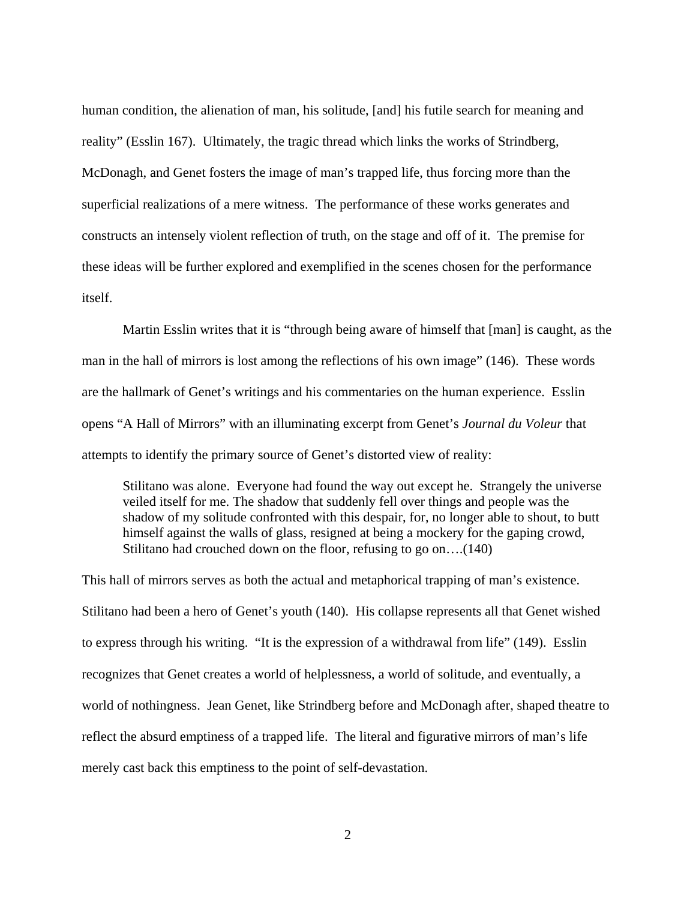human condition, the alienation of man, his solitude, [and] his futile search for meaning and reality" (Esslin 167). Ultimately, the tragic thread which links the works of Strindberg, McDonagh, and Genet fosters the image of man's trapped life, thus forcing more than the superficial realizations of a mere witness. The performance of these works generates and constructs an intensely violent reflection of truth, on the stage and off of it. The premise for these ideas will be further explored and exemplified in the scenes chosen for the performance itself.

 Martin Esslin writes that it is "through being aware of himself that [man] is caught, as the man in the hall of mirrors is lost among the reflections of his own image" (146). These words are the hallmark of Genet's writings and his commentaries on the human experience. Esslin opens "A Hall of Mirrors" with an illuminating excerpt from Genet's *Journal du Voleur* that attempts to identify the primary source of Genet's distorted view of reality:

Stilitano was alone. Everyone had found the way out except he. Strangely the universe veiled itself for me. The shadow that suddenly fell over things and people was the shadow of my solitude confronted with this despair, for, no longer able to shout, to butt himself against the walls of glass, resigned at being a mockery for the gaping crowd, Stilitano had crouched down on the floor, refusing to go on….(140)

This hall of mirrors serves as both the actual and metaphorical trapping of man's existence. Stilitano had been a hero of Genet's youth (140). His collapse represents all that Genet wished to express through his writing. "It is the expression of a withdrawal from life" (149). Esslin recognizes that Genet creates a world of helplessness, a world of solitude, and eventually, a world of nothingness. Jean Genet, like Strindberg before and McDonagh after, shaped theatre to reflect the absurd emptiness of a trapped life. The literal and figurative mirrors of man's life merely cast back this emptiness to the point of self-devastation.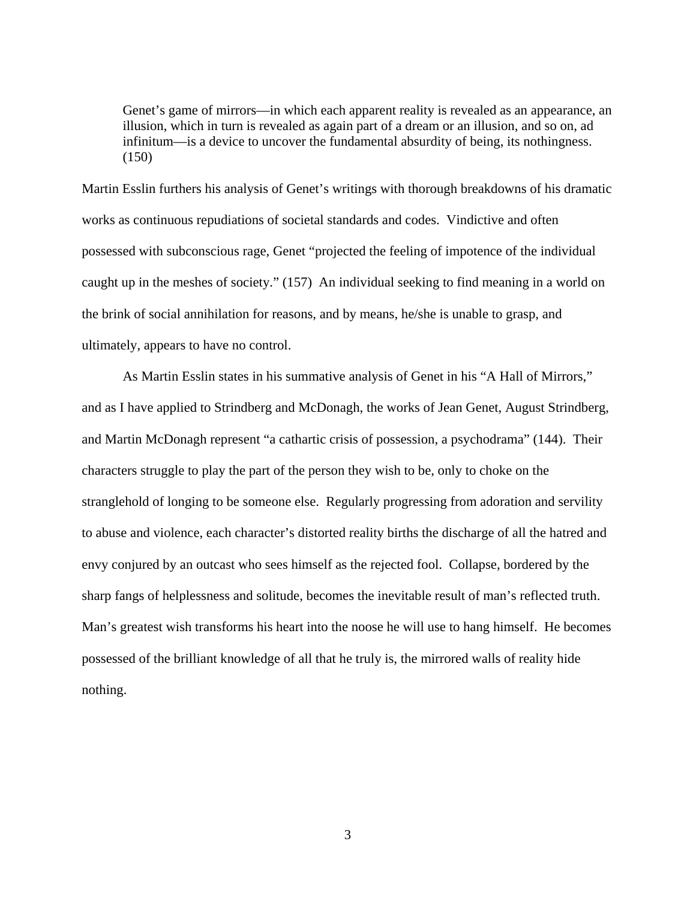Genet's game of mirrors—in which each apparent reality is revealed as an appearance, an illusion, which in turn is revealed as again part of a dream or an illusion, and so on, ad infinitum—is a device to uncover the fundamental absurdity of being, its nothingness. (150)

Martin Esslin furthers his analysis of Genet's writings with thorough breakdowns of his dramatic works as continuous repudiations of societal standards and codes. Vindictive and often possessed with subconscious rage, Genet "projected the feeling of impotence of the individual caught up in the meshes of society." (157) An individual seeking to find meaning in a world on the brink of social annihilation for reasons, and by means, he/she is unable to grasp, and ultimately, appears to have no control.

As Martin Esslin states in his summative analysis of Genet in his "A Hall of Mirrors," and as I have applied to Strindberg and McDonagh, the works of Jean Genet, August Strindberg, and Martin McDonagh represent "a cathartic crisis of possession, a psychodrama" (144). Their characters struggle to play the part of the person they wish to be, only to choke on the stranglehold of longing to be someone else. Regularly progressing from adoration and servility to abuse and violence, each character's distorted reality births the discharge of all the hatred and envy conjured by an outcast who sees himself as the rejected fool. Collapse, bordered by the sharp fangs of helplessness and solitude, becomes the inevitable result of man's reflected truth. Man's greatest wish transforms his heart into the noose he will use to hang himself. He becomes possessed of the brilliant knowledge of all that he truly is, the mirrored walls of reality hide nothing.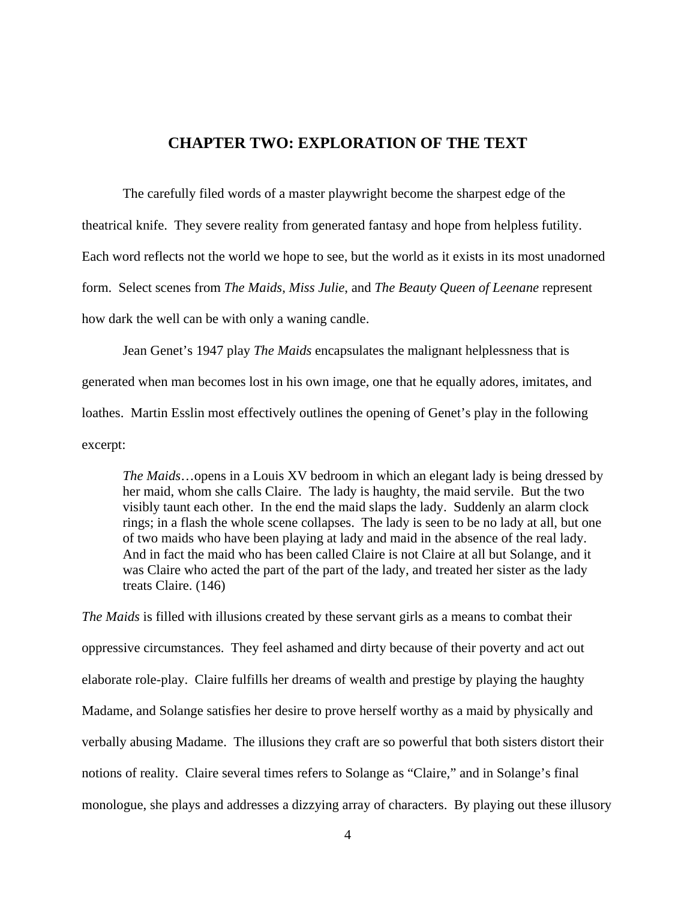## **CHAPTER TWO: EXPLORATION OF THE TEXT**

<span id="page-11-0"></span>The carefully filed words of a master playwright become the sharpest edge of the theatrical knife. They severe reality from generated fantasy and hope from helpless futility. Each word reflects not the world we hope to see, but the world as it exists in its most unadorned form. Select scenes from *The Maids*, *Miss Julie*, and *The Beauty Queen of Leenane* represent how dark the well can be with only a waning candle.

Jean Genet's 1947 play *The Maids* encapsulates the malignant helplessness that is generated when man becomes lost in his own image, one that he equally adores, imitates, and loathes. Martin Esslin most effectively outlines the opening of Genet's play in the following excerpt:

*The Maids*…opens in a Louis XV bedroom in which an elegant lady is being dressed by her maid, whom she calls Claire. The lady is haughty, the maid servile. But the two visibly taunt each other. In the end the maid slaps the lady. Suddenly an alarm clock rings; in a flash the whole scene collapses. The lady is seen to be no lady at all, but one of two maids who have been playing at lady and maid in the absence of the real lady. And in fact the maid who has been called Claire is not Claire at all but Solange, and it was Claire who acted the part of the part of the lady, and treated her sister as the lady treats Claire. (146)

*The Maids* is filled with illusions created by these servant girls as a means to combat their oppressive circumstances. They feel ashamed and dirty because of their poverty and act out elaborate role-play. Claire fulfills her dreams of wealth and prestige by playing the haughty Madame, and Solange satisfies her desire to prove herself worthy as a maid by physically and verbally abusing Madame. The illusions they craft are so powerful that both sisters distort their notions of reality. Claire several times refers to Solange as "Claire," and in Solange's final monologue, she plays and addresses a dizzying array of characters. By playing out these illusory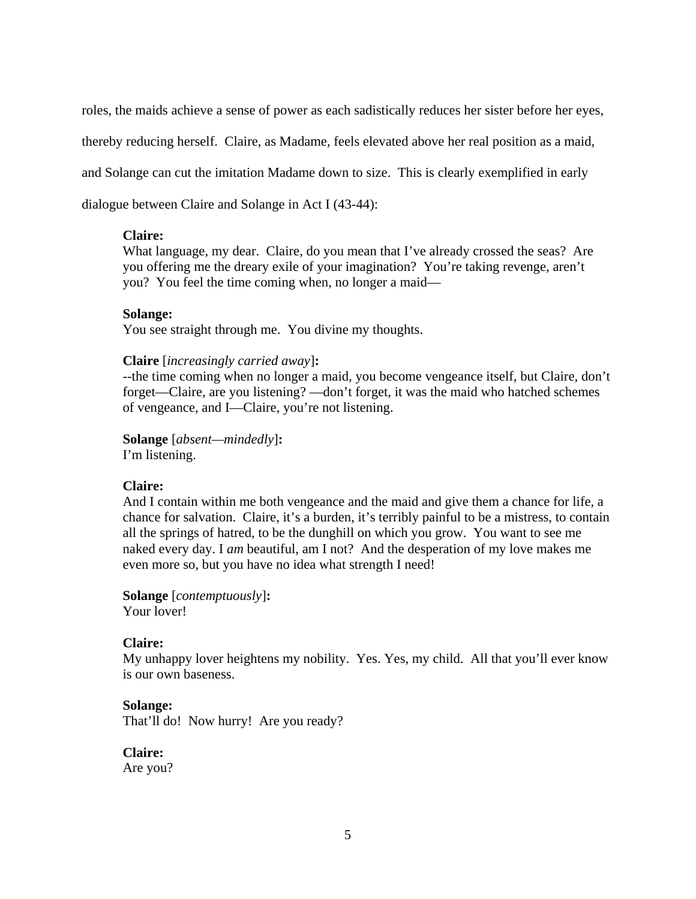roles, the maids achieve a sense of power as each sadistically reduces her sister before her eyes,

thereby reducing herself. Claire, as Madame, feels elevated above her real position as a maid,

and Solange can cut the imitation Madame down to size. This is clearly exemplified in early

dialogue between Claire and Solange in Act I (43-44):

#### **Claire:**

What language, my dear. Claire, do you mean that I've already crossed the seas? Are you offering me the dreary exile of your imagination? You're taking revenge, aren't you? You feel the time coming when, no longer a maid—

## **Solange:**

You see straight through me. You divine my thoughts.

## **Claire** [*increasingly carried away*]**:**

--the time coming when no longer a maid, you become vengeance itself, but Claire, don't forget—Claire, are you listening? —don't forget, it was the maid who hatched schemes of vengeance, and I—Claire, you're not listening.

**Solange** [*absent—mindedly*]**:**

I'm listening.

## **Claire:**

And I contain within me both vengeance and the maid and give them a chance for life, a chance for salvation. Claire, it's a burden, it's terribly painful to be a mistress, to contain all the springs of hatred, to be the dunghill on which you grow. You want to see me naked every day. I *am* beautiful, am I not? And the desperation of my love makes me even more so, but you have no idea what strength I need!

**Solange** [*contemptuously*]**:**  Your lover!

## **Claire:**

My unhappy lover heightens my nobility. Yes. Yes, my child. All that you'll ever know is our own baseness.

#### **Solange:**

That'll do! Now hurry! Are you ready?

## **Claire:**

Are you?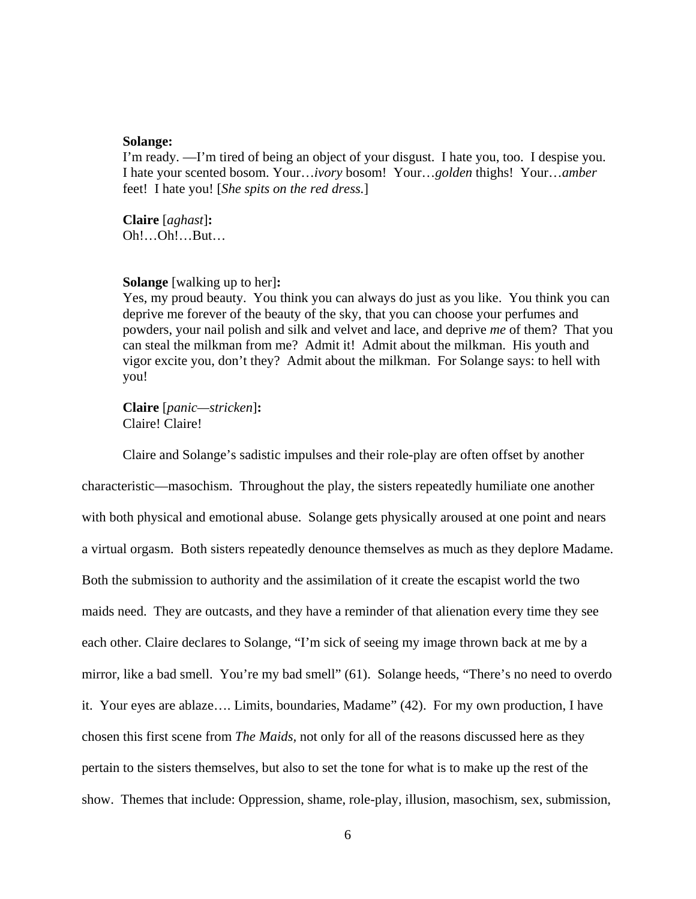#### **Solange:**

I'm ready. —I'm tired of being an object of your disgust. I hate you, too. I despise you. I hate your scented bosom. Your…*ivory* bosom! Your…*golden* thighs! Your…*amber* feet! I hate you! [*She spits on the red dress.*]

**Claire** [*aghast*]**:**  Oh!…Oh!…But…

#### **Solange** [walking up to her]**:**

Yes, my proud beauty. You think you can always do just as you like. You think you can deprive me forever of the beauty of the sky, that you can choose your perfumes and powders, your nail polish and silk and velvet and lace, and deprive *me* of them? That you can steal the milkman from me? Admit it! Admit about the milkman. His youth and vigor excite you, don't they? Admit about the milkman. For Solange says: to hell with you!

**Claire** [*panic—stricken*]**:**  Claire! Claire!

 Claire and Solange's sadistic impulses and their role-play are often offset by another characteristic—masochism. Throughout the play, the sisters repeatedly humiliate one another with both physical and emotional abuse. Solange gets physically aroused at one point and nears a virtual orgasm. Both sisters repeatedly denounce themselves as much as they deplore Madame. Both the submission to authority and the assimilation of it create the escapist world the two maids need. They are outcasts, and they have a reminder of that alienation every time they see each other. Claire declares to Solange, "I'm sick of seeing my image thrown back at me by a mirror, like a bad smell. You're my bad smell" (61). Solange heeds, "There's no need to overdo it. Your eyes are ablaze…. Limits, boundaries, Madame" (42). For my own production, I have chosen this first scene from *The Maids,* not only for all of the reasons discussed here as they pertain to the sisters themselves, but also to set the tone for what is to make up the rest of the show. Themes that include: Oppression, shame, role-play, illusion, masochism, sex, submission,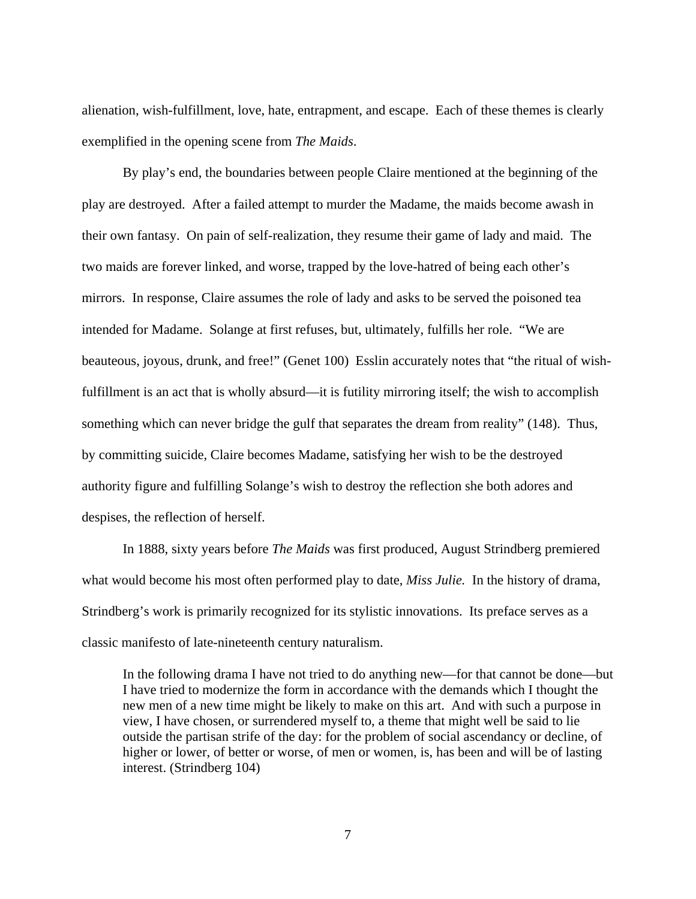alienation, wish-fulfillment, love, hate, entrapment, and escape. Each of these themes is clearly exemplified in the opening scene from *The Maids*.

By play's end, the boundaries between people Claire mentioned at the beginning of the play are destroyed. After a failed attempt to murder the Madame, the maids become awash in their own fantasy. On pain of self-realization, they resume their game of lady and maid. The two maids are forever linked, and worse, trapped by the love-hatred of being each other's mirrors. In response, Claire assumes the role of lady and asks to be served the poisoned tea intended for Madame. Solange at first refuses, but, ultimately, fulfills her role. "We are beauteous, joyous, drunk, and free!" (Genet 100) Esslin accurately notes that "the ritual of wishfulfillment is an act that is wholly absurd—it is futility mirroring itself; the wish to accomplish something which can never bridge the gulf that separates the dream from reality" (148). Thus, by committing suicide, Claire becomes Madame, satisfying her wish to be the destroyed authority figure and fulfilling Solange's wish to destroy the reflection she both adores and despises, the reflection of herself.

In 1888, sixty years before *The Maids* was first produced, August Strindberg premiered what would become his most often performed play to date, *Miss Julie.* In the history of drama, Strindberg's work is primarily recognized for its stylistic innovations. Its preface serves as a classic manifesto of late-nineteenth century naturalism.

In the following drama I have not tried to do anything new—for that cannot be done—but I have tried to modernize the form in accordance with the demands which I thought the new men of a new time might be likely to make on this art. And with such a purpose in view, I have chosen, or surrendered myself to, a theme that might well be said to lie outside the partisan strife of the day: for the problem of social ascendancy or decline, of higher or lower, of better or worse, of men or women, is, has been and will be of lasting interest. (Strindberg 104)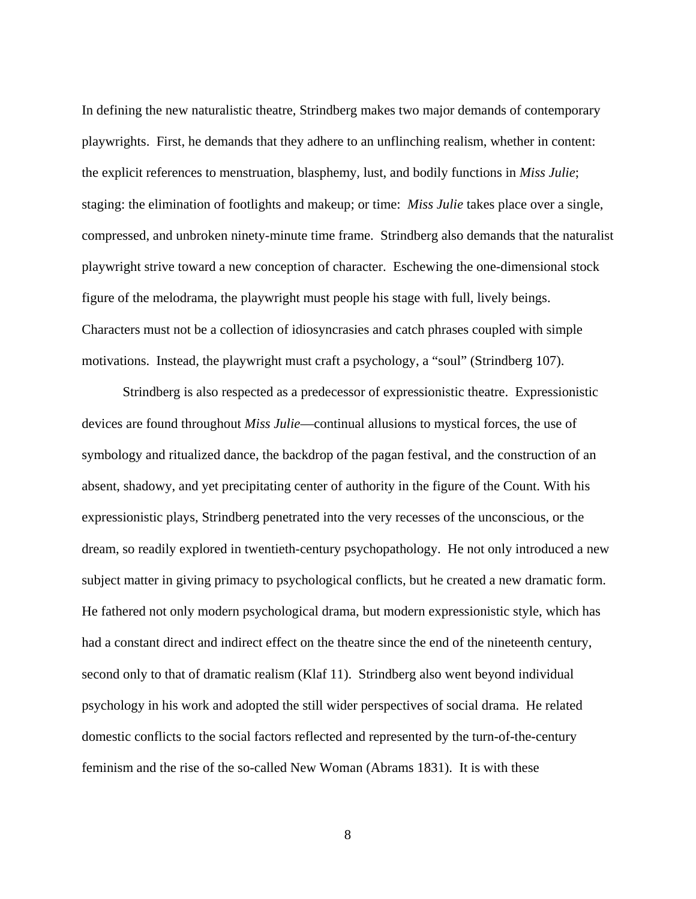In defining the new naturalistic theatre, Strindberg makes two major demands of contemporary playwrights. First, he demands that they adhere to an unflinching realism, whether in content: the explicit references to menstruation, blasphemy, lust, and bodily functions in *Miss Julie*; staging: the elimination of footlights and makeup; or time: *Miss Julie* takes place over a single, compressed, and unbroken ninety-minute time frame. Strindberg also demands that the naturalist playwright strive toward a new conception of character. Eschewing the one-dimensional stock figure of the melodrama, the playwright must people his stage with full, lively beings. Characters must not be a collection of idiosyncrasies and catch phrases coupled with simple motivations. Instead, the playwright must craft a psychology, a "soul" (Strindberg 107).

Strindberg is also respected as a predecessor of expressionistic theatre. Expressionistic devices are found throughout *Miss Julie*—continual allusions to mystical forces, the use of symbology and ritualized dance, the backdrop of the pagan festival, and the construction of an absent, shadowy, and yet precipitating center of authority in the figure of the Count. With his expressionistic plays, Strindberg penetrated into the very recesses of the unconscious, or the dream, so readily explored in twentieth-century psychopathology. He not only introduced a new subject matter in giving primacy to psychological conflicts, but he created a new dramatic form. He fathered not only modern psychological drama, but modern expressionistic style, which has had a constant direct and indirect effect on the theatre since the end of the nineteenth century, second only to that of dramatic realism (Klaf 11). Strindberg also went beyond individual psychology in his work and adopted the still wider perspectives of social drama. He related domestic conflicts to the social factors reflected and represented by the turn-of-the-century feminism and the rise of the so-called New Woman (Abrams 1831). It is with these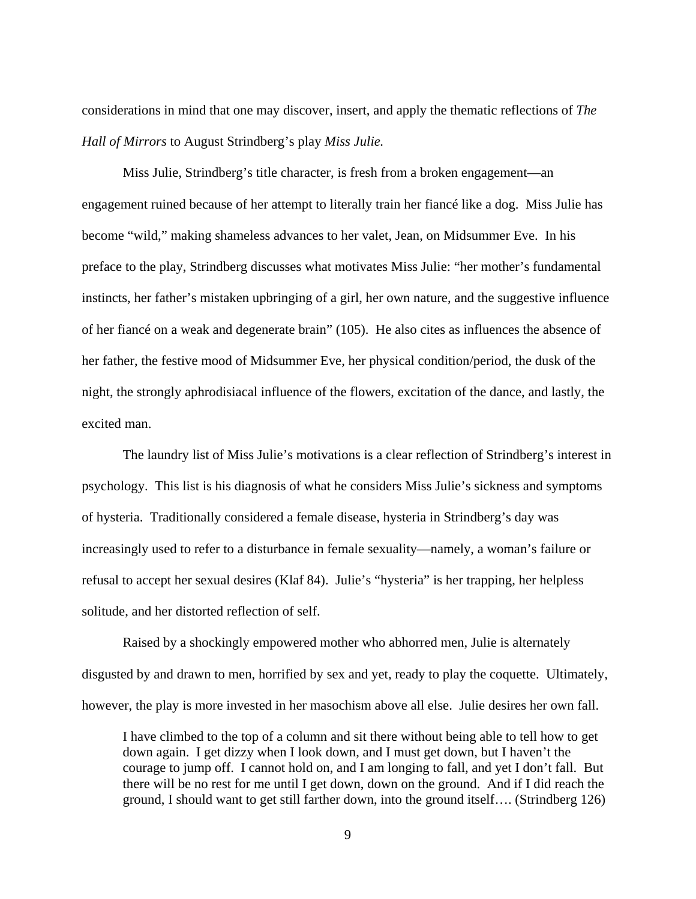considerations in mind that one may discover, insert, and apply the thematic reflections of *The Hall of Mirrors* to August Strindberg's play *Miss Julie.*

Miss Julie, Strindberg's title character, is fresh from a broken engagement—an engagement ruined because of her attempt to literally train her fiancé like a dog. Miss Julie has become "wild," making shameless advances to her valet, Jean, on Midsummer Eve. In his preface to the play, Strindberg discusses what motivates Miss Julie: "her mother's fundamental instincts, her father's mistaken upbringing of a girl, her own nature, and the suggestive influence of her fiancé on a weak and degenerate brain" (105). He also cites as influences the absence of her father, the festive mood of Midsummer Eve, her physical condition/period, the dusk of the night, the strongly aphrodisiacal influence of the flowers, excitation of the dance, and lastly, the excited man.

The laundry list of Miss Julie's motivations is a clear reflection of Strindberg's interest in psychology. This list is his diagnosis of what he considers Miss Julie's sickness and symptoms of hysteria. Traditionally considered a female disease, hysteria in Strindberg's day was increasingly used to refer to a disturbance in female sexuality—namely, a woman's failure or refusal to accept her sexual desires (Klaf 84). Julie's "hysteria" is her trapping, her helpless solitude, and her distorted reflection of self.

Raised by a shockingly empowered mother who abhorred men, Julie is alternately disgusted by and drawn to men, horrified by sex and yet, ready to play the coquette. Ultimately, however, the play is more invested in her masochism above all else. Julie desires her own fall.

I have climbed to the top of a column and sit there without being able to tell how to get down again. I get dizzy when I look down, and I must get down, but I haven't the courage to jump off. I cannot hold on, and I am longing to fall, and yet I don't fall. But there will be no rest for me until I get down, down on the ground. And if I did reach the ground, I should want to get still farther down, into the ground itself…. (Strindberg 126)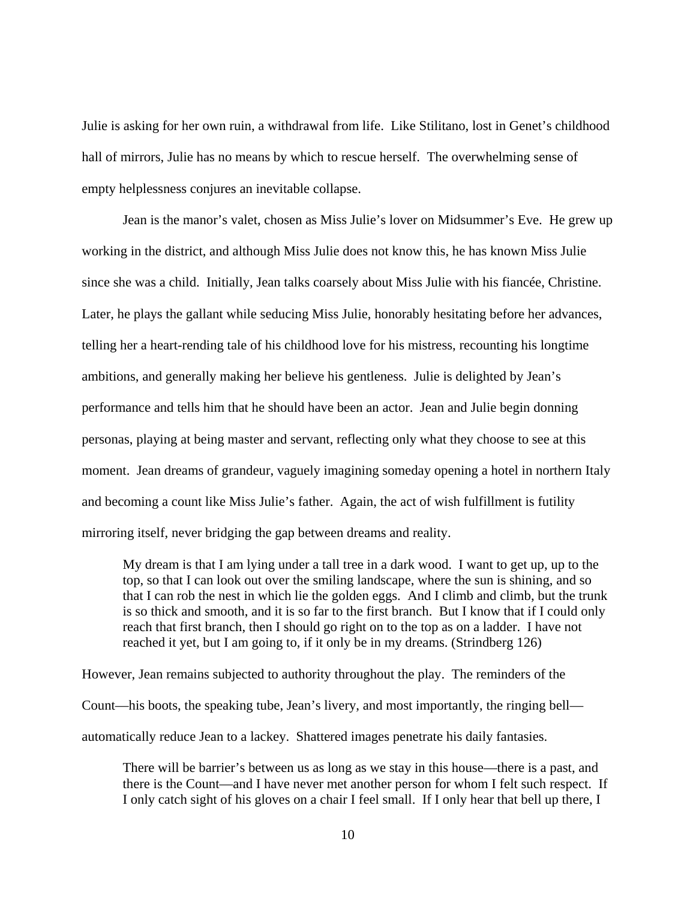Julie is asking for her own ruin, a withdrawal from life. Like Stilitano, lost in Genet's childhood hall of mirrors, Julie has no means by which to rescue herself. The overwhelming sense of empty helplessness conjures an inevitable collapse.

 Jean is the manor's valet, chosen as Miss Julie's lover on Midsummer's Eve. He grew up working in the district, and although Miss Julie does not know this, he has known Miss Julie since she was a child. Initially, Jean talks coarsely about Miss Julie with his fiancée, Christine. Later, he plays the gallant while seducing Miss Julie, honorably hesitating before her advances, telling her a heart-rending tale of his childhood love for his mistress, recounting his longtime ambitions, and generally making her believe his gentleness. Julie is delighted by Jean's performance and tells him that he should have been an actor. Jean and Julie begin donning personas, playing at being master and servant, reflecting only what they choose to see at this moment. Jean dreams of grandeur, vaguely imagining someday opening a hotel in northern Italy and becoming a count like Miss Julie's father. Again, the act of wish fulfillment is futility mirroring itself, never bridging the gap between dreams and reality.

My dream is that I am lying under a tall tree in a dark wood. I want to get up, up to the top, so that I can look out over the smiling landscape, where the sun is shining, and so that I can rob the nest in which lie the golden eggs. And I climb and climb, but the trunk is so thick and smooth, and it is so far to the first branch. But I know that if I could only reach that first branch, then I should go right on to the top as on a ladder. I have not reached it yet, but I am going to, if it only be in my dreams. (Strindberg 126)

However, Jean remains subjected to authority throughout the play. The reminders of the Count—his boots, the speaking tube, Jean's livery, and most importantly, the ringing bell automatically reduce Jean to a lackey. Shattered images penetrate his daily fantasies.

There will be barrier's between us as long as we stay in this house—there is a past, and there is the Count—and I have never met another person for whom I felt such respect. If I only catch sight of his gloves on a chair I feel small. If I only hear that bell up there, I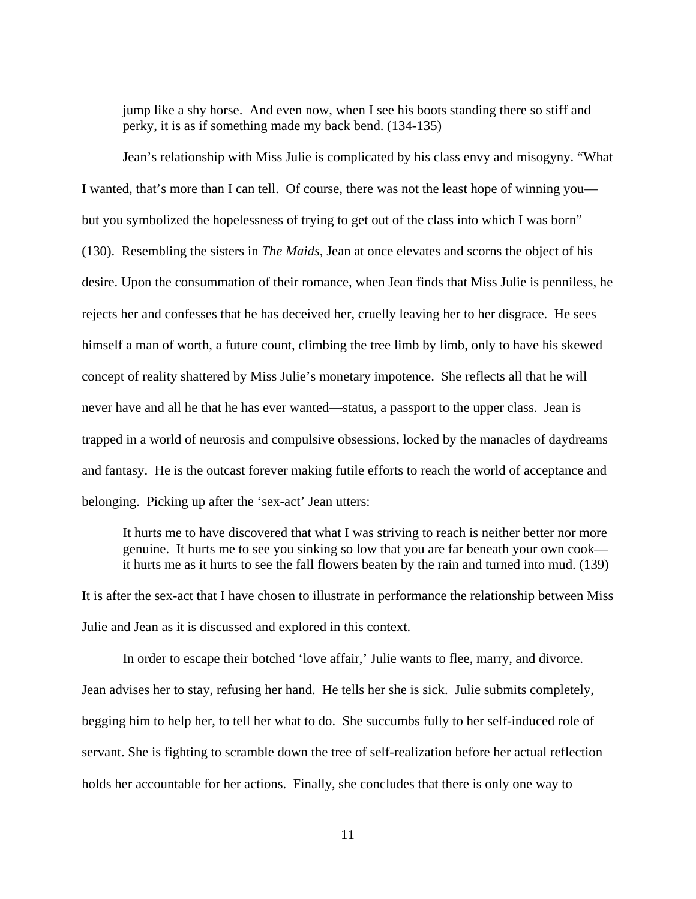jump like a shy horse. And even now, when I see his boots standing there so stiff and perky, it is as if something made my back bend. (134-135)

Jean's relationship with Miss Julie is complicated by his class envy and misogyny. "What I wanted, that's more than I can tell. Of course, there was not the least hope of winning you but you symbolized the hopelessness of trying to get out of the class into which I was born" (130). Resembling the sisters in *The Maids,* Jean at once elevates and scorns the object of his desire. Upon the consummation of their romance, when Jean finds that Miss Julie is penniless, he rejects her and confesses that he has deceived her, cruelly leaving her to her disgrace. He sees himself a man of worth, a future count, climbing the tree limb by limb, only to have his skewed concept of reality shattered by Miss Julie's monetary impotence. She reflects all that he will never have and all he that he has ever wanted—status, a passport to the upper class. Jean is trapped in a world of neurosis and compulsive obsessions, locked by the manacles of daydreams and fantasy. He is the outcast forever making futile efforts to reach the world of acceptance and belonging. Picking up after the 'sex-act' Jean utters:

It hurts me to have discovered that what I was striving to reach is neither better nor more genuine. It hurts me to see you sinking so low that you are far beneath your own cook it hurts me as it hurts to see the fall flowers beaten by the rain and turned into mud. (139)

It is after the sex-act that I have chosen to illustrate in performance the relationship between Miss Julie and Jean as it is discussed and explored in this context.

 In order to escape their botched 'love affair,' Julie wants to flee, marry, and divorce. Jean advises her to stay, refusing her hand. He tells her she is sick. Julie submits completely, begging him to help her, to tell her what to do. She succumbs fully to her self-induced role of servant. She is fighting to scramble down the tree of self-realization before her actual reflection holds her accountable for her actions. Finally, she concludes that there is only one way to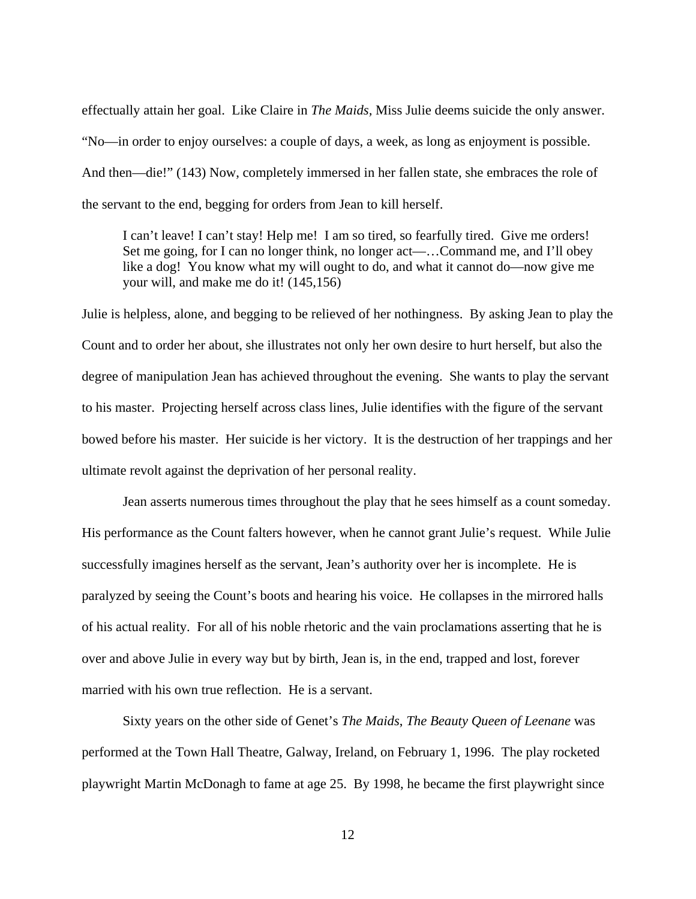effectually attain her goal. Like Claire in *The Maids,* Miss Julie deems suicide the only answer. "No—in order to enjoy ourselves: a couple of days, a week, as long as enjoyment is possible. And then—die!" (143) Now, completely immersed in her fallen state, she embraces the role of the servant to the end, begging for orders from Jean to kill herself.

I can't leave! I can't stay! Help me! I am so tired, so fearfully tired. Give me orders! Set me going, for I can no longer think, no longer act—…Command me, and I'll obey like a dog! You know what my will ought to do, and what it cannot do—now give me your will, and make me do it! (145,156)

Julie is helpless, alone, and begging to be relieved of her nothingness. By asking Jean to play the Count and to order her about, she illustrates not only her own desire to hurt herself, but also the degree of manipulation Jean has achieved throughout the evening. She wants to play the servant to his master. Projecting herself across class lines, Julie identifies with the figure of the servant bowed before his master. Her suicide is her victory. It is the destruction of her trappings and her ultimate revolt against the deprivation of her personal reality.

Jean asserts numerous times throughout the play that he sees himself as a count someday. His performance as the Count falters however, when he cannot grant Julie's request. While Julie successfully imagines herself as the servant, Jean's authority over her is incomplete. He is paralyzed by seeing the Count's boots and hearing his voice. He collapses in the mirrored halls of his actual reality. For all of his noble rhetoric and the vain proclamations asserting that he is over and above Julie in every way but by birth, Jean is, in the end, trapped and lost, forever married with his own true reflection. He is a servant.

Sixty years on the other side of Genet's *The Maids*, *The Beauty Queen of Leenane* was performed at the Town Hall Theatre, Galway, Ireland, on February 1, 1996. The play rocketed playwright Martin McDonagh to fame at age 25. By 1998, he became the first playwright since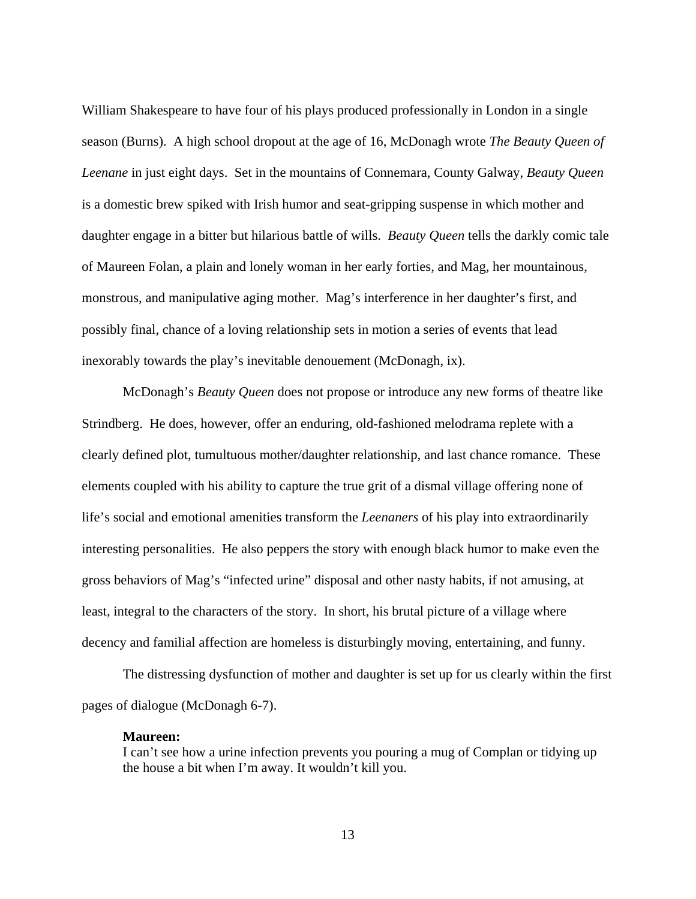William Shakespeare to have four of his plays produced professionally in London in a single season (Burns). A high school dropout at the age of 16, McDonagh wrote *The Beauty Queen of Leenane* in just eight days. Set in the mountains of Connemara, County Galway, *Beauty Queen* is a domestic brew spiked with Irish humor and seat-gripping suspense in which mother and daughter engage in a bitter but hilarious battle of wills. *Beauty Queen* tells the darkly comic tale of Maureen Folan, a plain and lonely woman in her early forties, and Mag, her mountainous, monstrous, and manipulative aging mother. Mag's interference in her daughter's first, and possibly final, chance of a loving relationship sets in motion a series of events that lead inexorably towards the play's inevitable denouement (McDonagh, ix).

McDonagh's *Beauty Queen* does not propose or introduce any new forms of theatre like Strindberg. He does, however, offer an enduring, old-fashioned melodrama replete with a clearly defined plot, tumultuous mother/daughter relationship, and last chance romance. These elements coupled with his ability to capture the true grit of a dismal village offering none of life's social and emotional amenities transform the *Leenaners* of his play into extraordinarily interesting personalities. He also peppers the story with enough black humor to make even the gross behaviors of Mag's "infected urine" disposal and other nasty habits, if not amusing, at least, integral to the characters of the story. In short, his brutal picture of a village where decency and familial affection are homeless is disturbingly moving, entertaining, and funny.

The distressing dysfunction of mother and daughter is set up for us clearly within the first pages of dialogue (McDonagh 6-7).

#### **Maureen:**

I can't see how a urine infection prevents you pouring a mug of Complan or tidying up the house a bit when I'm away. It wouldn't kill you.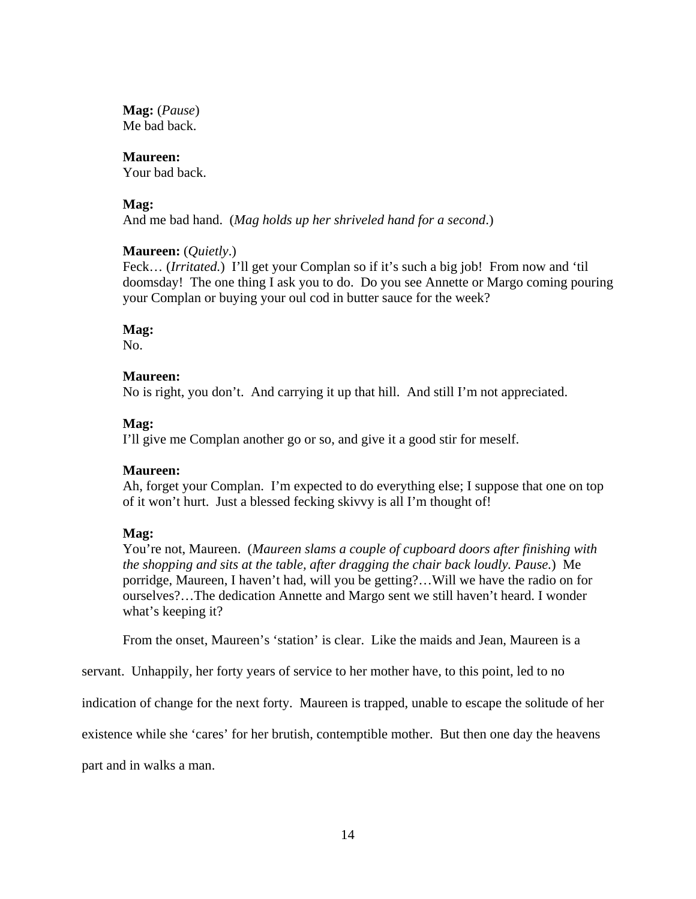**Mag:** (*Pause*) Me bad back.

#### **Maureen:**

Your bad back.

## **Mag:**

And me bad hand. (*Mag holds up her shriveled hand for a second*.)

## **Maureen:** (*Quietly*.)

Feck... (*Irritated.*) I'll get your Complan so if it's such a big job! From now and 'til doomsday! The one thing I ask you to do. Do you see Annette or Margo coming pouring your Complan or buying your oul cod in butter sauce for the week?

## **Mag:**

No.

## **Maureen:**

No is right, you don't. And carrying it up that hill. And still I'm not appreciated.

## **Mag:**

I'll give me Complan another go or so, and give it a good stir for meself.

## **Maureen:**

Ah, forget your Complan. I'm expected to do everything else; I suppose that one on top of it won't hurt. Just a blessed fecking skivvy is all I'm thought of!

## **Mag:**

You're not, Maureen. (*Maureen slams a couple of cupboard doors after finishing with the shopping and sits at the table, after dragging the chair back loudly. Pause.*) Me porridge, Maureen, I haven't had, will you be getting?…Will we have the radio on for ourselves?…The dedication Annette and Margo sent we still haven't heard. I wonder what's keeping it?

From the onset, Maureen's 'station' is clear. Like the maids and Jean, Maureen is a

servant. Unhappily, her forty years of service to her mother have, to this point, led to no

indication of change for the next forty. Maureen is trapped, unable to escape the solitude of her

existence while she 'cares' for her brutish, contemptible mother. But then one day the heavens

part and in walks a man.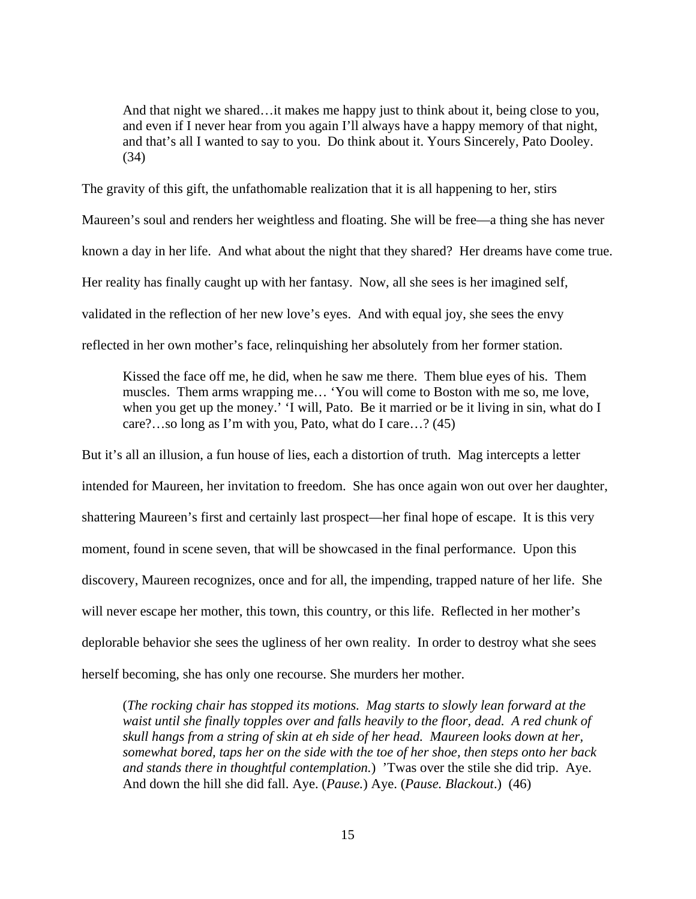And that night we shared…it makes me happy just to think about it, being close to you, and even if I never hear from you again I'll always have a happy memory of that night, and that's all I wanted to say to you. Do think about it. Yours Sincerely, Pato Dooley. (34)

The gravity of this gift, the unfathomable realization that it is all happening to her, stirs Maureen's soul and renders her weightless and floating. She will be free—a thing she has never known a day in her life. And what about the night that they shared? Her dreams have come true. Her reality has finally caught up with her fantasy. Now, all she sees is her imagined self, validated in the reflection of her new love's eyes. And with equal joy, she sees the envy reflected in her own mother's face, relinquishing her absolutely from her former station.

Kissed the face off me, he did, when he saw me there. Them blue eyes of his. Them muscles. Them arms wrapping me… 'You will come to Boston with me so, me love, when you get up the money.' 'I will, Pato. Be it married or be it living in sin, what do I care?…so long as I'm with you, Pato, what do I care…? (45)

But it's all an illusion, a fun house of lies, each a distortion of truth. Mag intercepts a letter intended for Maureen, her invitation to freedom. She has once again won out over her daughter, shattering Maureen's first and certainly last prospect—her final hope of escape. It is this very moment, found in scene seven, that will be showcased in the final performance. Upon this discovery, Maureen recognizes, once and for all, the impending, trapped nature of her life. She will never escape her mother, this town, this country, or this life. Reflected in her mother's deplorable behavior she sees the ugliness of her own reality. In order to destroy what she sees herself becoming, she has only one recourse. She murders her mother.

(*The rocking chair has stopped its motions. Mag starts to slowly lean forward at the*  waist until she finally topples over and falls heavily to the floor, dead. A red chunk of *skull hangs from a string of skin at eh side of her head. Maureen looks down at her, somewhat bored, taps her on the side with the toe of her shoe, then steps onto her back and stands there in thoughtful contemplation.*) 'Twas over the stile she did trip. Aye. And down the hill she did fall. Aye. (*Pause.*) Aye. (*Pause. Blackout*.) (46)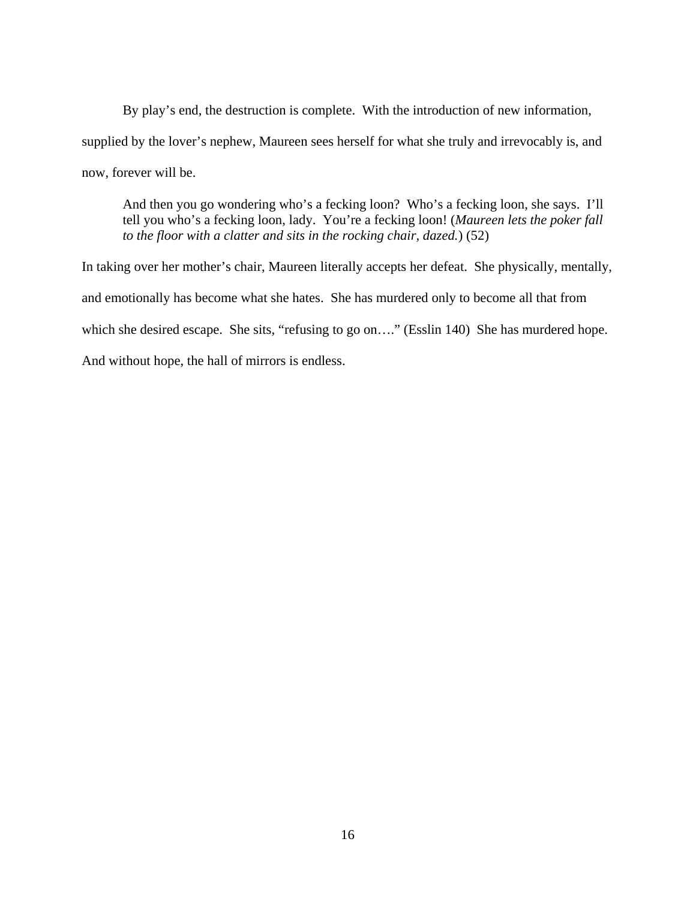By play's end, the destruction is complete. With the introduction of new information, supplied by the lover's nephew, Maureen sees herself for what she truly and irrevocably is, and now, forever will be.

And then you go wondering who's a fecking loon? Who's a fecking loon, she says. I'll tell you who's a fecking loon, lady. You're a fecking loon! (*Maureen lets the poker fall to the floor with a clatter and sits in the rocking chair, dazed.*) (52)

In taking over her mother's chair, Maureen literally accepts her defeat. She physically, mentally, and emotionally has become what she hates. She has murdered only to become all that from which she desired escape. She sits, "refusing to go on...." (Esslin 140) She has murdered hope. And without hope, the hall of mirrors is endless.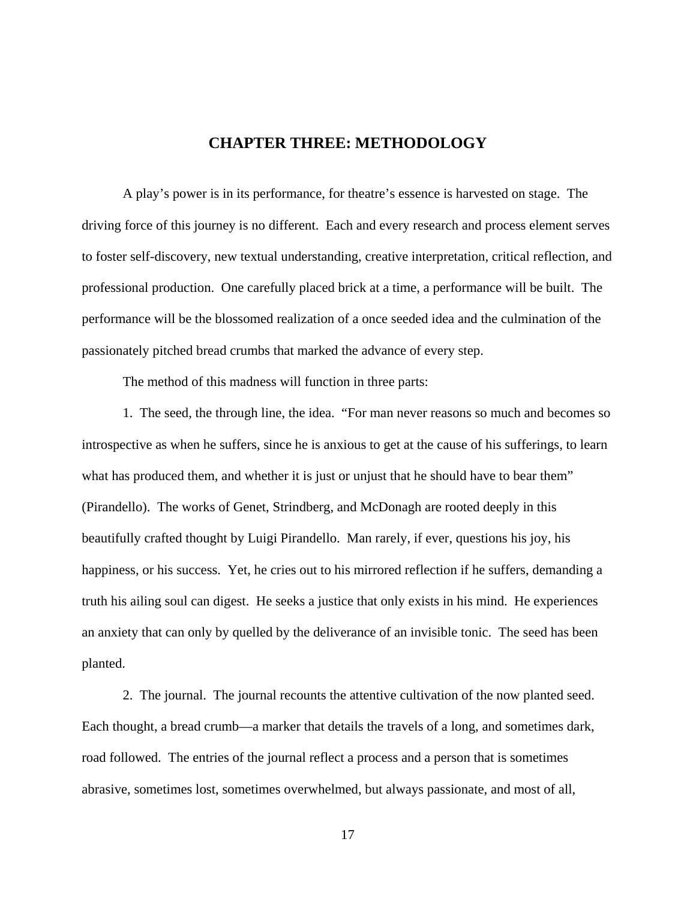## **CHAPTER THREE: METHODOLOGY**

<span id="page-24-0"></span> A play's power is in its performance, for theatre's essence is harvested on stage. The driving force of this journey is no different. Each and every research and process element serves to foster self-discovery, new textual understanding, creative interpretation, critical reflection, and professional production. One carefully placed brick at a time, a performance will be built. The performance will be the blossomed realization of a once seeded idea and the culmination of the passionately pitched bread crumbs that marked the advance of every step.

The method of this madness will function in three parts:

 1. The seed, the through line, the idea. "For man never reasons so much and becomes so introspective as when he suffers, since he is anxious to get at the cause of his sufferings, to learn what has produced them, and whether it is just or unjust that he should have to bear them" (Pirandello). The works of Genet, Strindberg, and McDonagh are rooted deeply in this beautifully crafted thought by Luigi Pirandello. Man rarely, if ever, questions his joy, his happiness, or his success. Yet, he cries out to his mirrored reflection if he suffers, demanding a truth his ailing soul can digest. He seeks a justice that only exists in his mind. He experiences an anxiety that can only by quelled by the deliverance of an invisible tonic. The seed has been planted.

 2. The journal. The journal recounts the attentive cultivation of the now planted seed. Each thought, a bread crumb—a marker that details the travels of a long, and sometimes dark, road followed. The entries of the journal reflect a process and a person that is sometimes abrasive, sometimes lost, sometimes overwhelmed, but always passionate, and most of all,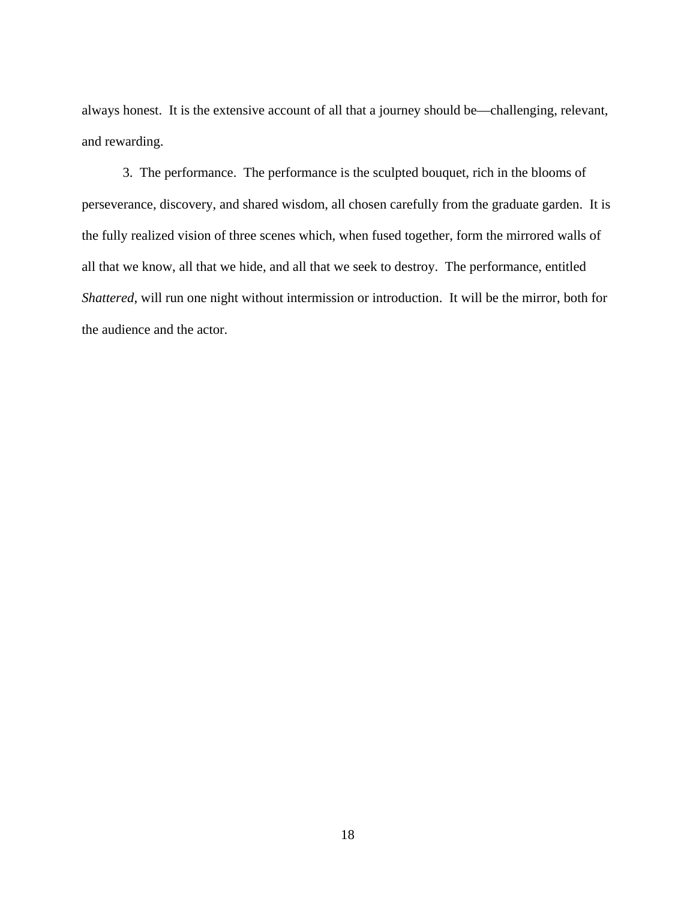always honest. It is the extensive account of all that a journey should be—challenging, relevant, and rewarding.

 3. The performance. The performance is the sculpted bouquet, rich in the blooms of perseverance, discovery, and shared wisdom, all chosen carefully from the graduate garden. It is the fully realized vision of three scenes which, when fused together, form the mirrored walls of all that we know, all that we hide, and all that we seek to destroy. The performance, entitled *Shattered*, will run one night without intermission or introduction. It will be the mirror, both for the audience and the actor.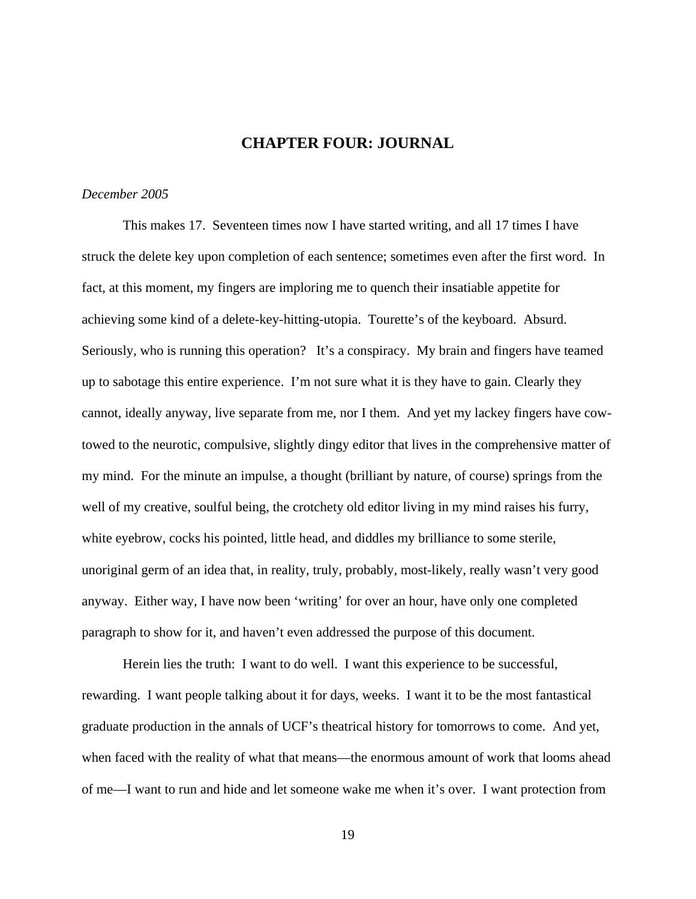## **CHAPTER FOUR: JOURNAL**

### <span id="page-26-0"></span>*December 2005*

This makes 17. Seventeen times now I have started writing, and all 17 times I have struck the delete key upon completion of each sentence; sometimes even after the first word. In fact, at this moment, my fingers are imploring me to quench their insatiable appetite for achieving some kind of a delete-key-hitting-utopia. Tourette's of the keyboard. Absurd. Seriously, who is running this operation? It's a conspiracy. My brain and fingers have teamed up to sabotage this entire experience. I'm not sure what it is they have to gain. Clearly they cannot, ideally anyway, live separate from me, nor I them. And yet my lackey fingers have cowtowed to the neurotic, compulsive, slightly dingy editor that lives in the comprehensive matter of my mind. For the minute an impulse, a thought (brilliant by nature, of course) springs from the well of my creative, soulful being, the crotchety old editor living in my mind raises his furry, white eyebrow, cocks his pointed, little head, and diddles my brilliance to some sterile, unoriginal germ of an idea that, in reality, truly, probably, most-likely, really wasn't very good anyway. Either way, I have now been 'writing' for over an hour, have only one completed paragraph to show for it, and haven't even addressed the purpose of this document.

Herein lies the truth: I want to do well. I want this experience to be successful, rewarding. I want people talking about it for days, weeks. I want it to be the most fantastical graduate production in the annals of UCF's theatrical history for tomorrows to come. And yet, when faced with the reality of what that means—the enormous amount of work that looms ahead of me—I want to run and hide and let someone wake me when it's over. I want protection from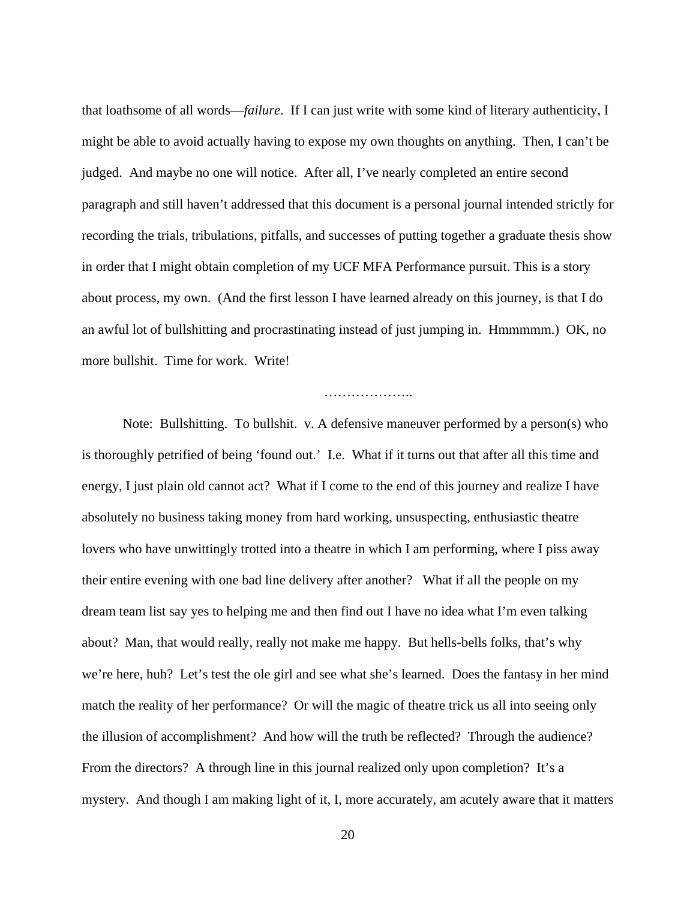that loathsome of all words—*failure*. If I can just write with some kind of literary authenticity, I might be able to avoid actually having to expose my own thoughts on anything. Then, I can't be judged. And maybe no one will notice. After all, I've nearly completed an entire second paragraph and still haven't addressed that this document is a personal journal intended strictly for recording the trials, tribulations, pitfalls, and successes of putting together a graduate thesis show in order that I might obtain completion of my UCF MFA Performance pursuit. This is a story about process, my own. (And the first lesson I have learned already on this journey, is that I do an awful lot of bullshitting and procrastinating instead of just jumping in. Hmmmmm.) OK, no more bullshit. Time for work. Write!

#### …………………………

Note: Bullshitting. To bullshit. v. A defensive maneuver performed by a person(s) who is thoroughly petrified of being 'found out.' I.e. What if it turns out that after all this time and energy, I just plain old cannot act? What if I come to the end of this journey and realize I have absolutely no business taking money from hard working, unsuspecting, enthusiastic theatre lovers who have unwittingly trotted into a theatre in which I am performing, where I piss away their entire evening with one bad line delivery after another? What if all the people on my dream team list say yes to helping me and then find out I have no idea what I'm even talking about? Man, that would really, really not make me happy. But hells-bells folks, that's why we're here, huh? Let's test the ole girl and see what she's learned. Does the fantasy in her mind match the reality of her performance? Or will the magic of theatre trick us all into seeing only the illusion of accomplishment? And how will the truth be reflected? Through the audience? From the directors? A through line in this journal realized only upon completion? It's a mystery. And though I am making light of it, I, more accurately, am acutely aware that it matters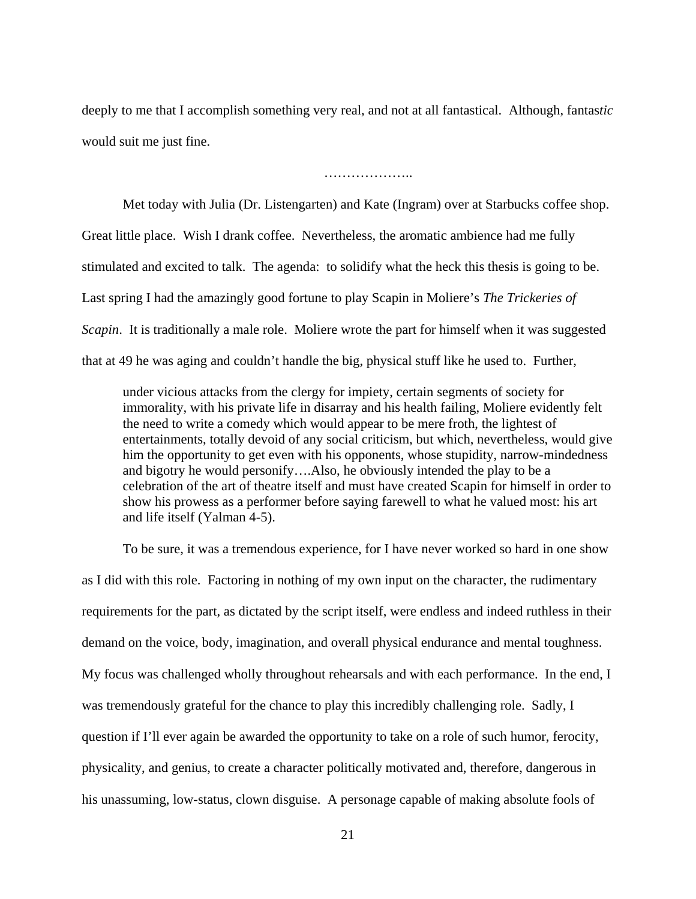deeply to me that I accomplish something very real, and not at all fantastical. Although, fantas*tic* would suit me just fine.

………………..

Met today with Julia (Dr. Listengarten) and Kate (Ingram) over at Starbucks coffee shop. Great little place. Wish I drank coffee. Nevertheless, the aromatic ambience had me fully stimulated and excited to talk. The agenda: to solidify what the heck this thesis is going to be. Last spring I had the amazingly good fortune to play Scapin in Moliere's *The Trickeries of Scapin*. It is traditionally a male role. Moliere wrote the part for himself when it was suggested that at 49 he was aging and couldn't handle the big, physical stuff like he used to. Further,

under vicious attacks from the clergy for impiety, certain segments of society for immorality, with his private life in disarray and his health failing, Moliere evidently felt the need to write a comedy which would appear to be mere froth, the lightest of entertainments, totally devoid of any social criticism, but which, nevertheless, would give him the opportunity to get even with his opponents, whose stupidity, narrow-mindedness and bigotry he would personify….Also, he obviously intended the play to be a celebration of the art of theatre itself and must have created Scapin for himself in order to show his prowess as a performer before saying farewell to what he valued most: his art and life itself (Yalman 4-5).

To be sure, it was a tremendous experience, for I have never worked so hard in one show as I did with this role. Factoring in nothing of my own input on the character, the rudimentary requirements for the part, as dictated by the script itself, were endless and indeed ruthless in their demand on the voice, body, imagination, and overall physical endurance and mental toughness. My focus was challenged wholly throughout rehearsals and with each performance. In the end, I was tremendously grateful for the chance to play this incredibly challenging role. Sadly, I question if I'll ever again be awarded the opportunity to take on a role of such humor, ferocity, physicality, and genius, to create a character politically motivated and, therefore, dangerous in his unassuming, low-status, clown disguise. A personage capable of making absolute fools of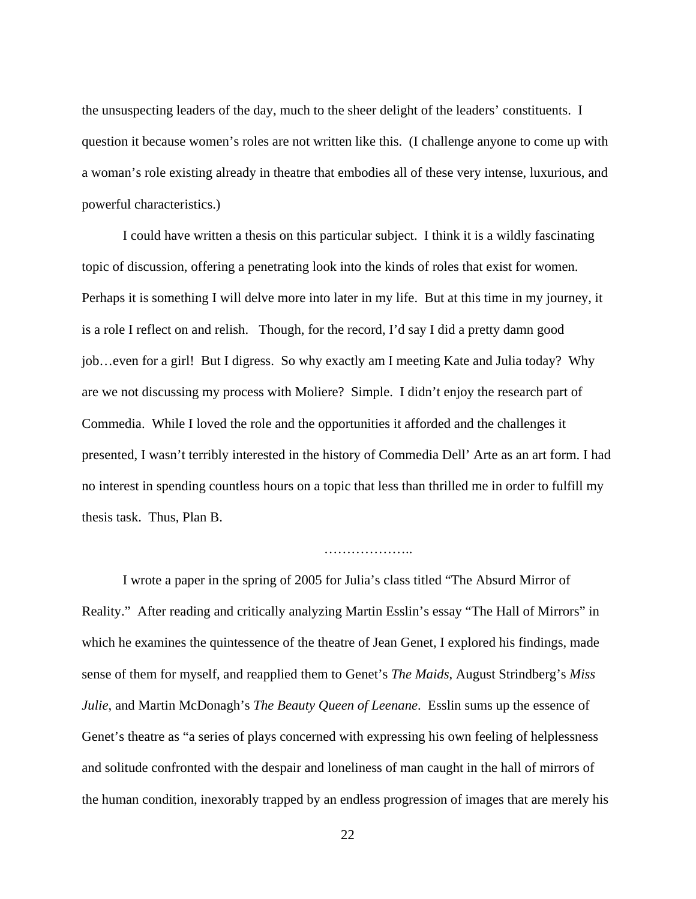the unsuspecting leaders of the day, much to the sheer delight of the leaders' constituents. I question it because women's roles are not written like this. (I challenge anyone to come up with a woman's role existing already in theatre that embodies all of these very intense, luxurious, and powerful characteristics.)

I could have written a thesis on this particular subject. I think it is a wildly fascinating topic of discussion, offering a penetrating look into the kinds of roles that exist for women. Perhaps it is something I will delve more into later in my life. But at this time in my journey, it is a role I reflect on and relish. Though, for the record, I'd say I did a pretty damn good job…even for a girl! But I digress. So why exactly am I meeting Kate and Julia today? Why are we not discussing my process with Moliere? Simple. I didn't enjoy the research part of Commedia. While I loved the role and the opportunities it afforded and the challenges it presented, I wasn't terribly interested in the history of Commedia Dell' Arte as an art form. I had no interest in spending countless hours on a topic that less than thrilled me in order to fulfill my thesis task. Thus, Plan B.

…………………………

I wrote a paper in the spring of 2005 for Julia's class titled "The Absurd Mirror of Reality." After reading and critically analyzing Martin Esslin's essay "The Hall of Mirrors" in which he examines the quintessence of the theatre of Jean Genet, I explored his findings, made sense of them for myself, and reapplied them to Genet's *The Maids*, August Strindberg's *Miss Julie*, and Martin McDonagh's *The Beauty Queen of Leenane*. Esslin sums up the essence of Genet's theatre as "a series of plays concerned with expressing his own feeling of helplessness and solitude confronted with the despair and loneliness of man caught in the hall of mirrors of the human condition, inexorably trapped by an endless progression of images that are merely his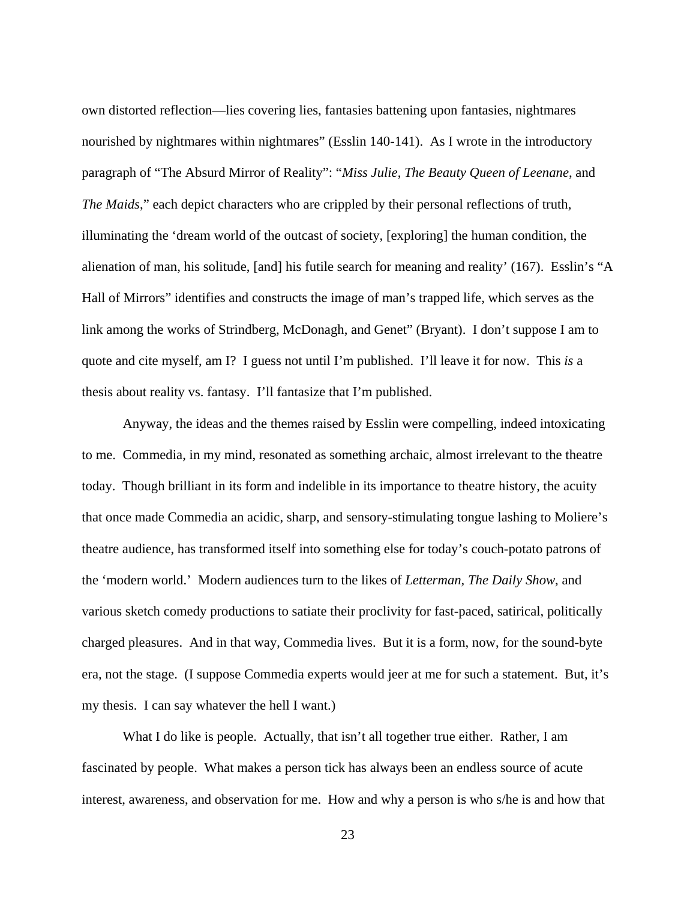own distorted reflection—lies covering lies, fantasies battening upon fantasies, nightmares nourished by nightmares within nightmares" (Esslin 140-141). As I wrote in the introductory paragraph of "The Absurd Mirror of Reality": "*Miss Julie*, *The Beauty Queen of Leenane*, and *The Maids*," each depict characters who are crippled by their personal reflections of truth, illuminating the 'dream world of the outcast of society, [exploring] the human condition, the alienation of man, his solitude, [and] his futile search for meaning and reality' (167). Esslin's "A Hall of Mirrors" identifies and constructs the image of man's trapped life, which serves as the link among the works of Strindberg, McDonagh, and Genet" (Bryant). I don't suppose I am to quote and cite myself, am I? I guess not until I'm published. I'll leave it for now. This *is* a thesis about reality vs. fantasy. I'll fantasize that I'm published.

Anyway, the ideas and the themes raised by Esslin were compelling, indeed intoxicating to me. Commedia, in my mind, resonated as something archaic, almost irrelevant to the theatre today. Though brilliant in its form and indelible in its importance to theatre history, the acuity that once made Commedia an acidic, sharp, and sensory-stimulating tongue lashing to Moliere's theatre audience, has transformed itself into something else for today's couch-potato patrons of the 'modern world.' Modern audiences turn to the likes of *Letterman*, *The Daily Show*, and various sketch comedy productions to satiate their proclivity for fast-paced, satirical, politically charged pleasures. And in that way, Commedia lives. But it is a form, now, for the sound-byte era, not the stage. (I suppose Commedia experts would jeer at me for such a statement. But, it's my thesis. I can say whatever the hell I want.)

What I do like is people. Actually, that isn't all together true either. Rather, I am fascinated by people. What makes a person tick has always been an endless source of acute interest, awareness, and observation for me. How and why a person is who s/he is and how that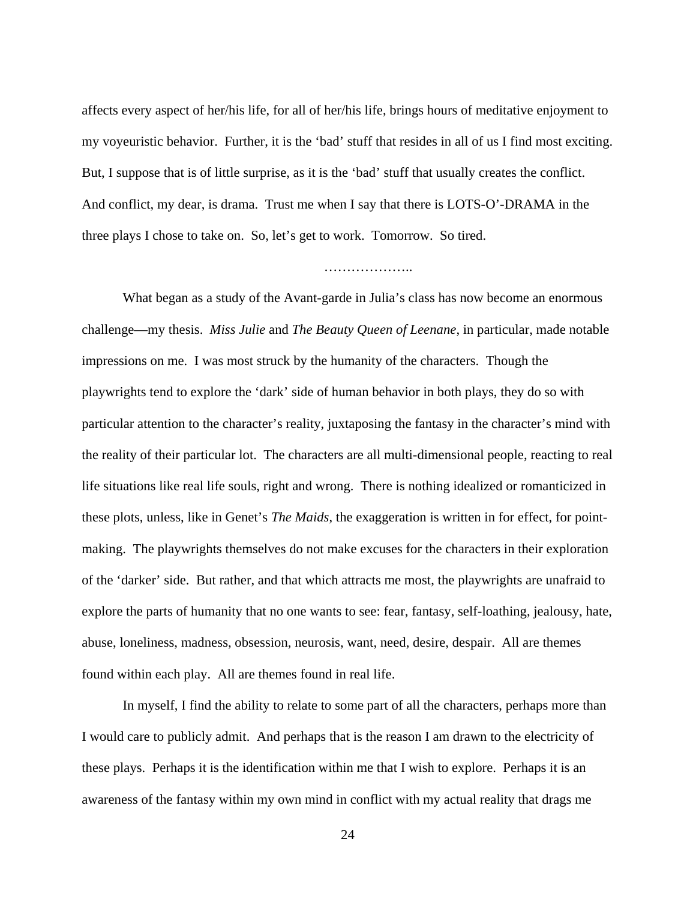affects every aspect of her/his life, for all of her/his life, brings hours of meditative enjoyment to my voyeuristic behavior. Further, it is the 'bad' stuff that resides in all of us I find most exciting. But, I suppose that is of little surprise, as it is the 'bad' stuff that usually creates the conflict. And conflict, my dear, is drama. Trust me when I say that there is LOTS-O'-DRAMA in the three plays I chose to take on. So, let's get to work. Tomorrow. So tired.

…………………

What began as a study of the Avant-garde in Julia's class has now become an enormous challenge—my thesis. *Miss Julie* and *The Beauty Queen of Leenane*, in particular, made notable impressions on me. I was most struck by the humanity of the characters. Though the playwrights tend to explore the 'dark' side of human behavior in both plays, they do so with particular attention to the character's reality, juxtaposing the fantasy in the character's mind with the reality of their particular lot. The characters are all multi-dimensional people, reacting to real life situations like real life souls, right and wrong. There is nothing idealized or romanticized in these plots, unless, like in Genet's *The Maids*, the exaggeration is written in for effect, for pointmaking. The playwrights themselves do not make excuses for the characters in their exploration of the 'darker' side. But rather, and that which attracts me most, the playwrights are unafraid to explore the parts of humanity that no one wants to see: fear, fantasy, self-loathing, jealousy, hate, abuse, loneliness, madness, obsession, neurosis, want, need, desire, despair. All are themes found within each play. All are themes found in real life.

In myself, I find the ability to relate to some part of all the characters, perhaps more than I would care to publicly admit. And perhaps that is the reason I am drawn to the electricity of these plays. Perhaps it is the identification within me that I wish to explore. Perhaps it is an awareness of the fantasy within my own mind in conflict with my actual reality that drags me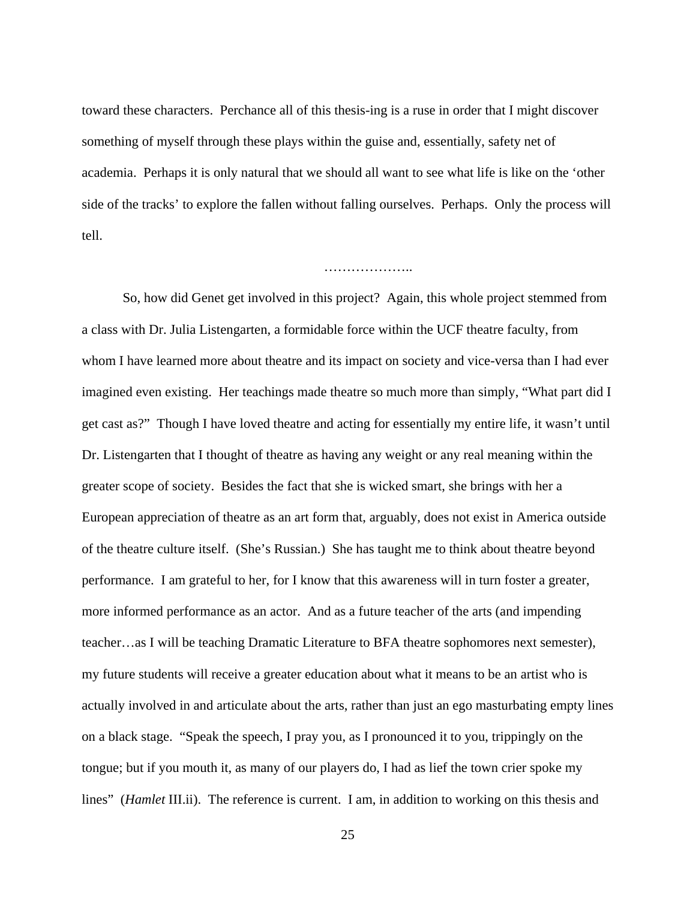toward these characters. Perchance all of this thesis-ing is a ruse in order that I might discover something of myself through these plays within the guise and, essentially, safety net of academia. Perhaps it is only natural that we should all want to see what life is like on the 'other side of the tracks' to explore the fallen without falling ourselves. Perhaps. Only the process will tell.

…………………

So, how did Genet get involved in this project? Again, this whole project stemmed from a class with Dr. Julia Listengarten, a formidable force within the UCF theatre faculty, from whom I have learned more about theatre and its impact on society and vice-versa than I had ever imagined even existing. Her teachings made theatre so much more than simply, "What part did I get cast as?" Though I have loved theatre and acting for essentially my entire life, it wasn't until Dr. Listengarten that I thought of theatre as having any weight or any real meaning within the greater scope of society. Besides the fact that she is wicked smart, she brings with her a European appreciation of theatre as an art form that, arguably, does not exist in America outside of the theatre culture itself. (She's Russian.) She has taught me to think about theatre beyond performance. I am grateful to her, for I know that this awareness will in turn foster a greater, more informed performance as an actor. And as a future teacher of the arts (and impending teacher…as I will be teaching Dramatic Literature to BFA theatre sophomores next semester), my future students will receive a greater education about what it means to be an artist who is actually involved in and articulate about the arts, rather than just an ego masturbating empty lines on a black stage. "Speak the speech, I pray you, as I pronounced it to you, trippingly on the tongue; but if you mouth it, as many of our players do, I had as lief the town crier spoke my lines" (*Hamlet* III.ii). The reference is current. I am, in addition to working on this thesis and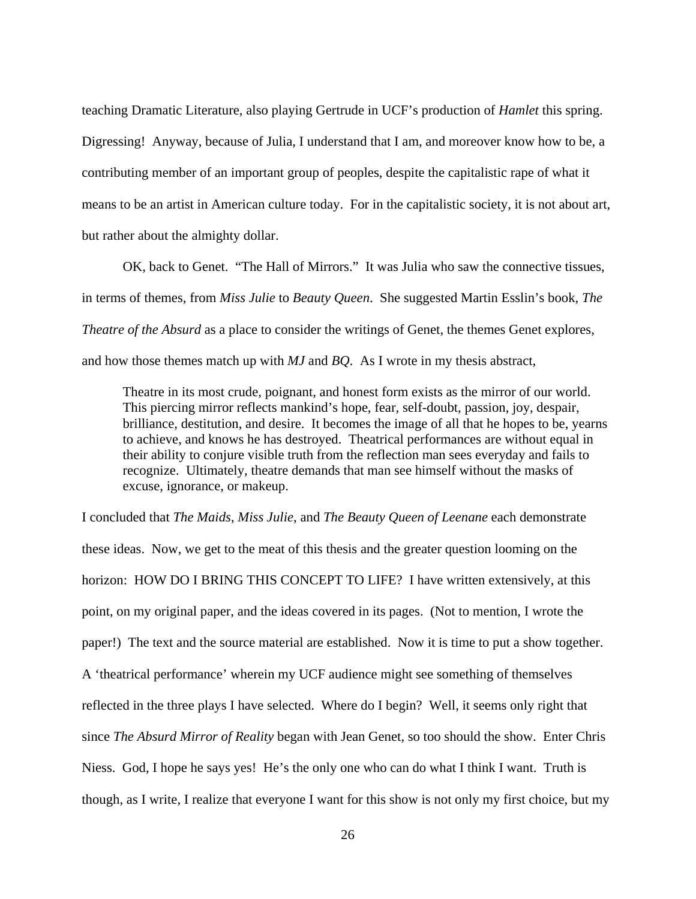teaching Dramatic Literature, also playing Gertrude in UCF's production of *Hamlet* this spring. Digressing! Anyway, because of Julia, I understand that I am, and moreover know how to be, a contributing member of an important group of peoples, despite the capitalistic rape of what it means to be an artist in American culture today. For in the capitalistic society, it is not about art, but rather about the almighty dollar.

OK, back to Genet. "The Hall of Mirrors." It was Julia who saw the connective tissues, in terms of themes, from *Miss Julie* to *Beauty Queen*. She suggested Martin Esslin's book, *The Theatre of the Absurd* as a place to consider the writings of Genet, the themes Genet explores, and how those themes match up with *MJ* and *BQ*. As I wrote in my thesis abstract,

Theatre in its most crude, poignant, and honest form exists as the mirror of our world. This piercing mirror reflects mankind's hope, fear, self-doubt, passion, joy, despair, brilliance, destitution, and desire. It becomes the image of all that he hopes to be, yearns to achieve, and knows he has destroyed. Theatrical performances are without equal in their ability to conjure visible truth from the reflection man sees everyday and fails to recognize. Ultimately, theatre demands that man see himself without the masks of excuse, ignorance, or makeup.

I concluded that *The Maids*, *Miss Julie*, and *The Beauty Queen of Leenane* each demonstrate these ideas. Now, we get to the meat of this thesis and the greater question looming on the horizon: HOW DO I BRING THIS CONCEPT TO LIFE? I have written extensively, at this point, on my original paper, and the ideas covered in its pages. (Not to mention, I wrote the paper!) The text and the source material are established. Now it is time to put a show together. A 'theatrical performance' wherein my UCF audience might see something of themselves reflected in the three plays I have selected. Where do I begin? Well, it seems only right that since *The Absurd Mirror of Reality* began with Jean Genet, so too should the show. Enter Chris Niess. God, I hope he says yes! He's the only one who can do what I think I want. Truth is though, as I write, I realize that everyone I want for this show is not only my first choice, but my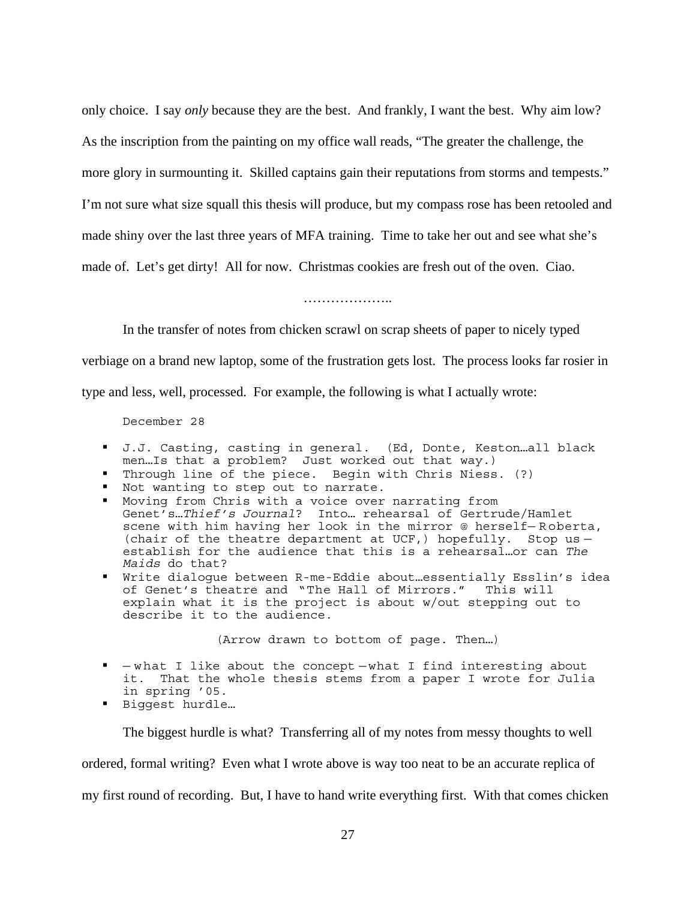only choice. I say *only* because they are the best. And frankly, I want the best. Why aim low? As the inscription from the painting on my office wall reads, "The greater the challenge, the more glory in surmounting it. Skilled captains gain their reputations from storms and tempests." I'm not sure what size squall this thesis will produce, but my compass rose has been retooled and made shiny over the last three years of MFA training. Time to take her out and see what she's made of. Let's get dirty! All for now. Christmas cookies are fresh out of the oven. Ciao.

…………………

In the transfer of notes from chicken scrawl on scrap sheets of paper to nicely typed

verbiage on a brand new laptop, some of the frustration gets lost. The process looks far rosier in

type and less, well, processed. For example, the following is what I actually wrote:

December 28

- J.J. Casting, casting in general. (Ed, Donte, Keston…all black men…Is that a problem? Just worked out that way.)
- Through line of the piece. Begin with Chris Niess. (?)
- Not wanting to step out to narrate.
- Moving from Chris with a voice over narrating from Genet's…*Thief's Journal*? Into… rehearsal of Gertrude/Hamlet scene with him having her look in the mirror @ herself-Roberta, (chair of the theatre department at UCF,) hopefully. Stop us establish for the audience that this is a rehearsal…or can *The Maids* do that?
- Write dialogue between R-me-Eddie about…essentially Esslin's idea of Genet's theatre and "The Hall of Mirrors." This will explain what it is the project is about w/out stepping out to describe it to the audience.

(Arrow drawn to bottom of page. Then…)

- w hat I like about the concept what I find interesting about it. That the whole thesis stems from a paper I wrote for Julia in spring '05.
- Biqqest hurdle…

The biggest hurdle is what? Transferring all of my notes from messy thoughts to well

ordered, formal writing? Even what I wrote above is way too neat to be an accurate replica of

my first round of recording. But, I have to hand write everything first. With that comes chicken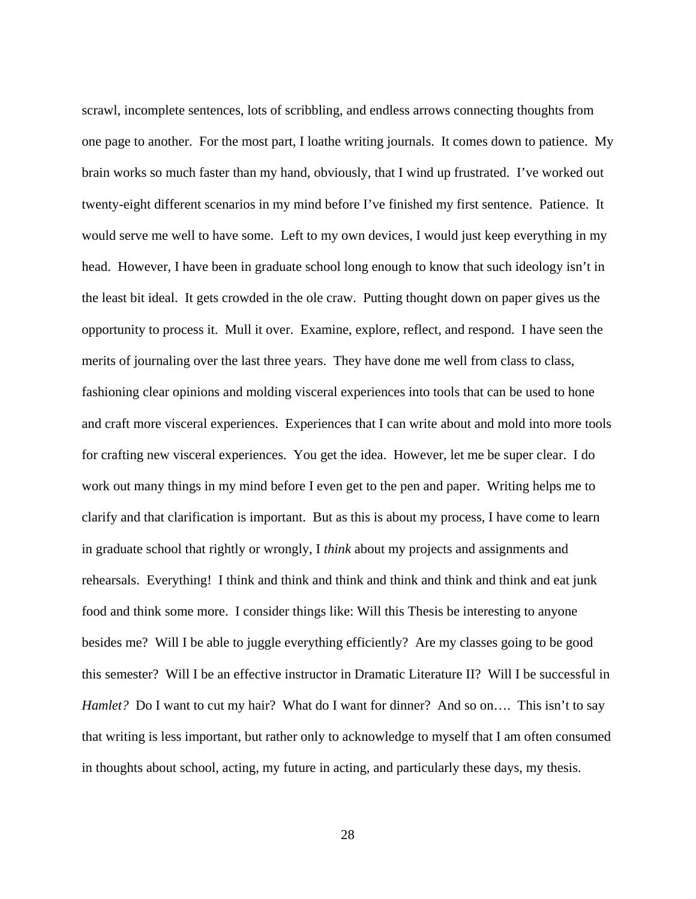scrawl, incomplete sentences, lots of scribbling, and endless arrows connecting thoughts from one page to another. For the most part, I loathe writing journals. It comes down to patience. My brain works so much faster than my hand, obviously, that I wind up frustrated. I've worked out twenty-eight different scenarios in my mind before I've finished my first sentence. Patience. It would serve me well to have some. Left to my own devices, I would just keep everything in my head. However, I have been in graduate school long enough to know that such ideology isn't in the least bit ideal. It gets crowded in the ole craw. Putting thought down on paper gives us the opportunity to process it. Mull it over. Examine, explore, reflect, and respond. I have seen the merits of journaling over the last three years. They have done me well from class to class, fashioning clear opinions and molding visceral experiences into tools that can be used to hone and craft more visceral experiences. Experiences that I can write about and mold into more tools for crafting new visceral experiences. You get the idea. However, let me be super clear. I do work out many things in my mind before I even get to the pen and paper. Writing helps me to clarify and that clarification is important. But as this is about my process, I have come to learn in graduate school that rightly or wrongly, I *think* about my projects and assignments and rehearsals. Everything! I think and think and think and think and think and think and eat junk food and think some more. I consider things like: Will this Thesis be interesting to anyone besides me? Will I be able to juggle everything efficiently? Are my classes going to be good this semester? Will I be an effective instructor in Dramatic Literature II? Will I be successful in *Hamlet?* Do I want to cut my hair? What do I want for dinner? And so on.... This isn't to say that writing is less important, but rather only to acknowledge to myself that I am often consumed in thoughts about school, acting, my future in acting, and particularly these days, my thesis.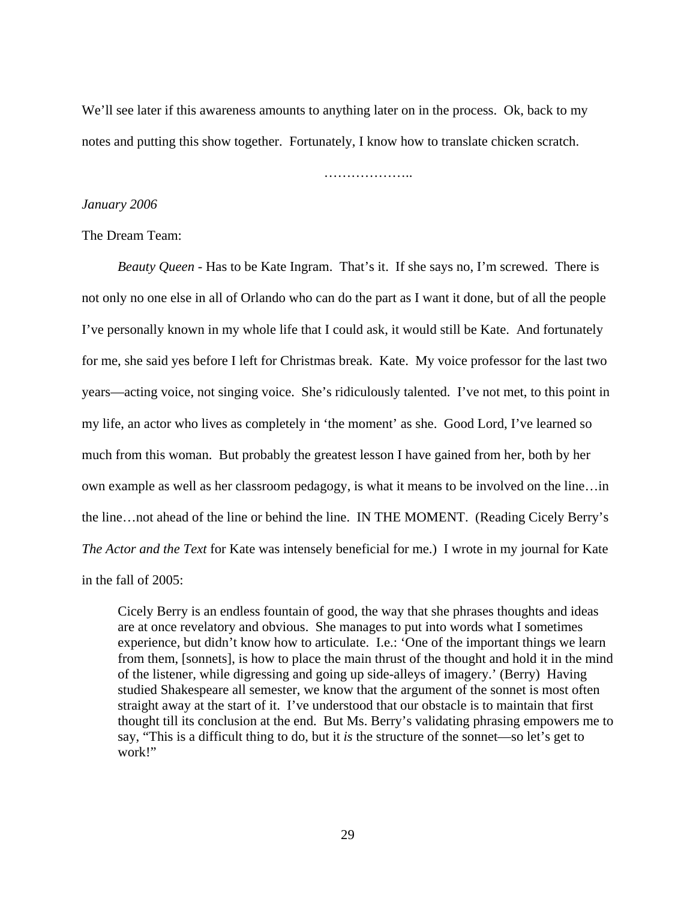We'll see later if this awareness amounts to anything later on in the process. Ok, back to my notes and putting this show together. Fortunately, I know how to translate chicken scratch.

………………..

## *January 2006*

### The Dream Team:

*Beauty Queen* - Has to be Kate Ingram. That's it. If she says no, I'm screwed. There is not only no one else in all of Orlando who can do the part as I want it done, but of all the people I've personally known in my whole life that I could ask, it would still be Kate. And fortunately for me, she said yes before I left for Christmas break. Kate. My voice professor for the last two years—acting voice, not singing voice. She's ridiculously talented. I've not met, to this point in my life, an actor who lives as completely in 'the moment' as she. Good Lord, I've learned so much from this woman. But probably the greatest lesson I have gained from her, both by her own example as well as her classroom pedagogy, is what it means to be involved on the line…in the line…not ahead of the line or behind the line. IN THE MOMENT. (Reading Cicely Berry's *The Actor and the Text* for Kate was intensely beneficial for me.) I wrote in my journal for Kate in the fall of 2005:

Cicely Berry is an endless fountain of good, the way that she phrases thoughts and ideas are at once revelatory and obvious. She manages to put into words what I sometimes experience, but didn't know how to articulate. I.e.: 'One of the important things we learn from them, [sonnets], is how to place the main thrust of the thought and hold it in the mind of the listener, while digressing and going up side-alleys of imagery.' (Berry) Having studied Shakespeare all semester, we know that the argument of the sonnet is most often straight away at the start of it. I've understood that our obstacle is to maintain that first thought till its conclusion at the end. But Ms. Berry's validating phrasing empowers me to say, "This is a difficult thing to do, but it *is* the structure of the sonnet—so let's get to work!"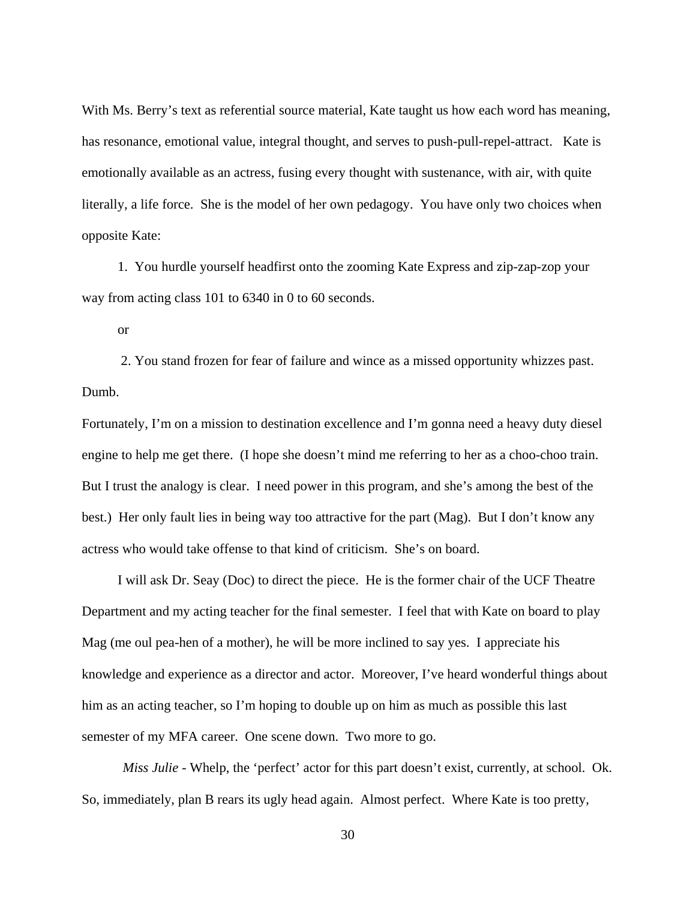With Ms. Berry's text as referential source material, Kate taught us how each word has meaning, has resonance, emotional value, integral thought, and serves to push-pull-repel-attract. Kate is emotionally available as an actress, fusing every thought with sustenance, with air, with quite literally, a life force. She is the model of her own pedagogy. You have only two choices when opposite Kate:

 1. You hurdle yourself headfirst onto the zooming Kate Express and zip-zap-zop your way from acting class 101 to 6340 in 0 to 60 seconds.

or

 2. You stand frozen for fear of failure and wince as a missed opportunity whizzes past. Dumb.

Fortunately, I'm on a mission to destination excellence and I'm gonna need a heavy duty diesel engine to help me get there. (I hope she doesn't mind me referring to her as a choo-choo train. But I trust the analogy is clear. I need power in this program, and she's among the best of the best.) Her only fault lies in being way too attractive for the part (Mag). But I don't know any actress who would take offense to that kind of criticism. She's on board.

 I will ask Dr. Seay (Doc) to direct the piece. He is the former chair of the UCF Theatre Department and my acting teacher for the final semester. I feel that with Kate on board to play Mag (me oul pea-hen of a mother), he will be more inclined to say yes. I appreciate his knowledge and experience as a director and actor. Moreover, I've heard wonderful things about him as an acting teacher, so I'm hoping to double up on him as much as possible this last semester of my MFA career. One scene down. Two more to go.

 *Miss Julie* - Whelp, the 'perfect' actor for this part doesn't exist, currently, at school. Ok. So, immediately, plan B rears its ugly head again. Almost perfect. Where Kate is too pretty,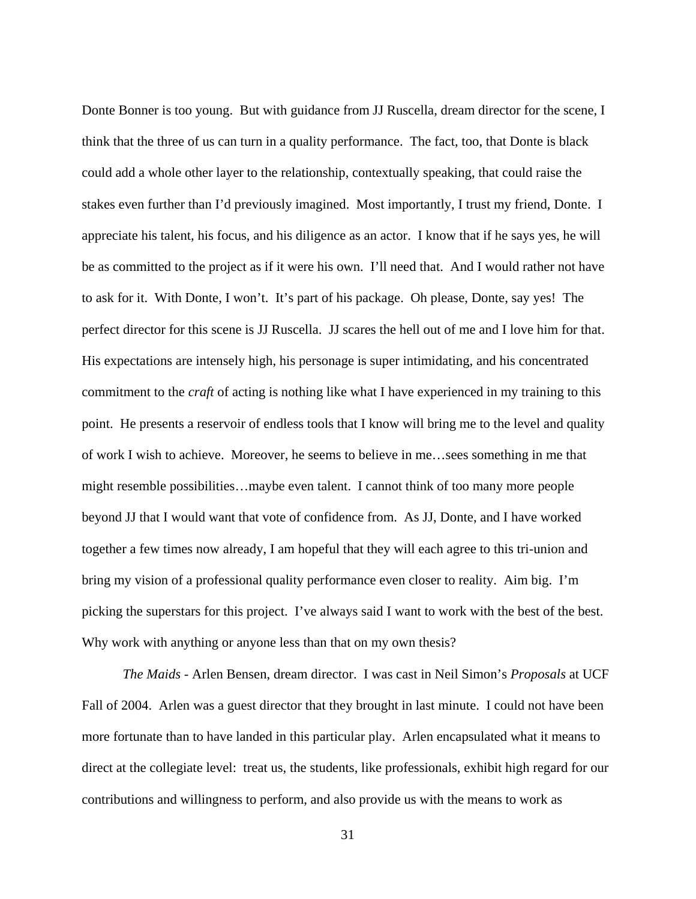Donte Bonner is too young. But with guidance from JJ Ruscella, dream director for the scene, I think that the three of us can turn in a quality performance. The fact, too, that Donte is black could add a whole other layer to the relationship, contextually speaking, that could raise the stakes even further than I'd previously imagined. Most importantly, I trust my friend, Donte. I appreciate his talent, his focus, and his diligence as an actor. I know that if he says yes, he will be as committed to the project as if it were his own. I'll need that. And I would rather not have to ask for it. With Donte, I won't. It's part of his package. Oh please, Donte, say yes! The perfect director for this scene is JJ Ruscella. JJ scares the hell out of me and I love him for that. His expectations are intensely high, his personage is super intimidating, and his concentrated commitment to the *craft* of acting is nothing like what I have experienced in my training to this point. He presents a reservoir of endless tools that I know will bring me to the level and quality of work I wish to achieve. Moreover, he seems to believe in me…sees something in me that might resemble possibilities…maybe even talent. I cannot think of too many more people beyond JJ that I would want that vote of confidence from. As JJ, Donte, and I have worked together a few times now already, I am hopeful that they will each agree to this tri-union and bring my vision of a professional quality performance even closer to reality. Aim big. I'm picking the superstars for this project. I've always said I want to work with the best of the best. Why work with anything or anyone less than that on my own thesis?

 *The Maids* - Arlen Bensen, dream director. I was cast in Neil Simon's *Proposals* at UCF Fall of 2004. Arlen was a guest director that they brought in last minute. I could not have been more fortunate than to have landed in this particular play. Arlen encapsulated what it means to direct at the collegiate level: treat us, the students, like professionals, exhibit high regard for our contributions and willingness to perform, and also provide us with the means to work as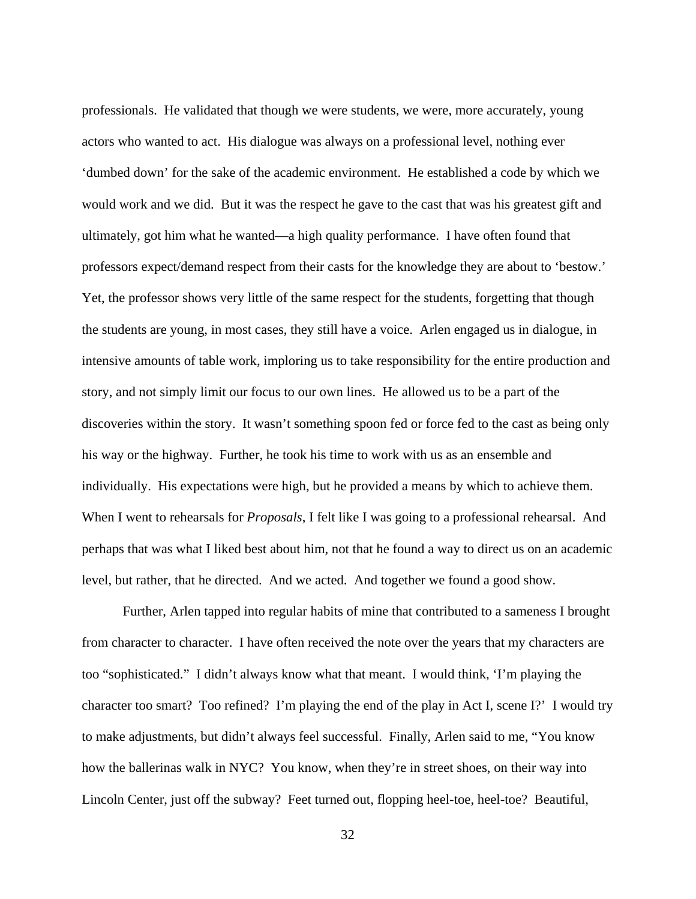professionals. He validated that though we were students, we were, more accurately, young actors who wanted to act. His dialogue was always on a professional level, nothing ever 'dumbed down' for the sake of the academic environment. He established a code by which we would work and we did. But it was the respect he gave to the cast that was his greatest gift and ultimately, got him what he wanted—a high quality performance. I have often found that professors expect/demand respect from their casts for the knowledge they are about to 'bestow.' Yet, the professor shows very little of the same respect for the students, forgetting that though the students are young, in most cases, they still have a voice. Arlen engaged us in dialogue, in intensive amounts of table work, imploring us to take responsibility for the entire production and story, and not simply limit our focus to our own lines. He allowed us to be a part of the discoveries within the story. It wasn't something spoon fed or force fed to the cast as being only his way or the highway. Further, he took his time to work with us as an ensemble and individually. His expectations were high, but he provided a means by which to achieve them. When I went to rehearsals for *Proposals*, I felt like I was going to a professional rehearsal. And perhaps that was what I liked best about him, not that he found a way to direct us on an academic level, but rather, that he directed. And we acted. And together we found a good show.

 Further, Arlen tapped into regular habits of mine that contributed to a sameness I brought from character to character. I have often received the note over the years that my characters are too "sophisticated." I didn't always know what that meant. I would think, 'I'm playing the character too smart? Too refined? I'm playing the end of the play in Act I, scene I?' I would try to make adjustments, but didn't always feel successful. Finally, Arlen said to me, "You know how the ballerinas walk in NYC? You know, when they're in street shoes, on their way into Lincoln Center, just off the subway? Feet turned out, flopping heel-toe, heel-toe? Beautiful,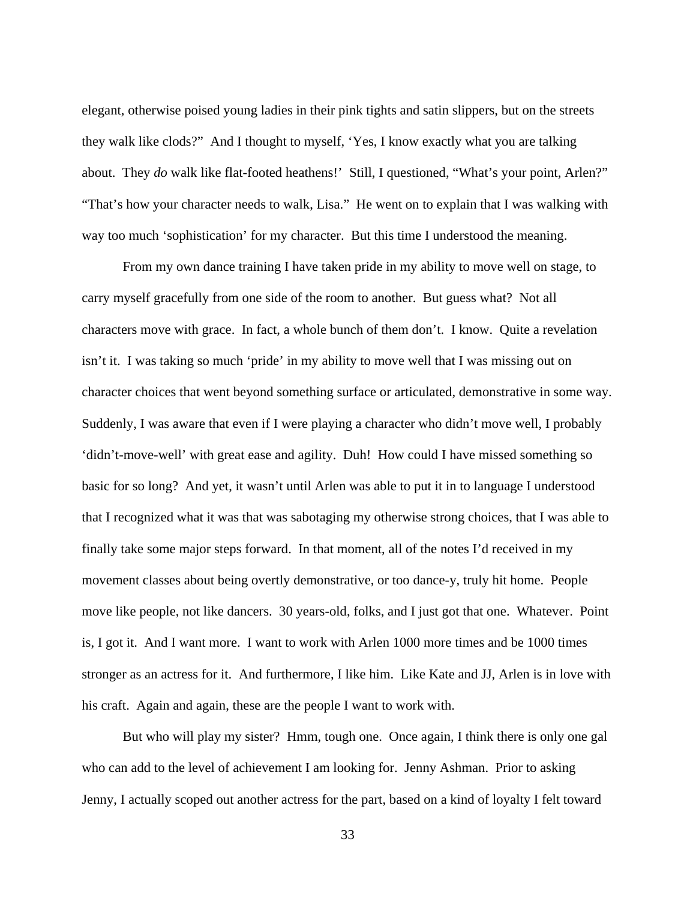elegant, otherwise poised young ladies in their pink tights and satin slippers, but on the streets they walk like clods?" And I thought to myself, 'Yes, I know exactly what you are talking about. They *do* walk like flat-footed heathens!' Still, I questioned, "What's your point, Arlen?" "That's how your character needs to walk, Lisa." He went on to explain that I was walking with way too much 'sophistication' for my character. But this time I understood the meaning.

 From my own dance training I have taken pride in my ability to move well on stage, to carry myself gracefully from one side of the room to another. But guess what? Not all characters move with grace. In fact, a whole bunch of them don't. I know. Quite a revelation isn't it. I was taking so much 'pride' in my ability to move well that I was missing out on character choices that went beyond something surface or articulated, demonstrative in some way. Suddenly, I was aware that even if I were playing a character who didn't move well, I probably 'didn't-move-well' with great ease and agility. Duh! How could I have missed something so basic for so long? And yet, it wasn't until Arlen was able to put it in to language I understood that I recognized what it was that was sabotaging my otherwise strong choices, that I was able to finally take some major steps forward. In that moment, all of the notes I'd received in my movement classes about being overtly demonstrative, or too dance-y, truly hit home. People move like people, not like dancers. 30 years-old, folks, and I just got that one. Whatever. Point is, I got it. And I want more. I want to work with Arlen 1000 more times and be 1000 times stronger as an actress for it. And furthermore, I like him. Like Kate and JJ, Arlen is in love with his craft. Again and again, these are the people I want to work with.

 But who will play my sister? Hmm, tough one. Once again, I think there is only one gal who can add to the level of achievement I am looking for. Jenny Ashman. Prior to asking Jenny, I actually scoped out another actress for the part, based on a kind of loyalty I felt toward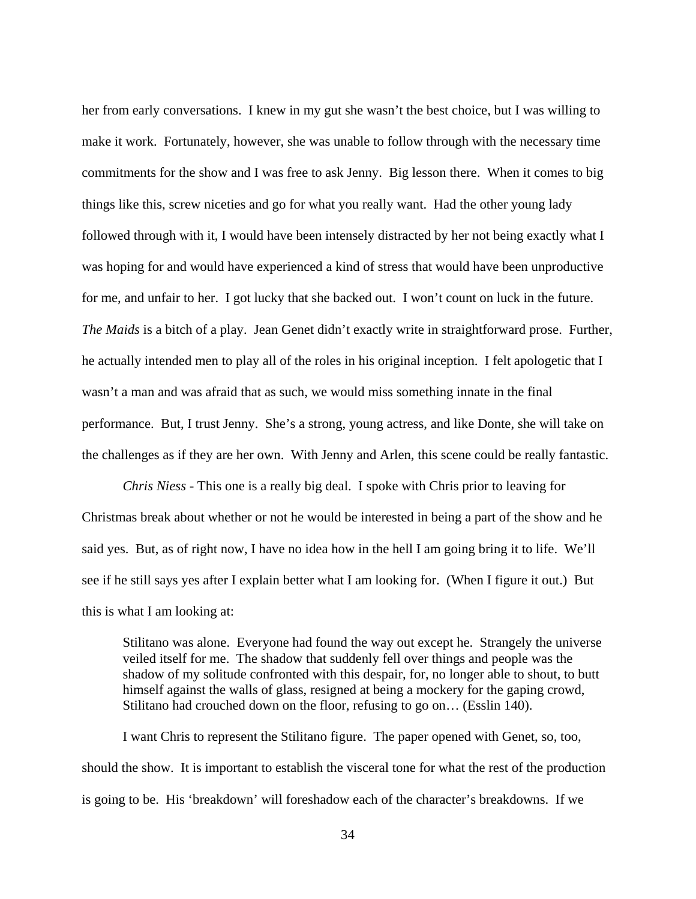her from early conversations. I knew in my gut she wasn't the best choice, but I was willing to make it work. Fortunately, however, she was unable to follow through with the necessary time commitments for the show and I was free to ask Jenny. Big lesson there. When it comes to big things like this, screw niceties and go for what you really want. Had the other young lady followed through with it, I would have been intensely distracted by her not being exactly what I was hoping for and would have experienced a kind of stress that would have been unproductive for me, and unfair to her. I got lucky that she backed out. I won't count on luck in the future. *The Maids* is a bitch of a play. Jean Genet didn't exactly write in straightforward prose. Further, he actually intended men to play all of the roles in his original inception. I felt apologetic that I wasn't a man and was afraid that as such, we would miss something innate in the final performance. But, I trust Jenny. She's a strong, young actress, and like Donte, she will take on the challenges as if they are her own. With Jenny and Arlen, this scene could be really fantastic.

 *Chris Niess* - This one is a really big deal. I spoke with Chris prior to leaving for Christmas break about whether or not he would be interested in being a part of the show and he said yes. But, as of right now, I have no idea how in the hell I am going bring it to life. We'll see if he still says yes after I explain better what I am looking for. (When I figure it out.) But this is what I am looking at:

Stilitano was alone. Everyone had found the way out except he. Strangely the universe veiled itself for me. The shadow that suddenly fell over things and people was the shadow of my solitude confronted with this despair, for, no longer able to shout, to butt himself against the walls of glass, resigned at being a mockery for the gaping crowd, Stilitano had crouched down on the floor, refusing to go on… (Esslin 140).

 I want Chris to represent the Stilitano figure. The paper opened with Genet, so, too, should the show. It is important to establish the visceral tone for what the rest of the production is going to be. His 'breakdown' will foreshadow each of the character's breakdowns. If we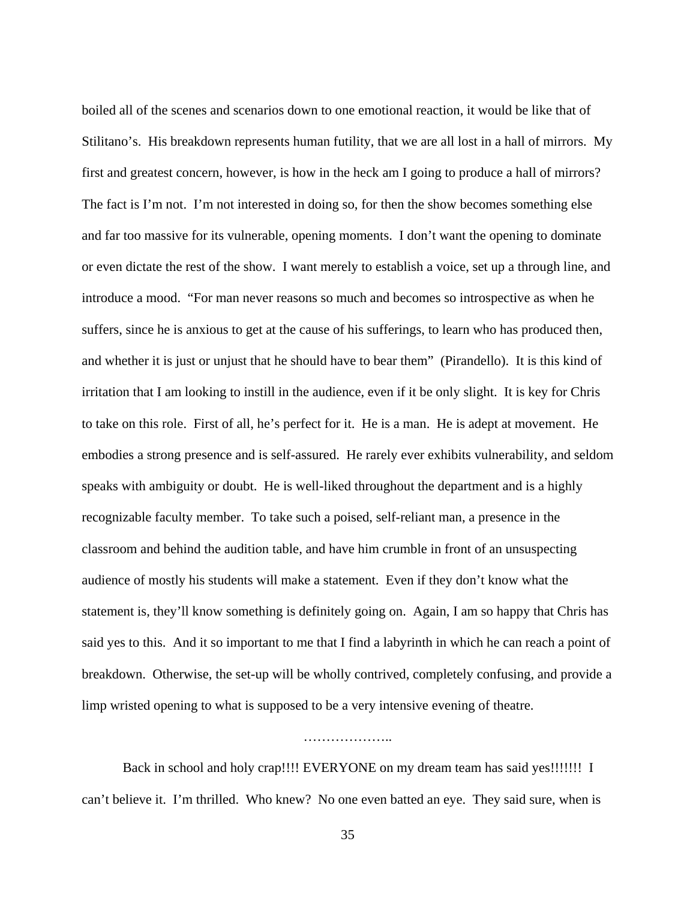boiled all of the scenes and scenarios down to one emotional reaction, it would be like that of Stilitano's. His breakdown represents human futility, that we are all lost in a hall of mirrors. My first and greatest concern, however, is how in the heck am I going to produce a hall of mirrors? The fact is I'm not. I'm not interested in doing so, for then the show becomes something else and far too massive for its vulnerable, opening moments. I don't want the opening to dominate or even dictate the rest of the show. I want merely to establish a voice, set up a through line, and introduce a mood. "For man never reasons so much and becomes so introspective as when he suffers, since he is anxious to get at the cause of his sufferings, to learn who has produced then, and whether it is just or unjust that he should have to bear them" (Pirandello). It is this kind of irritation that I am looking to instill in the audience, even if it be only slight. It is key for Chris to take on this role. First of all, he's perfect for it. He is a man. He is adept at movement. He embodies a strong presence and is self-assured. He rarely ever exhibits vulnerability, and seldom speaks with ambiguity or doubt. He is well-liked throughout the department and is a highly recognizable faculty member. To take such a poised, self-reliant man, a presence in the classroom and behind the audition table, and have him crumble in front of an unsuspecting audience of mostly his students will make a statement. Even if they don't know what the statement is, they'll know something is definitely going on. Again, I am so happy that Chris has said yes to this. And it so important to me that I find a labyrinth in which he can reach a point of breakdown. Otherwise, the set-up will be wholly contrived, completely confusing, and provide a limp wristed opening to what is supposed to be a very intensive evening of theatre.

# ……………………

 Back in school and holy crap!!!! EVERYONE on my dream team has said yes!!!!!!! I can't believe it. I'm thrilled. Who knew? No one even batted an eye. They said sure, when is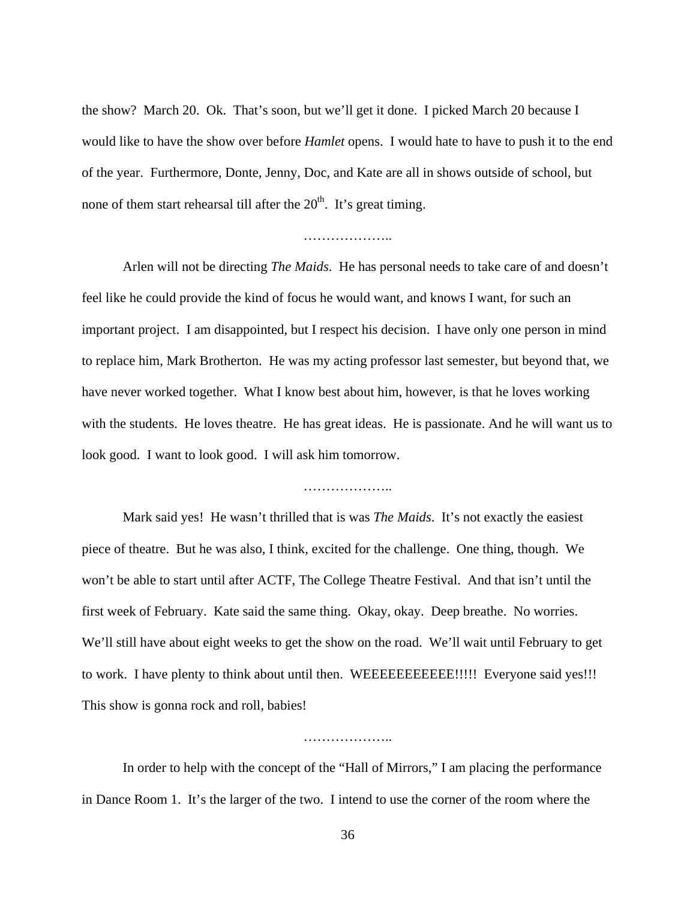the show? March 20. Ok. That's soon, but we'll get it done. I picked March 20 because I would like to have the show over before *Hamlet* opens. I would hate to have to push it to the end of the year. Furthermore, Donte, Jenny, Doc, and Kate are all in shows outside of school, but none of them start rehearsal till after the  $20<sup>th</sup>$ . It's great timing.

## ………………..

 Arlen will not be directing *The Maids*. He has personal needs to take care of and doesn't feel like he could provide the kind of focus he would want, and knows I want, for such an important project. I am disappointed, but I respect his decision. I have only one person in mind to replace him, Mark Brotherton. He was my acting professor last semester, but beyond that, we have never worked together. What I know best about him, however, is that he loves working with the students. He loves theatre. He has great ideas. He is passionate. And he will want us to look good. I want to look good. I will ask him tomorrow.

……………………

 Mark said yes! He wasn't thrilled that is was *The Maids*. It's not exactly the easiest piece of theatre. But he was also, I think, excited for the challenge. One thing, though. We won't be able to start until after ACTF, The College Theatre Festival. And that isn't until the first week of February. Kate said the same thing. Okay, okay. Deep breathe. No worries. We'll still have about eight weeks to get the show on the road. We'll wait until February to get to work. I have plenty to think about until then. WEEEEEEEEEEE!!!!! Everyone said yes!!! This show is gonna rock and roll, babies!

……………………

 In order to help with the concept of the "Hall of Mirrors," I am placing the performance in Dance Room 1. It's the larger of the two. I intend to use the corner of the room where the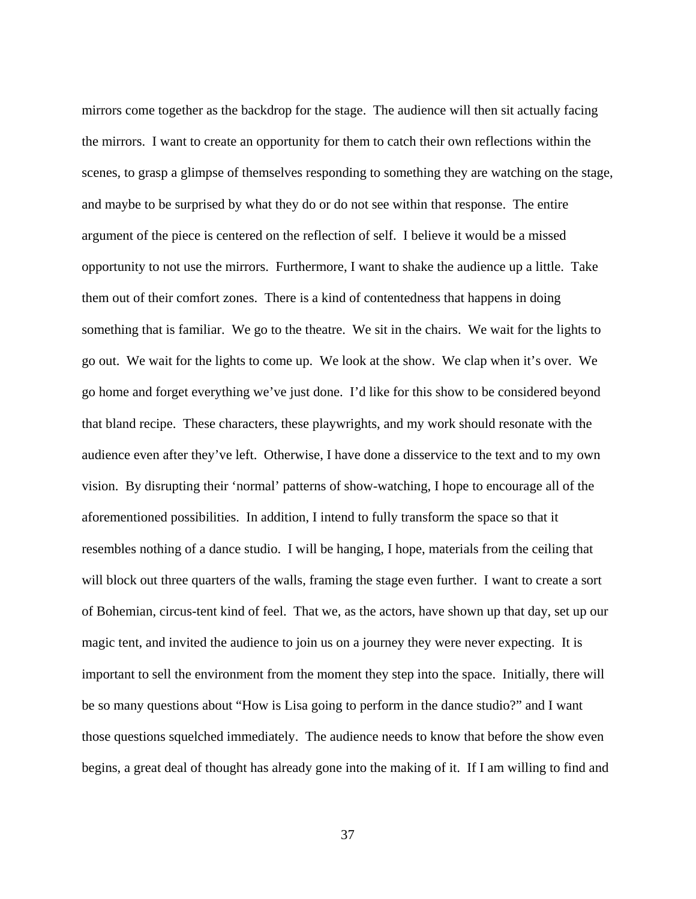mirrors come together as the backdrop for the stage. The audience will then sit actually facing the mirrors. I want to create an opportunity for them to catch their own reflections within the scenes, to grasp a glimpse of themselves responding to something they are watching on the stage, and maybe to be surprised by what they do or do not see within that response. The entire argument of the piece is centered on the reflection of self. I believe it would be a missed opportunity to not use the mirrors. Furthermore, I want to shake the audience up a little. Take them out of their comfort zones. There is a kind of contentedness that happens in doing something that is familiar. We go to the theatre. We sit in the chairs. We wait for the lights to go out. We wait for the lights to come up. We look at the show. We clap when it's over. We go home and forget everything we've just done. I'd like for this show to be considered beyond that bland recipe. These characters, these playwrights, and my work should resonate with the audience even after they've left. Otherwise, I have done a disservice to the text and to my own vision. By disrupting their 'normal' patterns of show-watching, I hope to encourage all of the aforementioned possibilities. In addition, I intend to fully transform the space so that it resembles nothing of a dance studio. I will be hanging, I hope, materials from the ceiling that will block out three quarters of the walls, framing the stage even further. I want to create a sort of Bohemian, circus-tent kind of feel. That we, as the actors, have shown up that day, set up our magic tent, and invited the audience to join us on a journey they were never expecting. It is important to sell the environment from the moment they step into the space. Initially, there will be so many questions about "How is Lisa going to perform in the dance studio?" and I want those questions squelched immediately. The audience needs to know that before the show even begins, a great deal of thought has already gone into the making of it. If I am willing to find and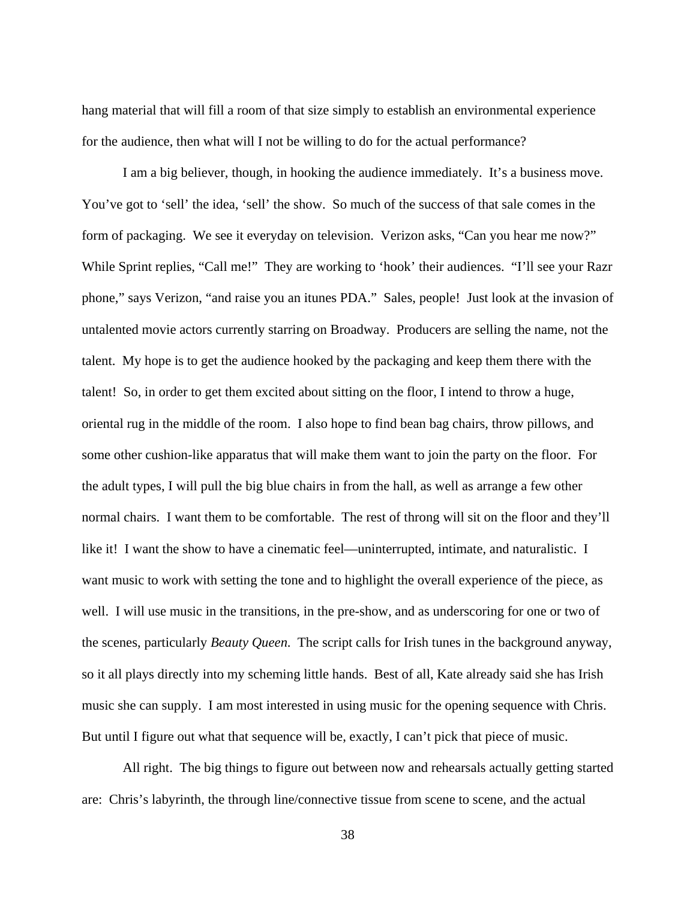hang material that will fill a room of that size simply to establish an environmental experience for the audience, then what will I not be willing to do for the actual performance?

 I am a big believer, though, in hooking the audience immediately. It's a business move. You've got to 'sell' the idea, 'sell' the show. So much of the success of that sale comes in the form of packaging. We see it everyday on television. Verizon asks, "Can you hear me now?" While Sprint replies, "Call me!" They are working to 'hook' their audiences. "I'll see your Razr phone," says Verizon, "and raise you an itunes PDA." Sales, people! Just look at the invasion of untalented movie actors currently starring on Broadway. Producers are selling the name, not the talent. My hope is to get the audience hooked by the packaging and keep them there with the talent! So, in order to get them excited about sitting on the floor, I intend to throw a huge, oriental rug in the middle of the room. I also hope to find bean bag chairs, throw pillows, and some other cushion-like apparatus that will make them want to join the party on the floor. For the adult types, I will pull the big blue chairs in from the hall, as well as arrange a few other normal chairs. I want them to be comfortable. The rest of throng will sit on the floor and they'll like it! I want the show to have a cinematic feel—uninterrupted, intimate, and naturalistic. I want music to work with setting the tone and to highlight the overall experience of the piece, as well. I will use music in the transitions, in the pre-show, and as underscoring for one or two of the scenes, particularly *Beauty Queen*. The script calls for Irish tunes in the background anyway, so it all plays directly into my scheming little hands. Best of all, Kate already said she has Irish music she can supply. I am most interested in using music for the opening sequence with Chris. But until I figure out what that sequence will be, exactly, I can't pick that piece of music.

 All right. The big things to figure out between now and rehearsals actually getting started are: Chris's labyrinth, the through line/connective tissue from scene to scene, and the actual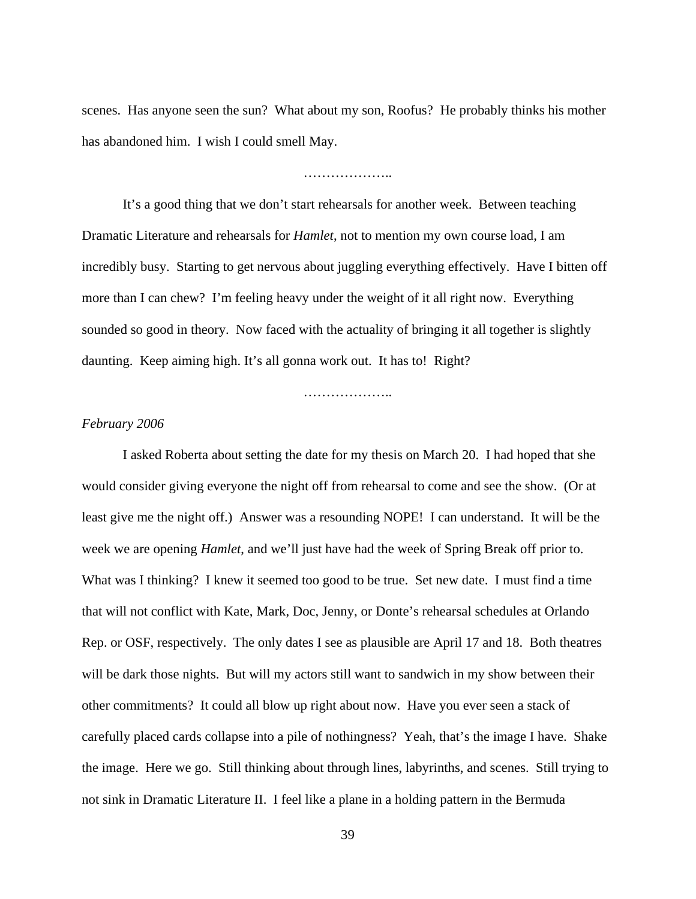scenes. Has anyone seen the sun? What about my son, Roofus? He probably thinks his mother has abandoned him. I wish I could smell May.

### ………………..

 It's a good thing that we don't start rehearsals for another week. Between teaching Dramatic Literature and rehearsals for *Hamlet*, not to mention my own course load, I am incredibly busy. Starting to get nervous about juggling everything effectively. Have I bitten off more than I can chew? I'm feeling heavy under the weight of it all right now. Everything sounded so good in theory. Now faced with the actuality of bringing it all together is slightly daunting. Keep aiming high. It's all gonna work out. It has to! Right?

………………..

# *February 2006*

 I asked Roberta about setting the date for my thesis on March 20. I had hoped that she would consider giving everyone the night off from rehearsal to come and see the show. (Or at least give me the night off.) Answer was a resounding NOPE! I can understand. It will be the week we are opening *Hamlet*, and we'll just have had the week of Spring Break off prior to. What was I thinking? I knew it seemed too good to be true. Set new date. I must find a time that will not conflict with Kate, Mark, Doc, Jenny, or Donte's rehearsal schedules at Orlando Rep. or OSF, respectively. The only dates I see as plausible are April 17 and 18. Both theatres will be dark those nights. But will my actors still want to sandwich in my show between their other commitments? It could all blow up right about now. Have you ever seen a stack of carefully placed cards collapse into a pile of nothingness? Yeah, that's the image I have. Shake the image. Here we go. Still thinking about through lines, labyrinths, and scenes. Still trying to not sink in Dramatic Literature II. I feel like a plane in a holding pattern in the Bermuda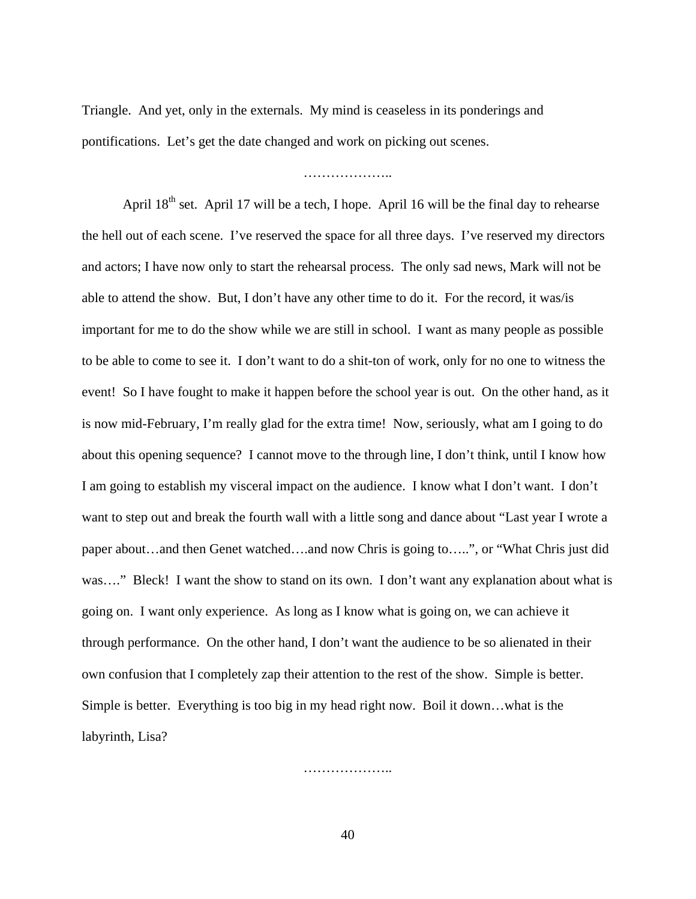Triangle. And yet, only in the externals. My mind is ceaseless in its ponderings and pontifications. Let's get the date changed and work on picking out scenes.

………………..

April  $18<sup>th</sup>$  set. April 17 will be a tech, I hope. April 16 will be the final day to rehearse the hell out of each scene. I've reserved the space for all three days. I've reserved my directors and actors; I have now only to start the rehearsal process. The only sad news, Mark will not be able to attend the show. But, I don't have any other time to do it. For the record, it was/is important for me to do the show while we are still in school. I want as many people as possible to be able to come to see it. I don't want to do a shit-ton of work, only for no one to witness the event! So I have fought to make it happen before the school year is out. On the other hand, as it is now mid-February, I'm really glad for the extra time! Now, seriously, what am I going to do about this opening sequence? I cannot move to the through line, I don't think, until I know how I am going to establish my visceral impact on the audience. I know what I don't want. I don't want to step out and break the fourth wall with a little song and dance about "Last year I wrote a paper about…and then Genet watched….and now Chris is going to…..", or "What Chris just did was...." Bleck! I want the show to stand on its own. I don't want any explanation about what is going on. I want only experience. As long as I know what is going on, we can achieve it through performance. On the other hand, I don't want the audience to be so alienated in their own confusion that I completely zap their attention to the rest of the show. Simple is better. Simple is better. Everything is too big in my head right now. Boil it down…what is the labyrinth, Lisa?

…………………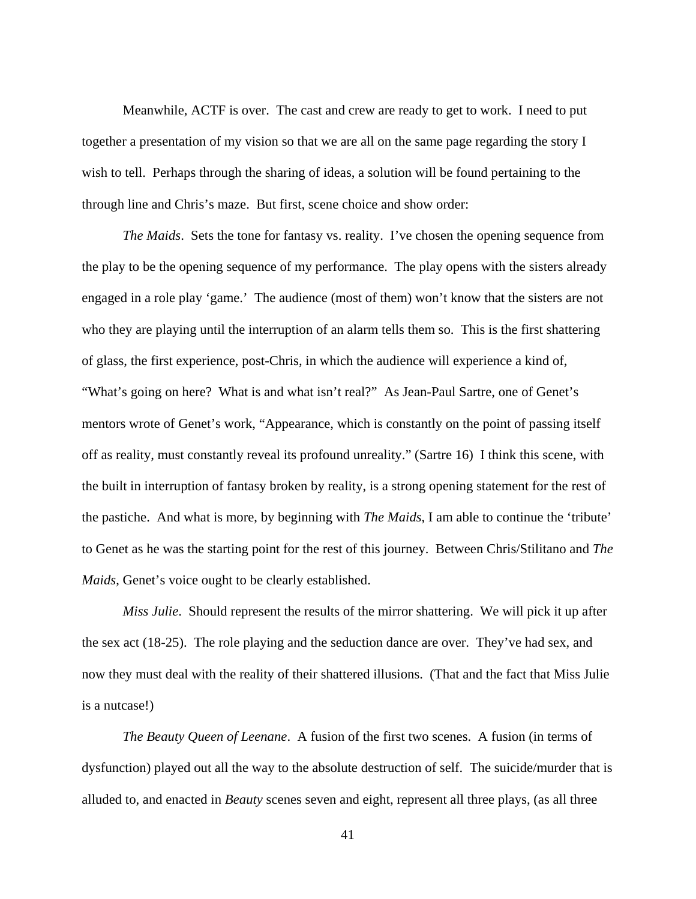Meanwhile, ACTF is over. The cast and crew are ready to get to work. I need to put together a presentation of my vision so that we are all on the same page regarding the story I wish to tell. Perhaps through the sharing of ideas, a solution will be found pertaining to the through line and Chris's maze. But first, scene choice and show order:

*The Maids*. Sets the tone for fantasy vs. reality. I've chosen the opening sequence from the play to be the opening sequence of my performance. The play opens with the sisters already engaged in a role play 'game.' The audience (most of them) won't know that the sisters are not who they are playing until the interruption of an alarm tells them so. This is the first shattering of glass, the first experience, post-Chris, in which the audience will experience a kind of, "What's going on here? What is and what isn't real?" As Jean-Paul Sartre, one of Genet's mentors wrote of Genet's work, "Appearance, which is constantly on the point of passing itself off as reality, must constantly reveal its profound unreality." (Sartre 16) I think this scene, with the built in interruption of fantasy broken by reality, is a strong opening statement for the rest of the pastiche. And what is more, by beginning with *The Maids*, I am able to continue the 'tribute' to Genet as he was the starting point for the rest of this journey. Between Chris/Stilitano and *The Maids*, Genet's voice ought to be clearly established.

 *Miss Julie*. Should represent the results of the mirror shattering. We will pick it up after the sex act (18-25). The role playing and the seduction dance are over. They've had sex, and now they must deal with the reality of their shattered illusions. (That and the fact that Miss Julie is a nutcase!)

 *The Beauty Queen of Leenane*. A fusion of the first two scenes. A fusion (in terms of dysfunction) played out all the way to the absolute destruction of self. The suicide/murder that is alluded to, and enacted in *Beauty* scenes seven and eight, represent all three plays, (as all three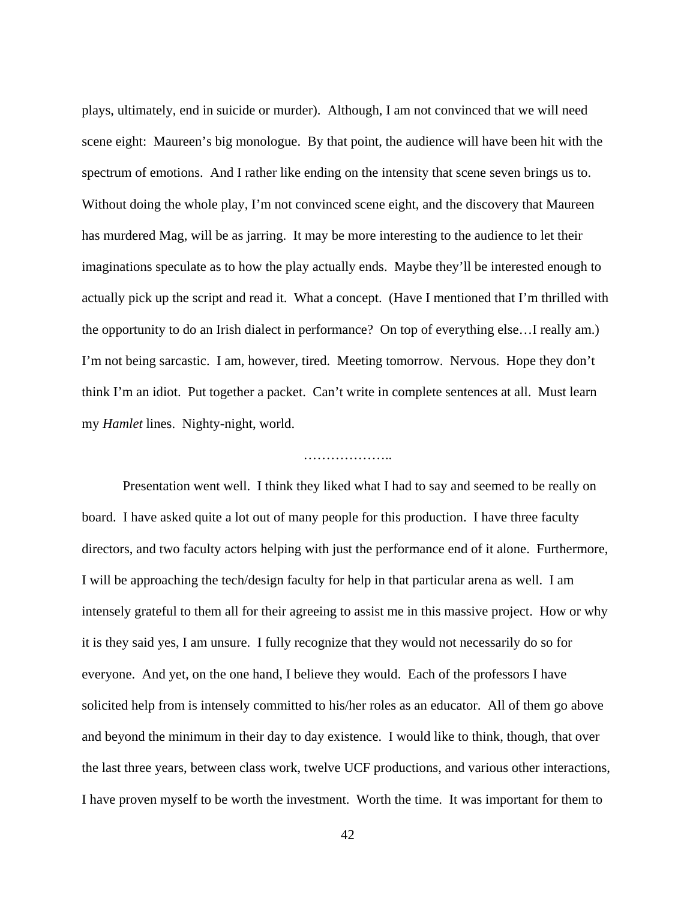plays, ultimately, end in suicide or murder). Although, I am not convinced that we will need scene eight: Maureen's big monologue. By that point, the audience will have been hit with the spectrum of emotions. And I rather like ending on the intensity that scene seven brings us to. Without doing the whole play, I'm not convinced scene eight, and the discovery that Maureen has murdered Mag, will be as jarring. It may be more interesting to the audience to let their imaginations speculate as to how the play actually ends. Maybe they'll be interested enough to actually pick up the script and read it. What a concept. (Have I mentioned that I'm thrilled with the opportunity to do an Irish dialect in performance? On top of everything else…I really am.) I'm not being sarcastic. I am, however, tired. Meeting tomorrow. Nervous. Hope they don't think I'm an idiot. Put together a packet. Can't write in complete sentences at all. Must learn my *Hamlet* lines. Nighty-night, world.

# …………………

 Presentation went well. I think they liked what I had to say and seemed to be really on board. I have asked quite a lot out of many people for this production. I have three faculty directors, and two faculty actors helping with just the performance end of it alone. Furthermore, I will be approaching the tech/design faculty for help in that particular arena as well. I am intensely grateful to them all for their agreeing to assist me in this massive project. How or why it is they said yes, I am unsure. I fully recognize that they would not necessarily do so for everyone. And yet, on the one hand, I believe they would. Each of the professors I have solicited help from is intensely committed to his/her roles as an educator. All of them go above and beyond the minimum in their day to day existence. I would like to think, though, that over the last three years, between class work, twelve UCF productions, and various other interactions, I have proven myself to be worth the investment. Worth the time. It was important for them to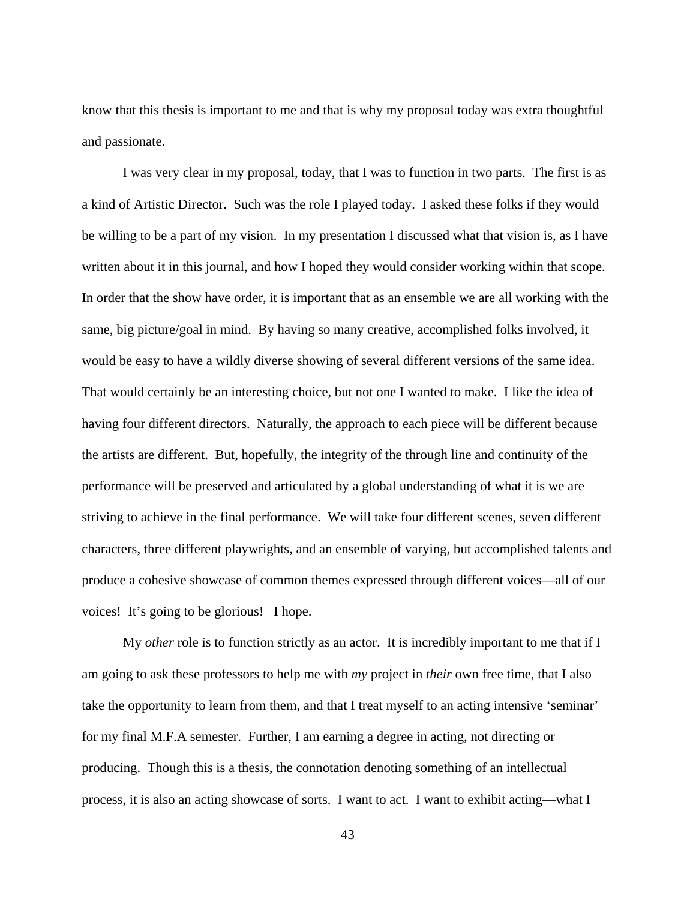know that this thesis is important to me and that is why my proposal today was extra thoughtful and passionate.

 I was very clear in my proposal, today, that I was to function in two parts. The first is as a kind of Artistic Director. Such was the role I played today. I asked these folks if they would be willing to be a part of my vision. In my presentation I discussed what that vision is, as I have written about it in this journal, and how I hoped they would consider working within that scope. In order that the show have order, it is important that as an ensemble we are all working with the same, big picture/goal in mind. By having so many creative, accomplished folks involved, it would be easy to have a wildly diverse showing of several different versions of the same idea. That would certainly be an interesting choice, but not one I wanted to make. I like the idea of having four different directors. Naturally, the approach to each piece will be different because the artists are different. But, hopefully, the integrity of the through line and continuity of the performance will be preserved and articulated by a global understanding of what it is we are striving to achieve in the final performance. We will take four different scenes, seven different characters, three different playwrights, and an ensemble of varying, but accomplished talents and produce a cohesive showcase of common themes expressed through different voices—all of our voices! It's going to be glorious! I hope.

 My *other* role is to function strictly as an actor. It is incredibly important to me that if I am going to ask these professors to help me with *my* project in *their* own free time, that I also take the opportunity to learn from them, and that I treat myself to an acting intensive 'seminar' for my final M.F.A semester. Further, I am earning a degree in acting, not directing or producing. Though this is a thesis, the connotation denoting something of an intellectual process, it is also an acting showcase of sorts. I want to act. I want to exhibit acting—what I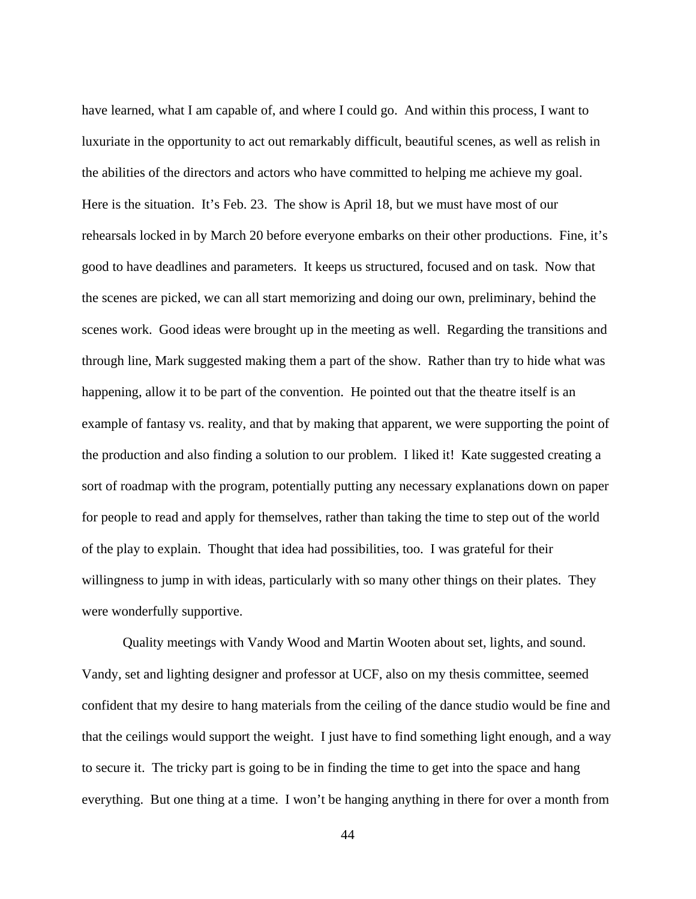have learned, what I am capable of, and where I could go. And within this process, I want to luxuriate in the opportunity to act out remarkably difficult, beautiful scenes, as well as relish in the abilities of the directors and actors who have committed to helping me achieve my goal. Here is the situation. It's Feb. 23. The show is April 18, but we must have most of our rehearsals locked in by March 20 before everyone embarks on their other productions. Fine, it's good to have deadlines and parameters. It keeps us structured, focused and on task. Now that the scenes are picked, we can all start memorizing and doing our own, preliminary, behind the scenes work. Good ideas were brought up in the meeting as well. Regarding the transitions and through line, Mark suggested making them a part of the show. Rather than try to hide what was happening, allow it to be part of the convention. He pointed out that the theatre itself is an example of fantasy vs. reality, and that by making that apparent, we were supporting the point of the production and also finding a solution to our problem. I liked it! Kate suggested creating a sort of roadmap with the program, potentially putting any necessary explanations down on paper for people to read and apply for themselves, rather than taking the time to step out of the world of the play to explain. Thought that idea had possibilities, too. I was grateful for their willingness to jump in with ideas, particularly with so many other things on their plates. They were wonderfully supportive.

 Quality meetings with Vandy Wood and Martin Wooten about set, lights, and sound. Vandy, set and lighting designer and professor at UCF, also on my thesis committee, seemed confident that my desire to hang materials from the ceiling of the dance studio would be fine and that the ceilings would support the weight. I just have to find something light enough, and a way to secure it. The tricky part is going to be in finding the time to get into the space and hang everything. But one thing at a time. I won't be hanging anything in there for over a month from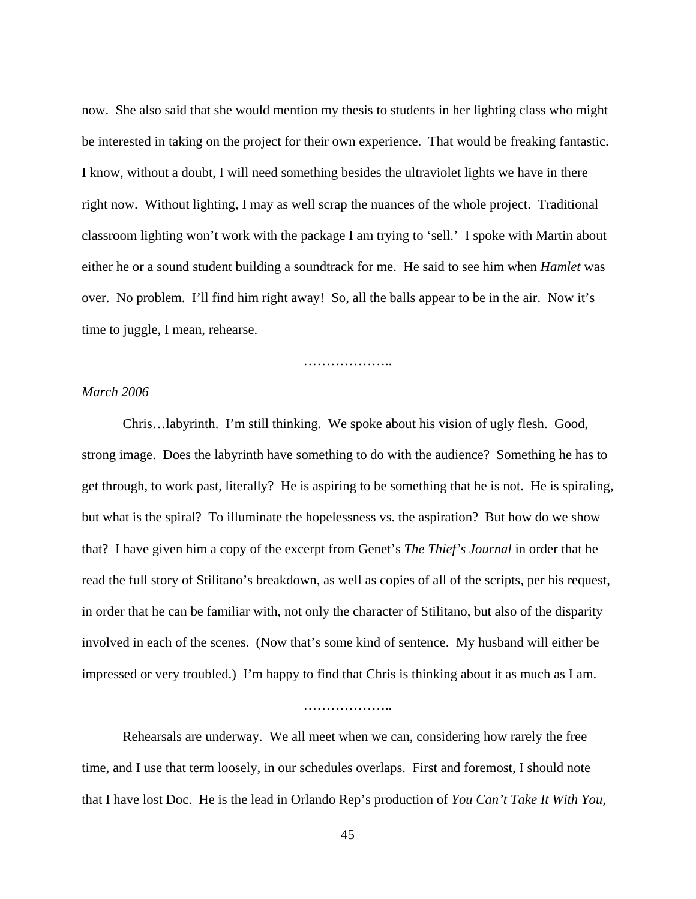now. She also said that she would mention my thesis to students in her lighting class who might be interested in taking on the project for their own experience. That would be freaking fantastic. I know, without a doubt, I will need something besides the ultraviolet lights we have in there right now. Without lighting, I may as well scrap the nuances of the whole project. Traditional classroom lighting won't work with the package I am trying to 'sell.' I spoke with Martin about either he or a sound student building a soundtrack for me. He said to see him when *Hamlet* was over. No problem. I'll find him right away! So, all the balls appear to be in the air. Now it's time to juggle, I mean, rehearse.

……………………

# *March 2006*

 Chris…labyrinth. I'm still thinking. We spoke about his vision of ugly flesh. Good, strong image. Does the labyrinth have something to do with the audience? Something he has to get through, to work past, literally? He is aspiring to be something that he is not. He is spiraling, but what is the spiral? To illuminate the hopelessness vs. the aspiration? But how do we show that? I have given him a copy of the excerpt from Genet's *The Thief's Journal* in order that he read the full story of Stilitano's breakdown, as well as copies of all of the scripts, per his request, in order that he can be familiar with, not only the character of Stilitano, but also of the disparity involved in each of the scenes. (Now that's some kind of sentence. My husband will either be impressed or very troubled.) I'm happy to find that Chris is thinking about it as much as I am.

# …………………

 Rehearsals are underway. We all meet when we can, considering how rarely the free time, and I use that term loosely, in our schedules overlaps. First and foremost, I should note that I have lost Doc. He is the lead in Orlando Rep's production of *You Can't Take It With You,*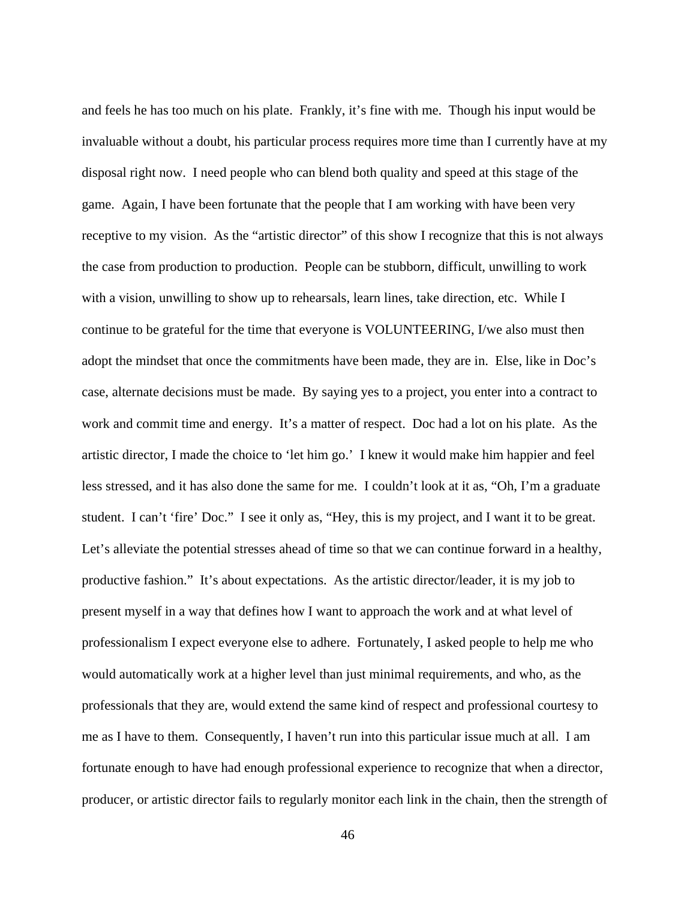and feels he has too much on his plate. Frankly, it's fine with me. Though his input would be invaluable without a doubt, his particular process requires more time than I currently have at my disposal right now. I need people who can blend both quality and speed at this stage of the game. Again, I have been fortunate that the people that I am working with have been very receptive to my vision. As the "artistic director" of this show I recognize that this is not always the case from production to production. People can be stubborn, difficult, unwilling to work with a vision, unwilling to show up to rehearsals, learn lines, take direction, etc. While I continue to be grateful for the time that everyone is VOLUNTEERING, I/we also must then adopt the mindset that once the commitments have been made, they are in. Else, like in Doc's case, alternate decisions must be made. By saying yes to a project, you enter into a contract to work and commit time and energy. It's a matter of respect. Doc had a lot on his plate. As the artistic director, I made the choice to 'let him go.' I knew it would make him happier and feel less stressed, and it has also done the same for me. I couldn't look at it as, "Oh, I'm a graduate student. I can't 'fire' Doc." I see it only as, "Hey, this is my project, and I want it to be great. Let's alleviate the potential stresses ahead of time so that we can continue forward in a healthy, productive fashion." It's about expectations. As the artistic director/leader, it is my job to present myself in a way that defines how I want to approach the work and at what level of professionalism I expect everyone else to adhere. Fortunately, I asked people to help me who would automatically work at a higher level than just minimal requirements, and who, as the professionals that they are, would extend the same kind of respect and professional courtesy to me as I have to them. Consequently, I haven't run into this particular issue much at all. I am fortunate enough to have had enough professional experience to recognize that when a director, producer, or artistic director fails to regularly monitor each link in the chain, then the strength of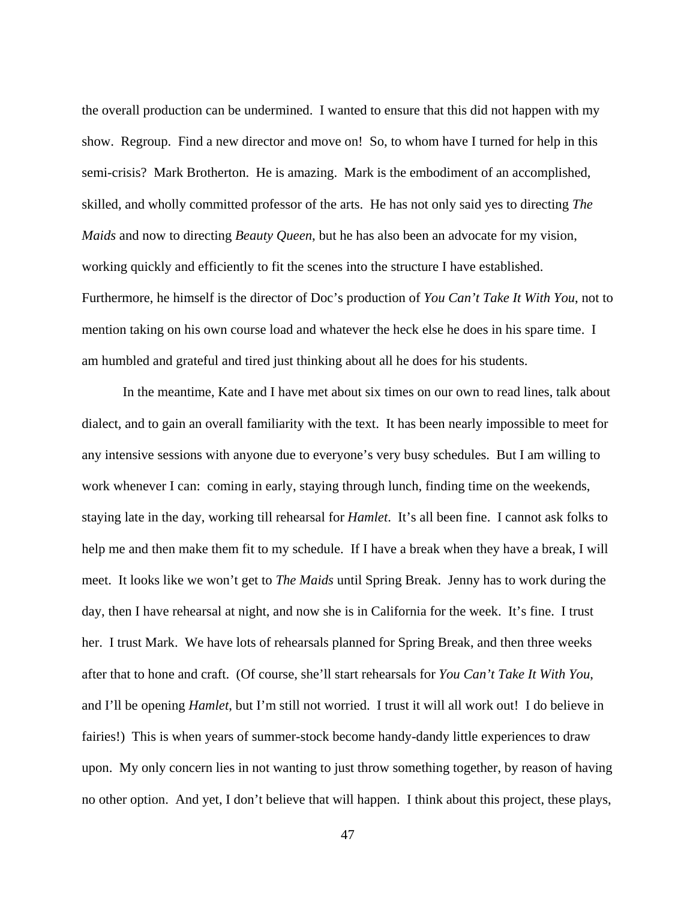the overall production can be undermined. I wanted to ensure that this did not happen with my show. Regroup. Find a new director and move on! So, to whom have I turned for help in this semi-crisis? Mark Brotherton. He is amazing. Mark is the embodiment of an accomplished, skilled, and wholly committed professor of the arts. He has not only said yes to directing *The Maids* and now to directing *Beauty Queen*, but he has also been an advocate for my vision, working quickly and efficiently to fit the scenes into the structure I have established. Furthermore, he himself is the director of Doc's production of *You Can't Take It With You*, not to mention taking on his own course load and whatever the heck else he does in his spare time. I am humbled and grateful and tired just thinking about all he does for his students.

 In the meantime, Kate and I have met about six times on our own to read lines, talk about dialect, and to gain an overall familiarity with the text. It has been nearly impossible to meet for any intensive sessions with anyone due to everyone's very busy schedules. But I am willing to work whenever I can: coming in early, staying through lunch, finding time on the weekends, staying late in the day, working till rehearsal for *Hamlet*. It's all been fine. I cannot ask folks to help me and then make them fit to my schedule. If I have a break when they have a break, I will meet. It looks like we won't get to *The Maids* until Spring Break. Jenny has to work during the day, then I have rehearsal at night, and now she is in California for the week. It's fine. I trust her. I trust Mark. We have lots of rehearsals planned for Spring Break, and then three weeks after that to hone and craft. (Of course, she'll start rehearsals for *You Can't Take It With You*, and I'll be opening *Hamlet*, but I'm still not worried. I trust it will all work out! I do believe in fairies!) This is when years of summer-stock become handy-dandy little experiences to draw upon. My only concern lies in not wanting to just throw something together, by reason of having no other option. And yet, I don't believe that will happen. I think about this project, these plays,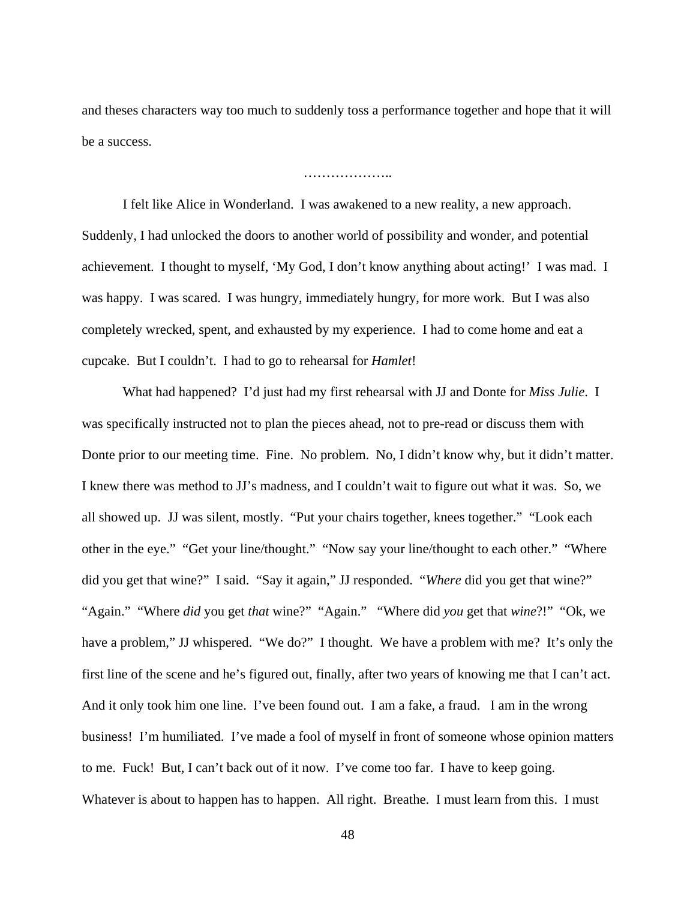and theses characters way too much to suddenly toss a performance together and hope that it will be a success.

#### ………………..

 I felt like Alice in Wonderland. I was awakened to a new reality, a new approach. Suddenly, I had unlocked the doors to another world of possibility and wonder, and potential achievement. I thought to myself, 'My God, I don't know anything about acting!' I was mad. I was happy. I was scared. I was hungry, immediately hungry, for more work. But I was also completely wrecked, spent, and exhausted by my experience. I had to come home and eat a cupcake. But I couldn't. I had to go to rehearsal for *Hamlet*!

 What had happened? I'd just had my first rehearsal with JJ and Donte for *Miss Julie*. I was specifically instructed not to plan the pieces ahead, not to pre-read or discuss them with Donte prior to our meeting time. Fine. No problem. No, I didn't know why, but it didn't matter. I knew there was method to JJ's madness, and I couldn't wait to figure out what it was. So, we all showed up. JJ was silent, mostly. "Put your chairs together, knees together." "Look each other in the eye." "Get your line/thought." "Now say your line/thought to each other." "Where did you get that wine?" I said. "Say it again," JJ responded. "*Where* did you get that wine?" "Again." "Where *did* you get *that* wine?" "Again." "Where did *you* get that *wine*?!" "Ok, we have a problem," JJ whispered. "We do?" I thought. We have a problem with me? It's only the first line of the scene and he's figured out, finally, after two years of knowing me that I can't act. And it only took him one line. I've been found out. I am a fake, a fraud. I am in the wrong business! I'm humiliated. I've made a fool of myself in front of someone whose opinion matters to me. Fuck! But, I can't back out of it now. I've come too far. I have to keep going. Whatever is about to happen has to happen. All right. Breathe. I must learn from this. I must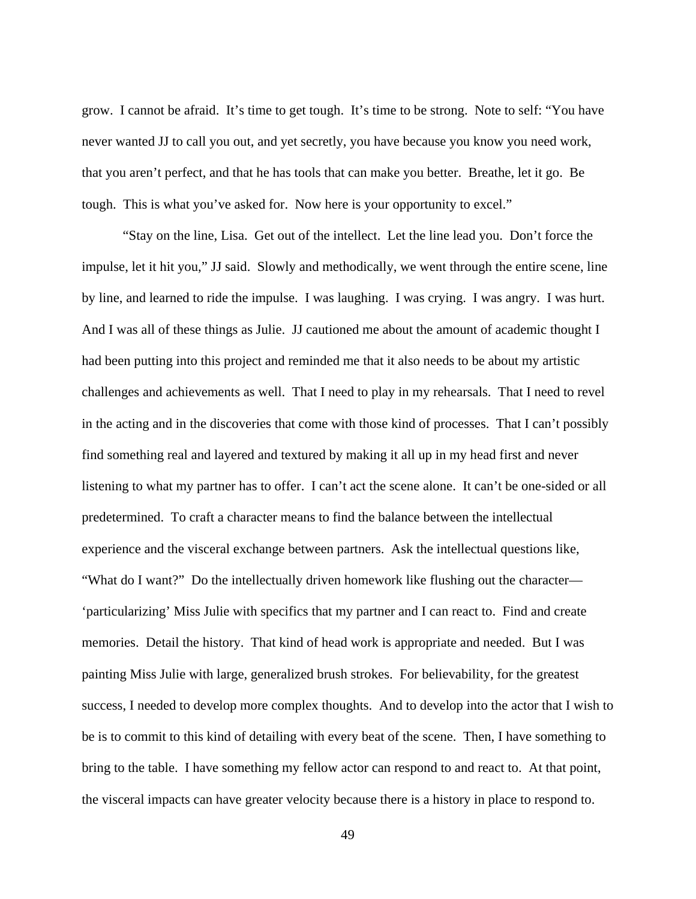grow. I cannot be afraid. It's time to get tough. It's time to be strong. Note to self: "You have never wanted JJ to call you out, and yet secretly, you have because you know you need work, that you aren't perfect, and that he has tools that can make you better. Breathe, let it go. Be tough. This is what you've asked for. Now here is your opportunity to excel."

 "Stay on the line, Lisa. Get out of the intellect. Let the line lead you. Don't force the impulse, let it hit you," JJ said. Slowly and methodically, we went through the entire scene, line by line, and learned to ride the impulse. I was laughing. I was crying. I was angry. I was hurt. And I was all of these things as Julie. JJ cautioned me about the amount of academic thought I had been putting into this project and reminded me that it also needs to be about my artistic challenges and achievements as well. That I need to play in my rehearsals. That I need to revel in the acting and in the discoveries that come with those kind of processes. That I can't possibly find something real and layered and textured by making it all up in my head first and never listening to what my partner has to offer. I can't act the scene alone. It can't be one-sided or all predetermined. To craft a character means to find the balance between the intellectual experience and the visceral exchange between partners. Ask the intellectual questions like, "What do I want?" Do the intellectually driven homework like flushing out the character— 'particularizing' Miss Julie with specifics that my partner and I can react to. Find and create memories. Detail the history. That kind of head work is appropriate and needed. But I was painting Miss Julie with large, generalized brush strokes. For believability, for the greatest success, I needed to develop more complex thoughts. And to develop into the actor that I wish to be is to commit to this kind of detailing with every beat of the scene. Then, I have something to bring to the table. I have something my fellow actor can respond to and react to. At that point, the visceral impacts can have greater velocity because there is a history in place to respond to.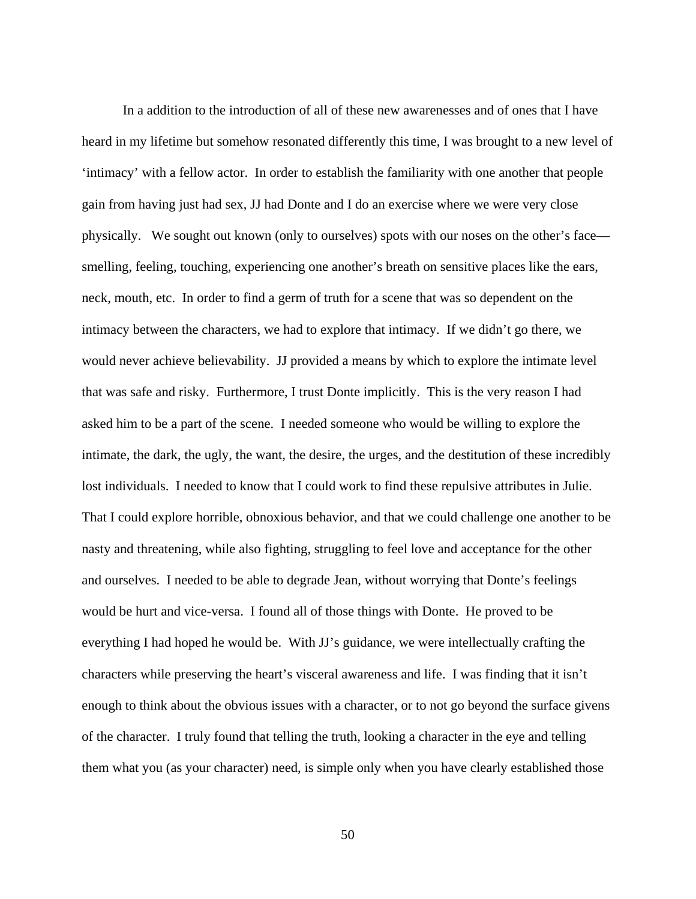In a addition to the introduction of all of these new awarenesses and of ones that I have heard in my lifetime but somehow resonated differently this time, I was brought to a new level of 'intimacy' with a fellow actor. In order to establish the familiarity with one another that people gain from having just had sex, JJ had Donte and I do an exercise where we were very close physically. We sought out known (only to ourselves) spots with our noses on the other's face smelling, feeling, touching, experiencing one another's breath on sensitive places like the ears, neck, mouth, etc. In order to find a germ of truth for a scene that was so dependent on the intimacy between the characters, we had to explore that intimacy. If we didn't go there, we would never achieve believability. JJ provided a means by which to explore the intimate level that was safe and risky. Furthermore, I trust Donte implicitly. This is the very reason I had asked him to be a part of the scene. I needed someone who would be willing to explore the intimate, the dark, the ugly, the want, the desire, the urges, and the destitution of these incredibly lost individuals. I needed to know that I could work to find these repulsive attributes in Julie. That I could explore horrible, obnoxious behavior, and that we could challenge one another to be nasty and threatening, while also fighting, struggling to feel love and acceptance for the other and ourselves. I needed to be able to degrade Jean, without worrying that Donte's feelings would be hurt and vice-versa. I found all of those things with Donte. He proved to be everything I had hoped he would be. With JJ's guidance, we were intellectually crafting the characters while preserving the heart's visceral awareness and life. I was finding that it isn't enough to think about the obvious issues with a character, or to not go beyond the surface givens of the character. I truly found that telling the truth, looking a character in the eye and telling them what you (as your character) need, is simple only when you have clearly established those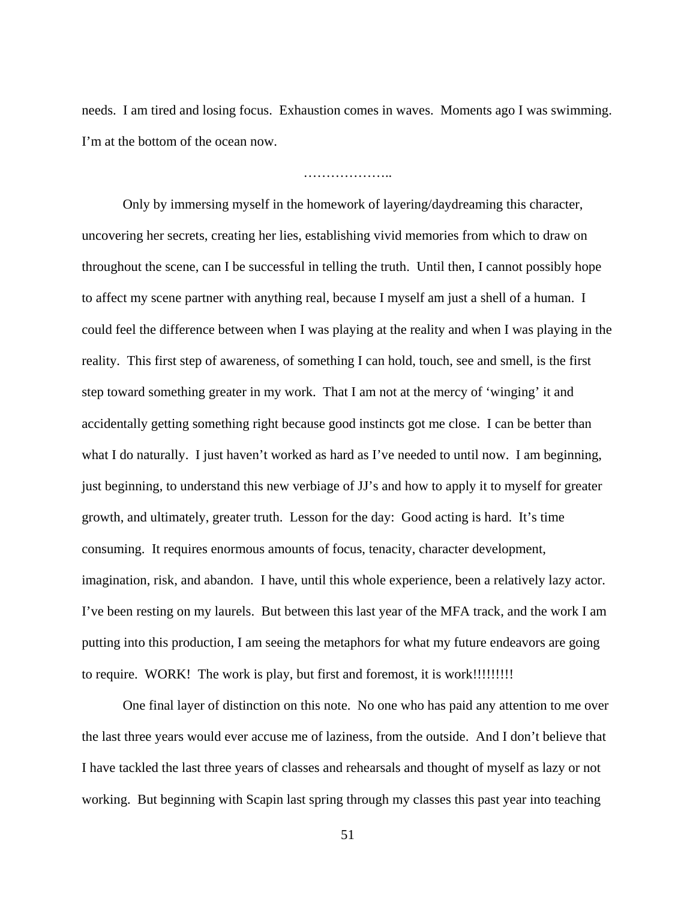needs. I am tired and losing focus. Exhaustion comes in waves. Moments ago I was swimming. I'm at the bottom of the ocean now.

………………..

 Only by immersing myself in the homework of layering/daydreaming this character, uncovering her secrets, creating her lies, establishing vivid memories from which to draw on throughout the scene, can I be successful in telling the truth. Until then, I cannot possibly hope to affect my scene partner with anything real, because I myself am just a shell of a human. I could feel the difference between when I was playing at the reality and when I was playing in the reality. This first step of awareness, of something I can hold, touch, see and smell, is the first step toward something greater in my work. That I am not at the mercy of 'winging' it and accidentally getting something right because good instincts got me close. I can be better than what I do naturally. I just haven't worked as hard as I've needed to until now. I am beginning, just beginning, to understand this new verbiage of JJ's and how to apply it to myself for greater growth, and ultimately, greater truth. Lesson for the day: Good acting is hard. It's time consuming. It requires enormous amounts of focus, tenacity, character development, imagination, risk, and abandon. I have, until this whole experience, been a relatively lazy actor. I've been resting on my laurels. But between this last year of the MFA track, and the work I am putting into this production, I am seeing the metaphors for what my future endeavors are going to require. WORK! The work is play, but first and foremost, it is work!!!!!!!!!!!

 One final layer of distinction on this note. No one who has paid any attention to me over the last three years would ever accuse me of laziness, from the outside. And I don't believe that I have tackled the last three years of classes and rehearsals and thought of myself as lazy or not working. But beginning with Scapin last spring through my classes this past year into teaching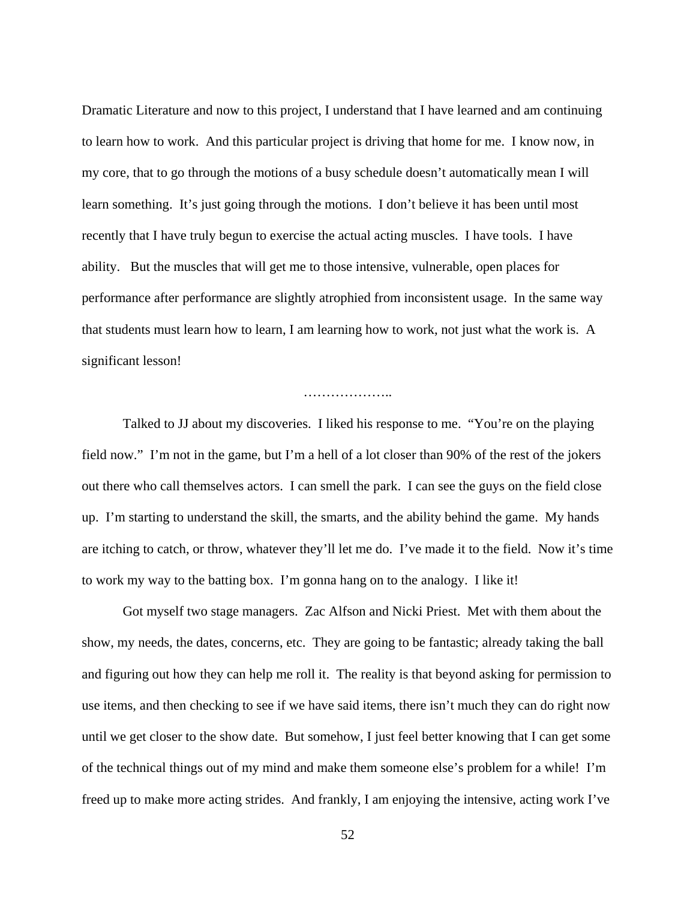Dramatic Literature and now to this project, I understand that I have learned and am continuing to learn how to work. And this particular project is driving that home for me. I know now, in my core, that to go through the motions of a busy schedule doesn't automatically mean I will learn something. It's just going through the motions. I don't believe it has been until most recently that I have truly begun to exercise the actual acting muscles. I have tools. I have ability. But the muscles that will get me to those intensive, vulnerable, open places for performance after performance are slightly atrophied from inconsistent usage. In the same way that students must learn how to learn, I am learning how to work, not just what the work is. A significant lesson!

#### …………………………

 Talked to JJ about my discoveries. I liked his response to me. "You're on the playing field now." I'm not in the game, but I'm a hell of a lot closer than 90% of the rest of the jokers out there who call themselves actors. I can smell the park. I can see the guys on the field close up. I'm starting to understand the skill, the smarts, and the ability behind the game. My hands are itching to catch, or throw, whatever they'll let me do. I've made it to the field. Now it's time to work my way to the batting box. I'm gonna hang on to the analogy. I like it!

 Got myself two stage managers. Zac Alfson and Nicki Priest. Met with them about the show, my needs, the dates, concerns, etc. They are going to be fantastic; already taking the ball and figuring out how they can help me roll it. The reality is that beyond asking for permission to use items, and then checking to see if we have said items, there isn't much they can do right now until we get closer to the show date. But somehow, I just feel better knowing that I can get some of the technical things out of my mind and make them someone else's problem for a while! I'm freed up to make more acting strides. And frankly, I am enjoying the intensive, acting work I've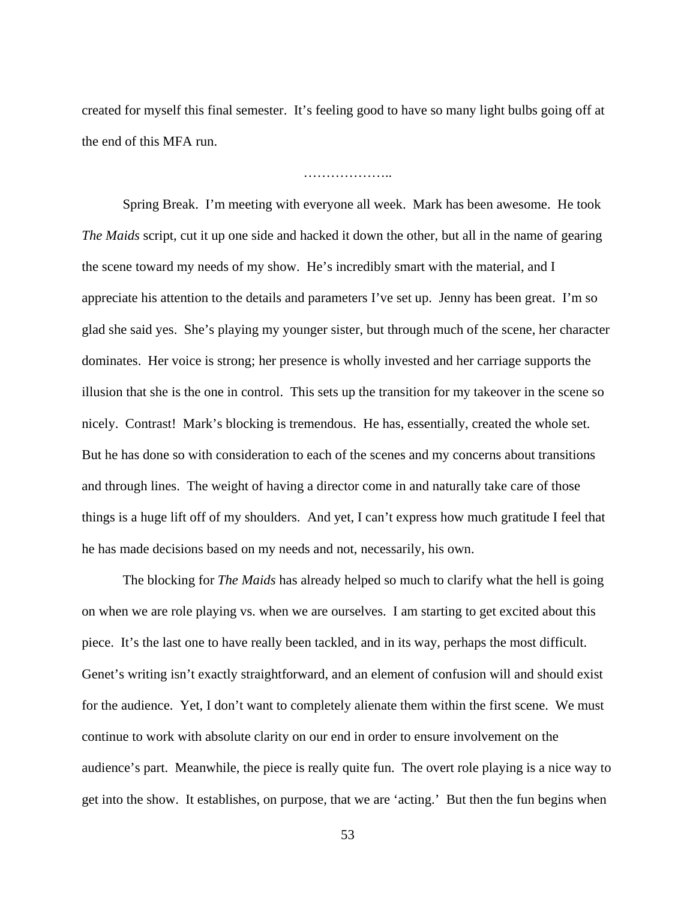created for myself this final semester. It's feeling good to have so many light bulbs going off at the end of this MFA run.

………………..

 Spring Break. I'm meeting with everyone all week. Mark has been awesome. He took *The Maids* script, cut it up one side and hacked it down the other, but all in the name of gearing the scene toward my needs of my show. He's incredibly smart with the material, and I appreciate his attention to the details and parameters I've set up. Jenny has been great. I'm so glad she said yes. She's playing my younger sister, but through much of the scene, her character dominates. Her voice is strong; her presence is wholly invested and her carriage supports the illusion that she is the one in control. This sets up the transition for my takeover in the scene so nicely. Contrast! Mark's blocking is tremendous. He has, essentially, created the whole set. But he has done so with consideration to each of the scenes and my concerns about transitions and through lines. The weight of having a director come in and naturally take care of those things is a huge lift off of my shoulders. And yet, I can't express how much gratitude I feel that he has made decisions based on my needs and not, necessarily, his own.

 The blocking for *The Maids* has already helped so much to clarify what the hell is going on when we are role playing vs. when we are ourselves. I am starting to get excited about this piece. It's the last one to have really been tackled, and in its way, perhaps the most difficult. Genet's writing isn't exactly straightforward, and an element of confusion will and should exist for the audience. Yet, I don't want to completely alienate them within the first scene. We must continue to work with absolute clarity on our end in order to ensure involvement on the audience's part. Meanwhile, the piece is really quite fun. The overt role playing is a nice way to get into the show. It establishes, on purpose, that we are 'acting.' But then the fun begins when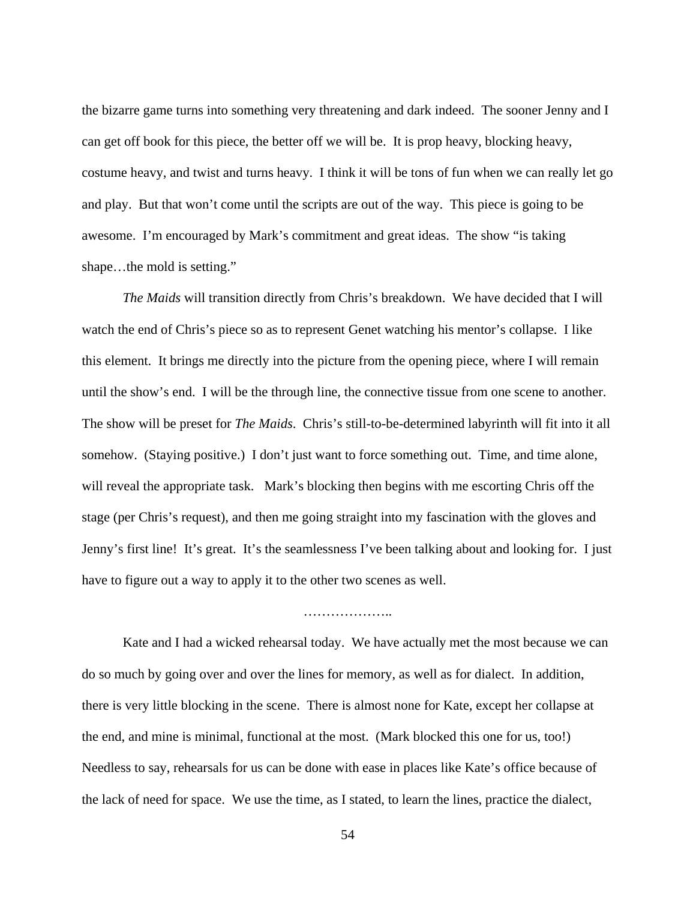the bizarre game turns into something very threatening and dark indeed. The sooner Jenny and I can get off book for this piece, the better off we will be. It is prop heavy, blocking heavy, costume heavy, and twist and turns heavy. I think it will be tons of fun when we can really let go and play. But that won't come until the scripts are out of the way. This piece is going to be awesome. I'm encouraged by Mark's commitment and great ideas. The show "is taking shape...the mold is setting."

 *The Maids* will transition directly from Chris's breakdown. We have decided that I will watch the end of Chris's piece so as to represent Genet watching his mentor's collapse. I like this element. It brings me directly into the picture from the opening piece, where I will remain until the show's end. I will be the through line, the connective tissue from one scene to another. The show will be preset for *The Maids*. Chris's still-to-be-determined labyrinth will fit into it all somehow. (Staying positive.) I don't just want to force something out. Time, and time alone, will reveal the appropriate task. Mark's blocking then begins with me escorting Chris off the stage (per Chris's request), and then me going straight into my fascination with the gloves and Jenny's first line! It's great. It's the seamlessness I've been talking about and looking for. I just have to figure out a way to apply it to the other two scenes as well.

 Kate and I had a wicked rehearsal today. We have actually met the most because we can do so much by going over and over the lines for memory, as well as for dialect. In addition, there is very little blocking in the scene. There is almost none for Kate, except her collapse at the end, and mine is minimal, functional at the most. (Mark blocked this one for us, too!) Needless to say, rehearsals for us can be done with ease in places like Kate's office because of the lack of need for space. We use the time, as I stated, to learn the lines, practice the dialect,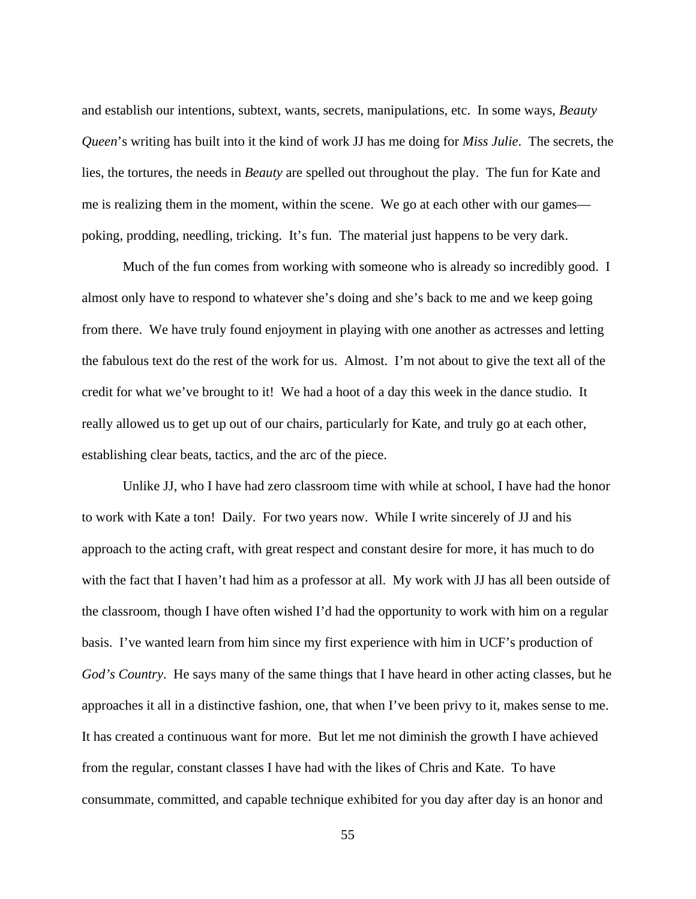and establish our intentions, subtext, wants, secrets, manipulations, etc. In some ways, *Beauty Queen*'s writing has built into it the kind of work JJ has me doing for *Miss Julie*. The secrets, the lies, the tortures, the needs in *Beauty* are spelled out throughout the play. The fun for Kate and me is realizing them in the moment, within the scene. We go at each other with our games poking, prodding, needling, tricking. It's fun. The material just happens to be very dark.

 Much of the fun comes from working with someone who is already so incredibly good. I almost only have to respond to whatever she's doing and she's back to me and we keep going from there. We have truly found enjoyment in playing with one another as actresses and letting the fabulous text do the rest of the work for us. Almost. I'm not about to give the text all of the credit for what we've brought to it! We had a hoot of a day this week in the dance studio. It really allowed us to get up out of our chairs, particularly for Kate, and truly go at each other, establishing clear beats, tactics, and the arc of the piece.

 Unlike JJ, who I have had zero classroom time with while at school, I have had the honor to work with Kate a ton! Daily. For two years now. While I write sincerely of JJ and his approach to the acting craft, with great respect and constant desire for more, it has much to do with the fact that I haven't had him as a professor at all. My work with JJ has all been outside of the classroom, though I have often wished I'd had the opportunity to work with him on a regular basis. I've wanted learn from him since my first experience with him in UCF's production of *God's Country*. He says many of the same things that I have heard in other acting classes, but he approaches it all in a distinctive fashion, one, that when I've been privy to it, makes sense to me. It has created a continuous want for more. But let me not diminish the growth I have achieved from the regular, constant classes I have had with the likes of Chris and Kate. To have consummate, committed, and capable technique exhibited for you day after day is an honor and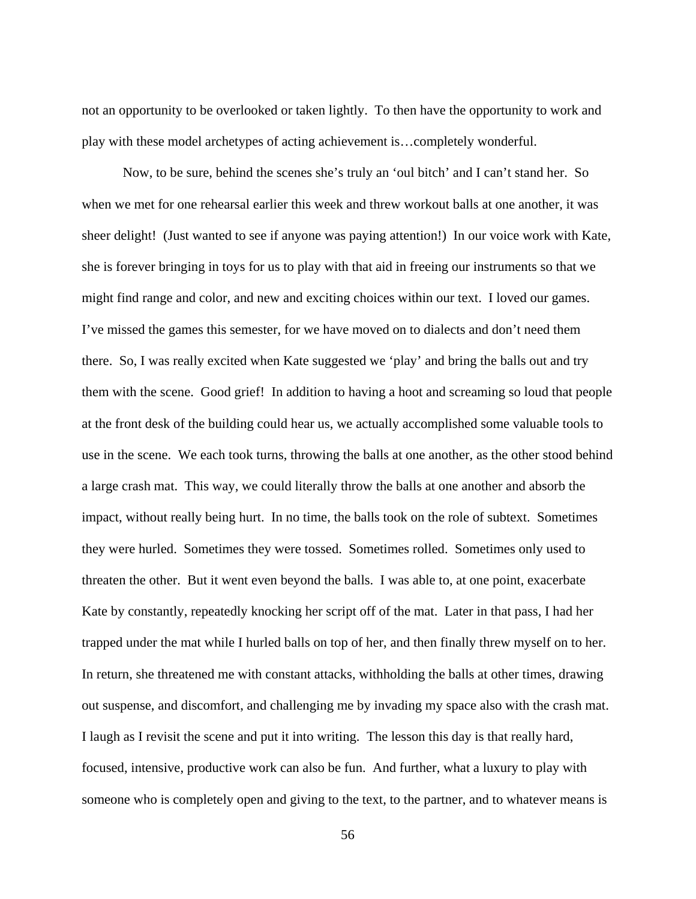not an opportunity to be overlooked or taken lightly. To then have the opportunity to work and play with these model archetypes of acting achievement is…completely wonderful.

 Now, to be sure, behind the scenes she's truly an 'oul bitch' and I can't stand her. So when we met for one rehearsal earlier this week and threw workout balls at one another, it was sheer delight! (Just wanted to see if anyone was paying attention!) In our voice work with Kate, she is forever bringing in toys for us to play with that aid in freeing our instruments so that we might find range and color, and new and exciting choices within our text. I loved our games. I've missed the games this semester, for we have moved on to dialects and don't need them there. So, I was really excited when Kate suggested we 'play' and bring the balls out and try them with the scene. Good grief! In addition to having a hoot and screaming so loud that people at the front desk of the building could hear us, we actually accomplished some valuable tools to use in the scene. We each took turns, throwing the balls at one another, as the other stood behind a large crash mat. This way, we could literally throw the balls at one another and absorb the impact, without really being hurt. In no time, the balls took on the role of subtext. Sometimes they were hurled. Sometimes they were tossed. Sometimes rolled. Sometimes only used to threaten the other. But it went even beyond the balls. I was able to, at one point, exacerbate Kate by constantly, repeatedly knocking her script off of the mat. Later in that pass, I had her trapped under the mat while I hurled balls on top of her, and then finally threw myself on to her. In return, she threatened me with constant attacks, withholding the balls at other times, drawing out suspense, and discomfort, and challenging me by invading my space also with the crash mat. I laugh as I revisit the scene and put it into writing. The lesson this day is that really hard, focused, intensive, productive work can also be fun. And further, what a luxury to play with someone who is completely open and giving to the text, to the partner, and to whatever means is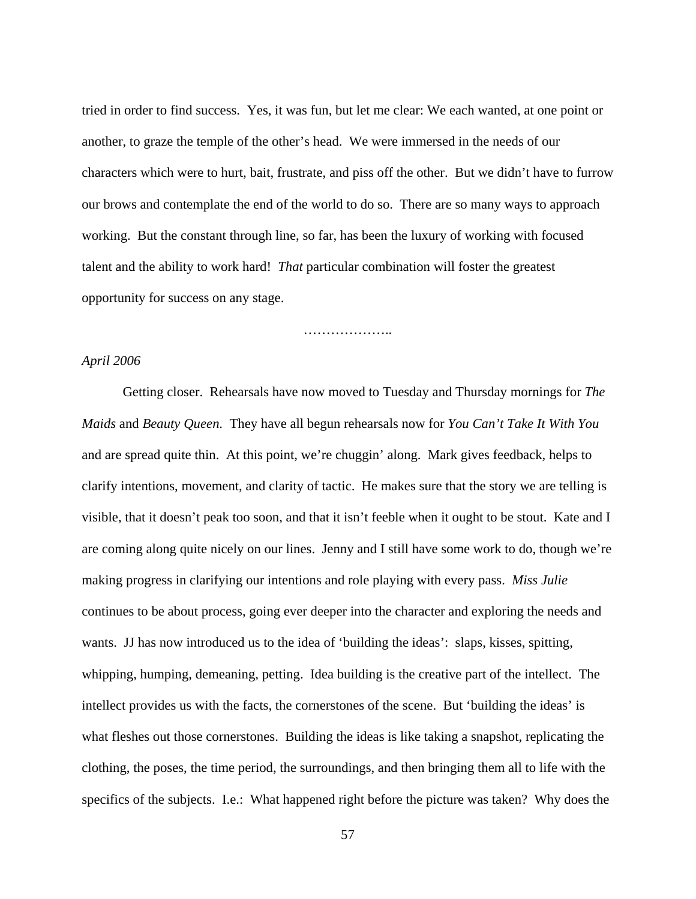tried in order to find success. Yes, it was fun, but let me clear: We each wanted, at one point or another, to graze the temple of the other's head. We were immersed in the needs of our characters which were to hurt, bait, frustrate, and piss off the other. But we didn't have to furrow our brows and contemplate the end of the world to do so. There are so many ways to approach working. But the constant through line, so far, has been the luxury of working with focused talent and the ability to work hard! *That* particular combination will foster the greatest opportunity for success on any stage.

………………..

# *April 2006*

 Getting closer. Rehearsals have now moved to Tuesday and Thursday mornings for *The Maids* and *Beauty Queen*. They have all begun rehearsals now for *You Can't Take It With You* and are spread quite thin. At this point, we're chuggin' along. Mark gives feedback, helps to clarify intentions, movement, and clarity of tactic. He makes sure that the story we are telling is visible, that it doesn't peak too soon, and that it isn't feeble when it ought to be stout. Kate and I are coming along quite nicely on our lines. Jenny and I still have some work to do, though we're making progress in clarifying our intentions and role playing with every pass. *Miss Julie* continues to be about process, going ever deeper into the character and exploring the needs and wants. JJ has now introduced us to the idea of 'building the ideas': slaps, kisses, spitting, whipping, humping, demeaning, petting. Idea building is the creative part of the intellect. The intellect provides us with the facts, the cornerstones of the scene. But 'building the ideas' is what fleshes out those cornerstones. Building the ideas is like taking a snapshot, replicating the clothing, the poses, the time period, the surroundings, and then bringing them all to life with the specifics of the subjects. I.e.: What happened right before the picture was taken? Why does the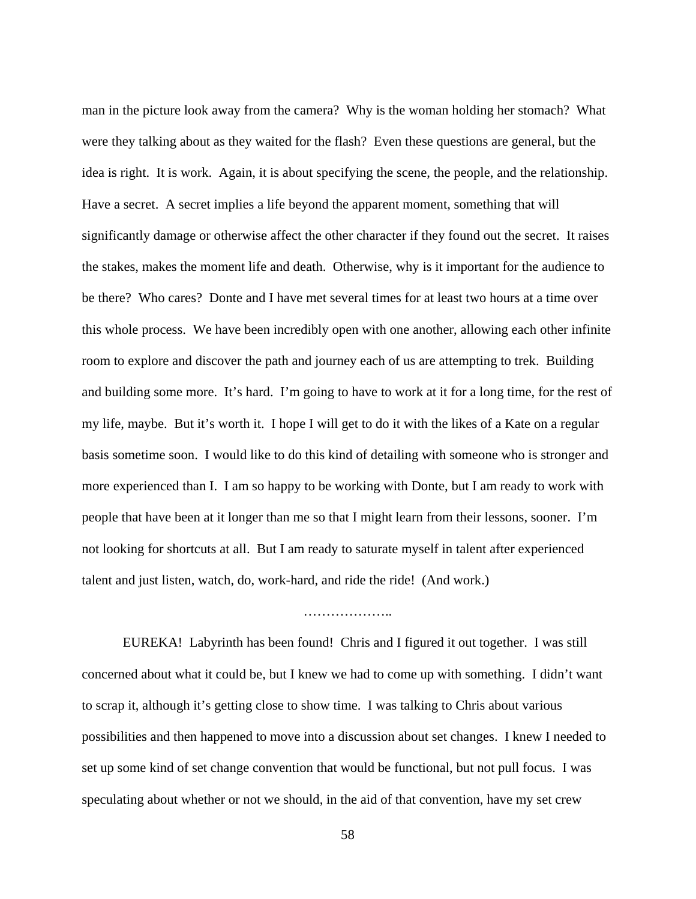man in the picture look away from the camera? Why is the woman holding her stomach? What were they talking about as they waited for the flash? Even these questions are general, but the idea is right. It is work. Again, it is about specifying the scene, the people, and the relationship. Have a secret. A secret implies a life beyond the apparent moment, something that will significantly damage or otherwise affect the other character if they found out the secret. It raises the stakes, makes the moment life and death. Otherwise, why is it important for the audience to be there? Who cares? Donte and I have met several times for at least two hours at a time over this whole process. We have been incredibly open with one another, allowing each other infinite room to explore and discover the path and journey each of us are attempting to trek. Building and building some more. It's hard. I'm going to have to work at it for a long time, for the rest of my life, maybe. But it's worth it. I hope I will get to do it with the likes of a Kate on a regular basis sometime soon. I would like to do this kind of detailing with someone who is stronger and more experienced than I. I am so happy to be working with Donte, but I am ready to work with people that have been at it longer than me so that I might learn from their lessons, sooner. I'm not looking for shortcuts at all. But I am ready to saturate myself in talent after experienced talent and just listen, watch, do, work-hard, and ride the ride! (And work.)

 EUREKA! Labyrinth has been found! Chris and I figured it out together. I was still concerned about what it could be, but I knew we had to come up with something. I didn't want to scrap it, although it's getting close to show time. I was talking to Chris about various possibilities and then happened to move into a discussion about set changes. I knew I needed to set up some kind of set change convention that would be functional, but not pull focus. I was speculating about whether or not we should, in the aid of that convention, have my set crew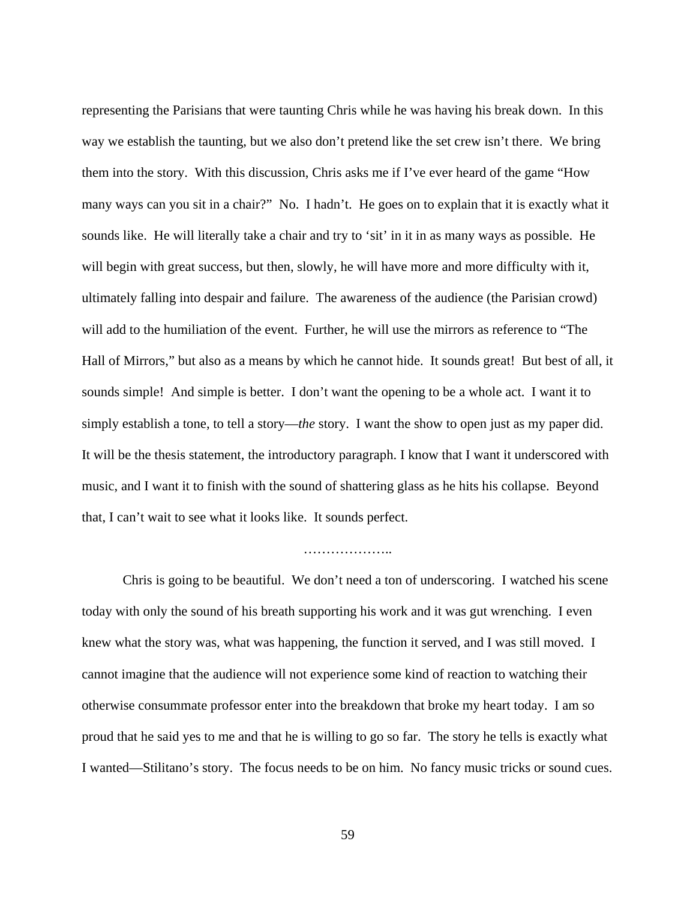representing the Parisians that were taunting Chris while he was having his break down. In this way we establish the taunting, but we also don't pretend like the set crew isn't there. We bring them into the story. With this discussion, Chris asks me if I've ever heard of the game "How many ways can you sit in a chair?" No. I hadn't. He goes on to explain that it is exactly what it sounds like. He will literally take a chair and try to 'sit' in it in as many ways as possible. He will begin with great success, but then, slowly, he will have more and more difficulty with it, ultimately falling into despair and failure. The awareness of the audience (the Parisian crowd) will add to the humiliation of the event. Further, he will use the mirrors as reference to "The Hall of Mirrors," but also as a means by which he cannot hide. It sounds great! But best of all, it sounds simple! And simple is better. I don't want the opening to be a whole act. I want it to simply establish a tone, to tell a story—*the* story. I want the show to open just as my paper did. It will be the thesis statement, the introductory paragraph. I know that I want it underscored with music, and I want it to finish with the sound of shattering glass as he hits his collapse. Beyond that, I can't wait to see what it looks like. It sounds perfect.

# …………………

 Chris is going to be beautiful. We don't need a ton of underscoring. I watched his scene today with only the sound of his breath supporting his work and it was gut wrenching. I even knew what the story was, what was happening, the function it served, and I was still moved. I cannot imagine that the audience will not experience some kind of reaction to watching their otherwise consummate professor enter into the breakdown that broke my heart today. I am so proud that he said yes to me and that he is willing to go so far. The story he tells is exactly what I wanted—Stilitano's story. The focus needs to be on him. No fancy music tricks or sound cues.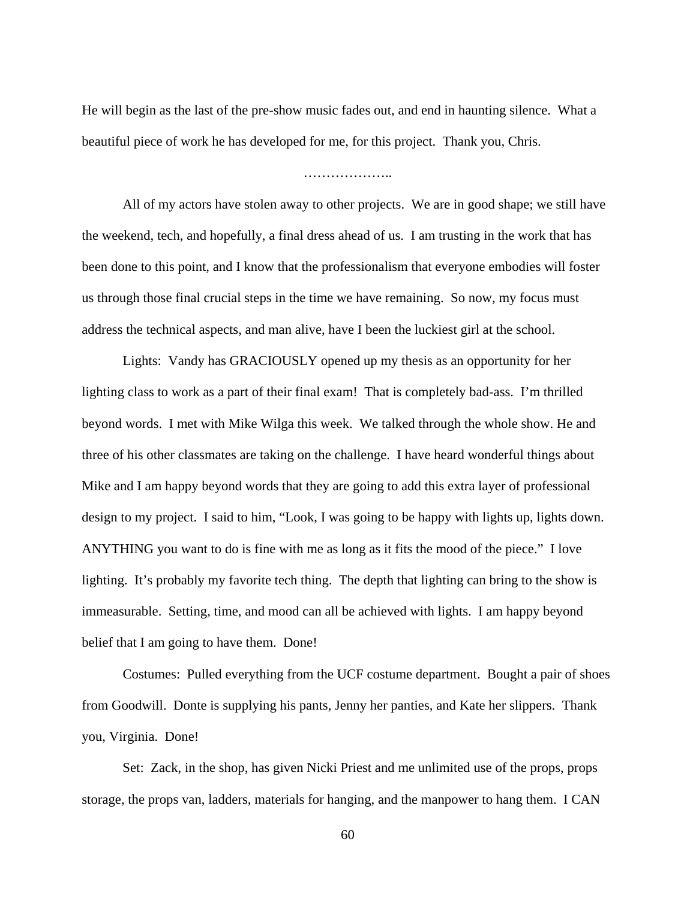He will begin as the last of the pre-show music fades out, and end in haunting silence. What a beautiful piece of work he has developed for me, for this project. Thank you, Chris.

## ………………..

 All of my actors have stolen away to other projects. We are in good shape; we still have the weekend, tech, and hopefully, a final dress ahead of us. I am trusting in the work that has been done to this point, and I know that the professionalism that everyone embodies will foster us through those final crucial steps in the time we have remaining. So now, my focus must address the technical aspects, and man alive, have I been the luckiest girl at the school.

 Lights: Vandy has GRACIOUSLY opened up my thesis as an opportunity for her lighting class to work as a part of their final exam! That is completely bad-ass. I'm thrilled beyond words. I met with Mike Wilga this week. We talked through the whole show. He and three of his other classmates are taking on the challenge. I have heard wonderful things about Mike and I am happy beyond words that they are going to add this extra layer of professional design to my project. I said to him, "Look, I was going to be happy with lights up, lights down. ANYTHING you want to do is fine with me as long as it fits the mood of the piece." I love lighting. It's probably my favorite tech thing. The depth that lighting can bring to the show is immeasurable. Setting, time, and mood can all be achieved with lights. I am happy beyond belief that I am going to have them. Done!

 Costumes: Pulled everything from the UCF costume department. Bought a pair of shoes from Goodwill. Donte is supplying his pants, Jenny her panties, and Kate her slippers. Thank you, Virginia. Done!

 Set: Zack, in the shop, has given Nicki Priest and me unlimited use of the props, props storage, the props van, ladders, materials for hanging, and the manpower to hang them. I CAN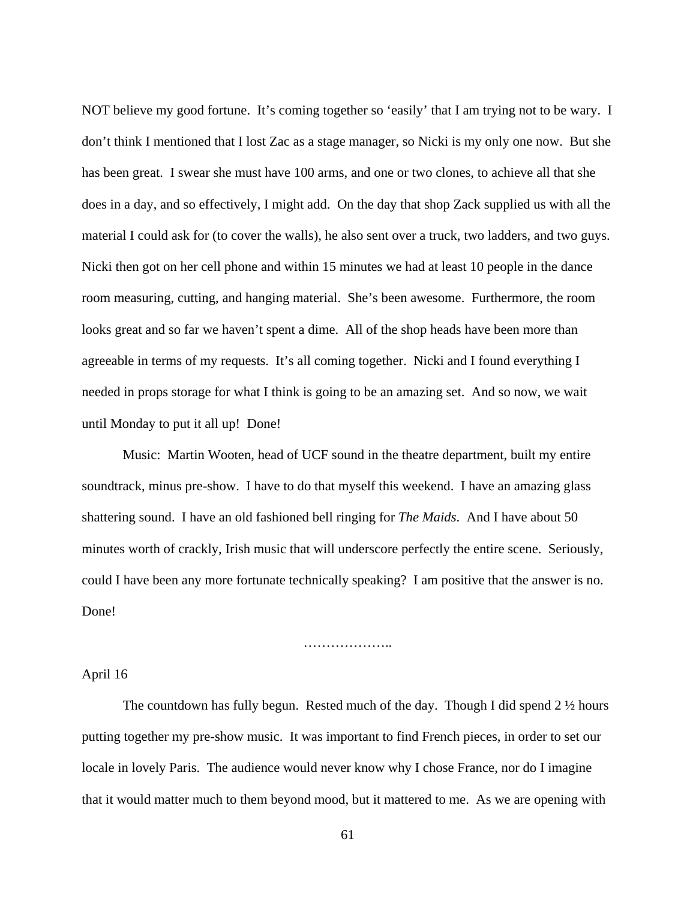NOT believe my good fortune. It's coming together so 'easily' that I am trying not to be wary. I don't think I mentioned that I lost Zac as a stage manager, so Nicki is my only one now. But she has been great. I swear she must have 100 arms, and one or two clones, to achieve all that she does in a day, and so effectively, I might add. On the day that shop Zack supplied us with all the material I could ask for (to cover the walls), he also sent over a truck, two ladders, and two guys. Nicki then got on her cell phone and within 15 minutes we had at least 10 people in the dance room measuring, cutting, and hanging material. She's been awesome. Furthermore, the room looks great and so far we haven't spent a dime. All of the shop heads have been more than agreeable in terms of my requests. It's all coming together. Nicki and I found everything I needed in props storage for what I think is going to be an amazing set. And so now, we wait until Monday to put it all up! Done!

 Music: Martin Wooten, head of UCF sound in the theatre department, built my entire soundtrack, minus pre-show. I have to do that myself this weekend. I have an amazing glass shattering sound. I have an old fashioned bell ringing for *The Maids*. And I have about 50 minutes worth of crackly, Irish music that will underscore perfectly the entire scene. Seriously, could I have been any more fortunate technically speaking? I am positive that the answer is no. Done!

……………………

# April 16

The countdown has fully begun. Rested much of the day. Though I did spend 2  $\frac{1}{2}$  hours putting together my pre-show music. It was important to find French pieces, in order to set our locale in lovely Paris. The audience would never know why I chose France, nor do I imagine that it would matter much to them beyond mood, but it mattered to me. As we are opening with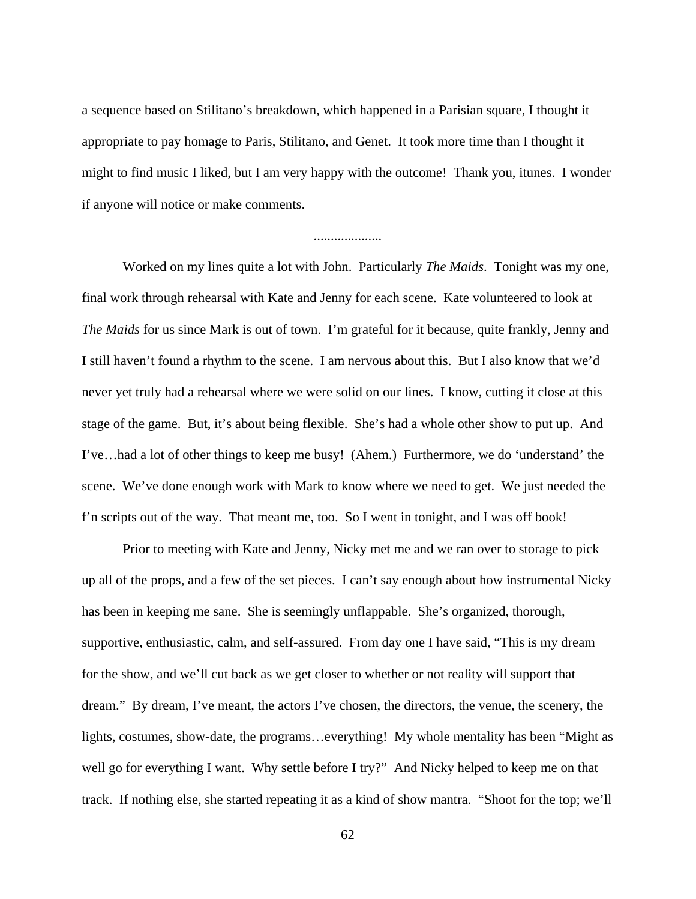a sequence based on Stilitano's breakdown, which happened in a Parisian square, I thought it appropriate to pay homage to Paris, Stilitano, and Genet. It took more time than I thought it might to find music I liked, but I am very happy with the outcome! Thank you, itunes. I wonder if anyone will notice or make comments.

....................

 Worked on my lines quite a lot with John. Particularly *The Maids*. Tonight was my one, final work through rehearsal with Kate and Jenny for each scene. Kate volunteered to look at *The Maids* for us since Mark is out of town. I'm grateful for it because, quite frankly, Jenny and I still haven't found a rhythm to the scene. I am nervous about this. But I also know that we'd never yet truly had a rehearsal where we were solid on our lines. I know, cutting it close at this stage of the game. But, it's about being flexible. She's had a whole other show to put up. And I've…had a lot of other things to keep me busy! (Ahem.) Furthermore, we do 'understand' the scene. We've done enough work with Mark to know where we need to get. We just needed the f'n scripts out of the way. That meant me, too. So I went in tonight, and I was off book!

 Prior to meeting with Kate and Jenny, Nicky met me and we ran over to storage to pick up all of the props, and a few of the set pieces. I can't say enough about how instrumental Nicky has been in keeping me sane. She is seemingly unflappable. She's organized, thorough, supportive, enthusiastic, calm, and self-assured. From day one I have said, "This is my dream for the show, and we'll cut back as we get closer to whether or not reality will support that dream." By dream, I've meant, the actors I've chosen, the directors, the venue, the scenery, the lights, costumes, show-date, the programs…everything! My whole mentality has been "Might as well go for everything I want. Why settle before I try?" And Nicky helped to keep me on that track. If nothing else, she started repeating it as a kind of show mantra. "Shoot for the top; we'll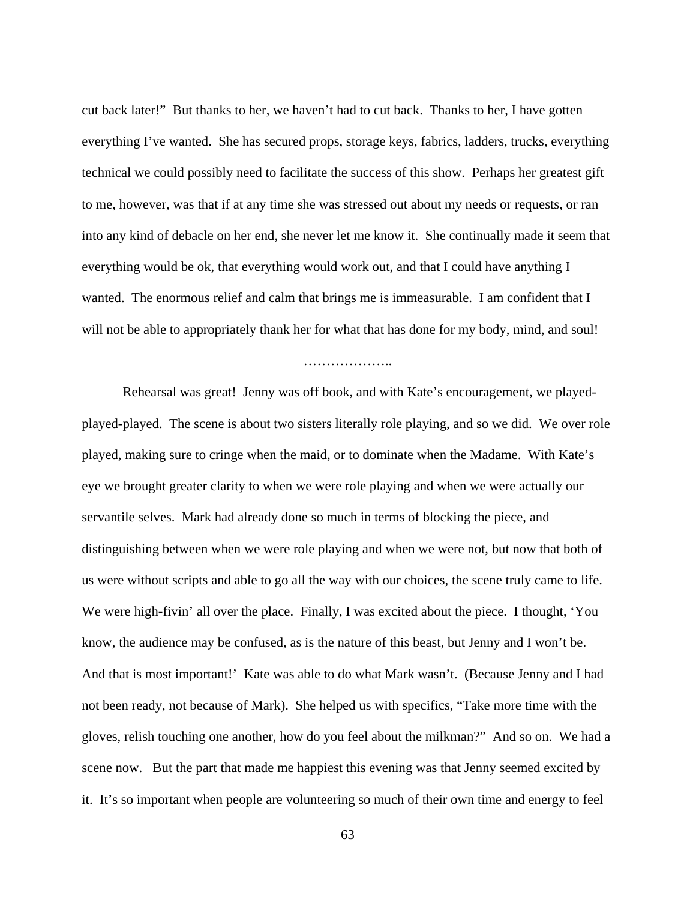cut back later!" But thanks to her, we haven't had to cut back. Thanks to her, I have gotten everything I've wanted. She has secured props, storage keys, fabrics, ladders, trucks, everything technical we could possibly need to facilitate the success of this show. Perhaps her greatest gift to me, however, was that if at any time she was stressed out about my needs or requests, or ran into any kind of debacle on her end, she never let me know it. She continually made it seem that everything would be ok, that everything would work out, and that I could have anything I wanted. The enormous relief and calm that brings me is immeasurable. I am confident that I will not be able to appropriately thank her for what that has done for my body, mind, and soul!

………………………

 Rehearsal was great! Jenny was off book, and with Kate's encouragement, we playedplayed-played. The scene is about two sisters literally role playing, and so we did. We over role played, making sure to cringe when the maid, or to dominate when the Madame. With Kate's eye we brought greater clarity to when we were role playing and when we were actually our servantile selves. Mark had already done so much in terms of blocking the piece, and distinguishing between when we were role playing and when we were not, but now that both of us were without scripts and able to go all the way with our choices, the scene truly came to life. We were high-fivin' all over the place. Finally, I was excited about the piece. I thought, 'You know, the audience may be confused, as is the nature of this beast, but Jenny and I won't be. And that is most important!' Kate was able to do what Mark wasn't. (Because Jenny and I had not been ready, not because of Mark). She helped us with specifics, "Take more time with the gloves, relish touching one another, how do you feel about the milkman?" And so on. We had a scene now. But the part that made me happiest this evening was that Jenny seemed excited by it. It's so important when people are volunteering so much of their own time and energy to feel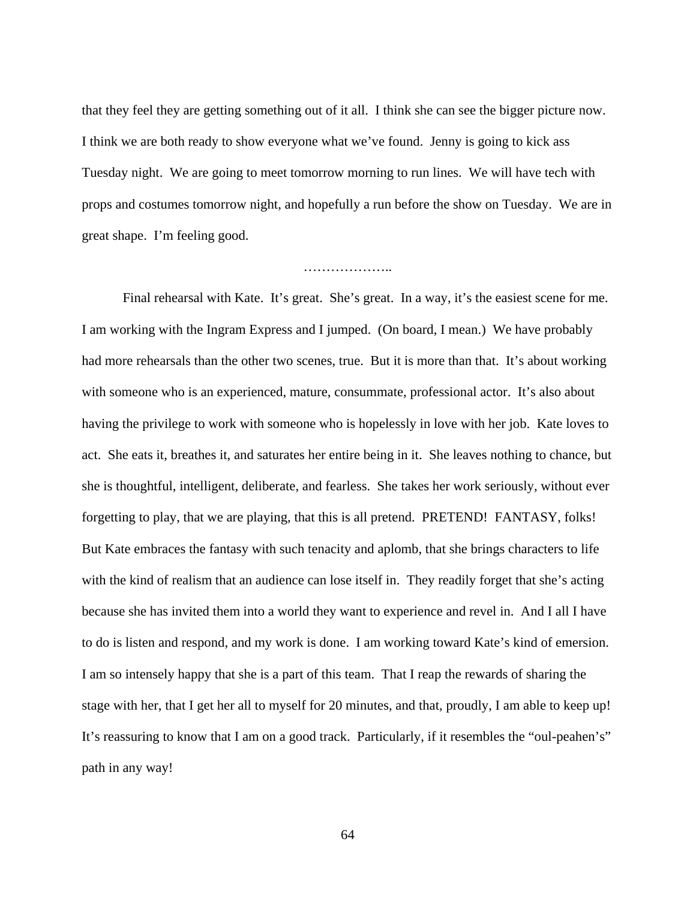that they feel they are getting something out of it all. I think she can see the bigger picture now. I think we are both ready to show everyone what we've found. Jenny is going to kick ass Tuesday night. We are going to meet tomorrow morning to run lines. We will have tech with props and costumes tomorrow night, and hopefully a run before the show on Tuesday. We are in great shape. I'm feeling good.

#### . . . . . . . . . . . . . . . . . . . .

 Final rehearsal with Kate. It's great. She's great. In a way, it's the easiest scene for me. I am working with the Ingram Express and I jumped. (On board, I mean.) We have probably had more rehearsals than the other two scenes, true. But it is more than that. It's about working with someone who is an experienced, mature, consummate, professional actor. It's also about having the privilege to work with someone who is hopelessly in love with her job. Kate loves to act. She eats it, breathes it, and saturates her entire being in it. She leaves nothing to chance, but she is thoughtful, intelligent, deliberate, and fearless. She takes her work seriously, without ever forgetting to play, that we are playing, that this is all pretend. PRETEND! FANTASY, folks! But Kate embraces the fantasy with such tenacity and aplomb, that she brings characters to life with the kind of realism that an audience can lose itself in. They readily forget that she's acting because she has invited them into a world they want to experience and revel in. And I all I have to do is listen and respond, and my work is done. I am working toward Kate's kind of emersion. I am so intensely happy that she is a part of this team. That I reap the rewards of sharing the stage with her, that I get her all to myself for 20 minutes, and that, proudly, I am able to keep up! It's reassuring to know that I am on a good track. Particularly, if it resembles the "oul-peahen's" path in any way!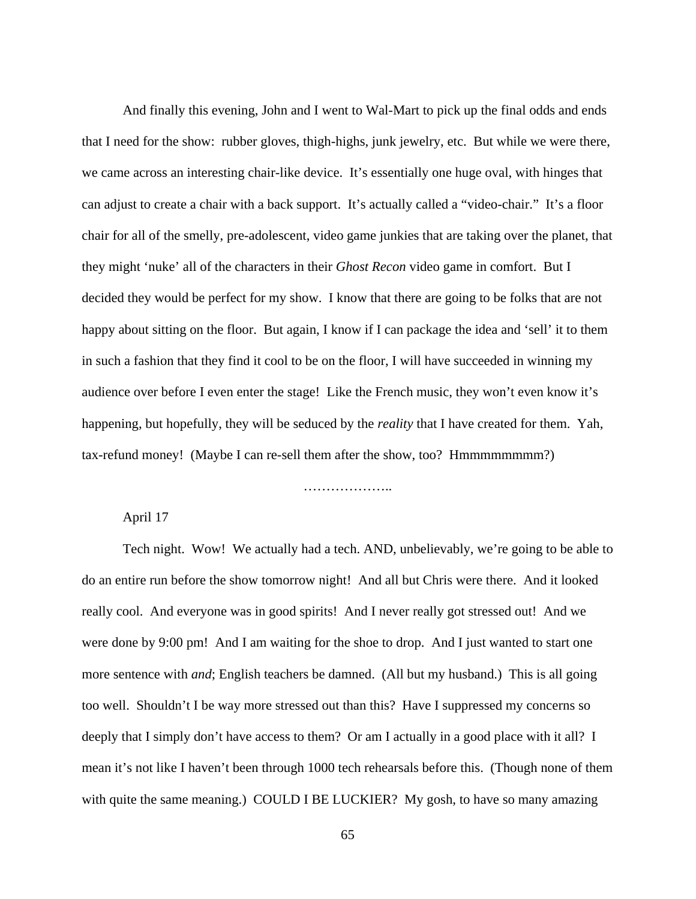And finally this evening, John and I went to Wal-Mart to pick up the final odds and ends that I need for the show: rubber gloves, thigh-highs, junk jewelry, etc. But while we were there, we came across an interesting chair-like device. It's essentially one huge oval, with hinges that can adjust to create a chair with a back support. It's actually called a "video-chair." It's a floor chair for all of the smelly, pre-adolescent, video game junkies that are taking over the planet, that they might 'nuke' all of the characters in their *Ghost Recon* video game in comfort. But I decided they would be perfect for my show. I know that there are going to be folks that are not happy about sitting on the floor. But again, I know if I can package the idea and 'sell' it to them in such a fashion that they find it cool to be on the floor, I will have succeeded in winning my audience over before I even enter the stage! Like the French music, they won't even know it's happening, but hopefully, they will be seduced by the *reality* that I have created for them. Yah, tax-refund money! (Maybe I can re-sell them after the show, too? Hmmmmmmmm?)

………………..

# April 17

 Tech night. Wow! We actually had a tech. AND, unbelievably, we're going to be able to do an entire run before the show tomorrow night! And all but Chris were there. And it looked really cool. And everyone was in good spirits! And I never really got stressed out! And we were done by 9:00 pm! And I am waiting for the shoe to drop. And I just wanted to start one more sentence with *and*; English teachers be damned. (All but my husband.) This is all going too well. Shouldn't I be way more stressed out than this? Have I suppressed my concerns so deeply that I simply don't have access to them? Or am I actually in a good place with it all? I mean it's not like I haven't been through 1000 tech rehearsals before this. (Though none of them with quite the same meaning.) COULD I BE LUCKIER? My gosh, to have so many amazing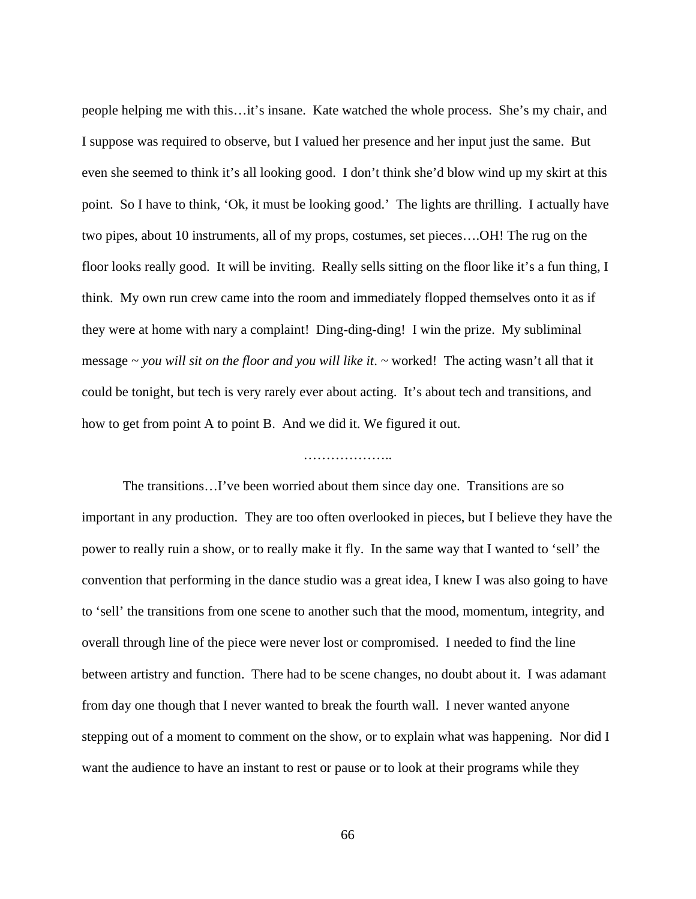people helping me with this…it's insane. Kate watched the whole process. She's my chair, and I suppose was required to observe, but I valued her presence and her input just the same. But even she seemed to think it's all looking good. I don't think she'd blow wind up my skirt at this point. So I have to think, 'Ok, it must be looking good.' The lights are thrilling. I actually have two pipes, about 10 instruments, all of my props, costumes, set pieces….OH! The rug on the floor looks really good. It will be inviting. Really sells sitting on the floor like it's a fun thing, I think. My own run crew came into the room and immediately flopped themselves onto it as if they were at home with nary a complaint! Ding-ding-ding! I win the prize. My subliminal message *~ you will sit on the floor and you will like it*. *~* worked! The acting wasn't all that it could be tonight, but tech is very rarely ever about acting. It's about tech and transitions, and how to get from point A to point B. And we did it. We figured it out.

# …………………

 The transitions…I've been worried about them since day one. Transitions are so important in any production. They are too often overlooked in pieces, but I believe they have the power to really ruin a show, or to really make it fly. In the same way that I wanted to 'sell' the convention that performing in the dance studio was a great idea, I knew I was also going to have to 'sell' the transitions from one scene to another such that the mood, momentum, integrity, and overall through line of the piece were never lost or compromised. I needed to find the line between artistry and function. There had to be scene changes, no doubt about it. I was adamant from day one though that I never wanted to break the fourth wall. I never wanted anyone stepping out of a moment to comment on the show, or to explain what was happening. Nor did I want the audience to have an instant to rest or pause or to look at their programs while they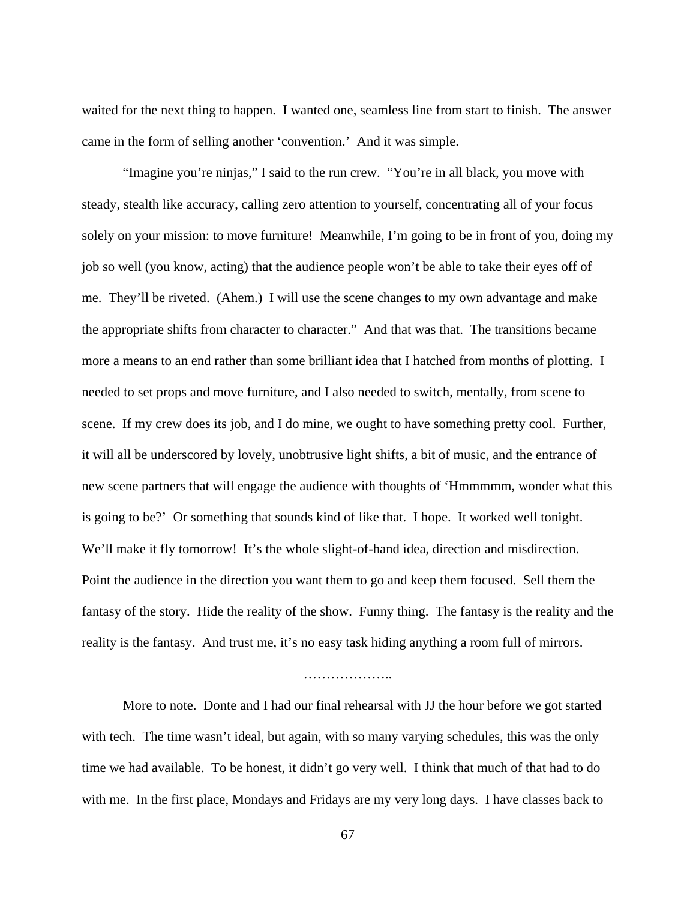waited for the next thing to happen. I wanted one, seamless line from start to finish. The answer came in the form of selling another 'convention.' And it was simple.

 "Imagine you're ninjas," I said to the run crew. "You're in all black, you move with steady, stealth like accuracy, calling zero attention to yourself, concentrating all of your focus solely on your mission: to move furniture! Meanwhile, I'm going to be in front of you, doing my job so well (you know, acting) that the audience people won't be able to take their eyes off of me. They'll be riveted. (Ahem.) I will use the scene changes to my own advantage and make the appropriate shifts from character to character." And that was that. The transitions became more a means to an end rather than some brilliant idea that I hatched from months of plotting. I needed to set props and move furniture, and I also needed to switch, mentally, from scene to scene. If my crew does its job, and I do mine, we ought to have something pretty cool. Further, it will all be underscored by lovely, unobtrusive light shifts, a bit of music, and the entrance of new scene partners that will engage the audience with thoughts of 'Hmmmmm, wonder what this is going to be?' Or something that sounds kind of like that. I hope. It worked well tonight. We'll make it fly tomorrow! It's the whole slight-of-hand idea, direction and misdirection. Point the audience in the direction you want them to go and keep them focused. Sell them the fantasy of the story. Hide the reality of the show. Funny thing. The fantasy is the reality and the reality is the fantasy. And trust me, it's no easy task hiding anything a room full of mirrors.

#### ………………..

 More to note. Donte and I had our final rehearsal with JJ the hour before we got started with tech. The time wasn't ideal, but again, with so many varying schedules, this was the only time we had available. To be honest, it didn't go very well. I think that much of that had to do with me. In the first place, Mondays and Fridays are my very long days. I have classes back to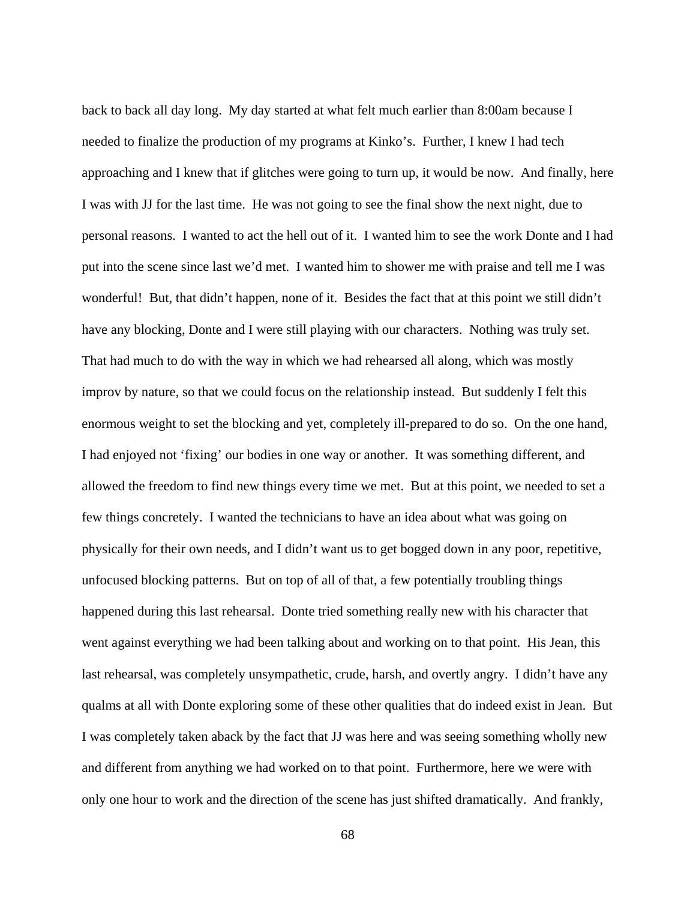back to back all day long. My day started at what felt much earlier than 8:00am because I needed to finalize the production of my programs at Kinko's. Further, I knew I had tech approaching and I knew that if glitches were going to turn up, it would be now. And finally, here I was with JJ for the last time. He was not going to see the final show the next night, due to personal reasons. I wanted to act the hell out of it. I wanted him to see the work Donte and I had put into the scene since last we'd met. I wanted him to shower me with praise and tell me I was wonderful! But, that didn't happen, none of it. Besides the fact that at this point we still didn't have any blocking, Donte and I were still playing with our characters. Nothing was truly set. That had much to do with the way in which we had rehearsed all along, which was mostly improv by nature, so that we could focus on the relationship instead. But suddenly I felt this enormous weight to set the blocking and yet, completely ill-prepared to do so. On the one hand, I had enjoyed not 'fixing' our bodies in one way or another. It was something different, and allowed the freedom to find new things every time we met. But at this point, we needed to set a few things concretely. I wanted the technicians to have an idea about what was going on physically for their own needs, and I didn't want us to get bogged down in any poor, repetitive, unfocused blocking patterns. But on top of all of that, a few potentially troubling things happened during this last rehearsal. Donte tried something really new with his character that went against everything we had been talking about and working on to that point. His Jean, this last rehearsal, was completely unsympathetic, crude, harsh, and overtly angry. I didn't have any qualms at all with Donte exploring some of these other qualities that do indeed exist in Jean. But I was completely taken aback by the fact that JJ was here and was seeing something wholly new and different from anything we had worked on to that point. Furthermore, here we were with only one hour to work and the direction of the scene has just shifted dramatically. And frankly,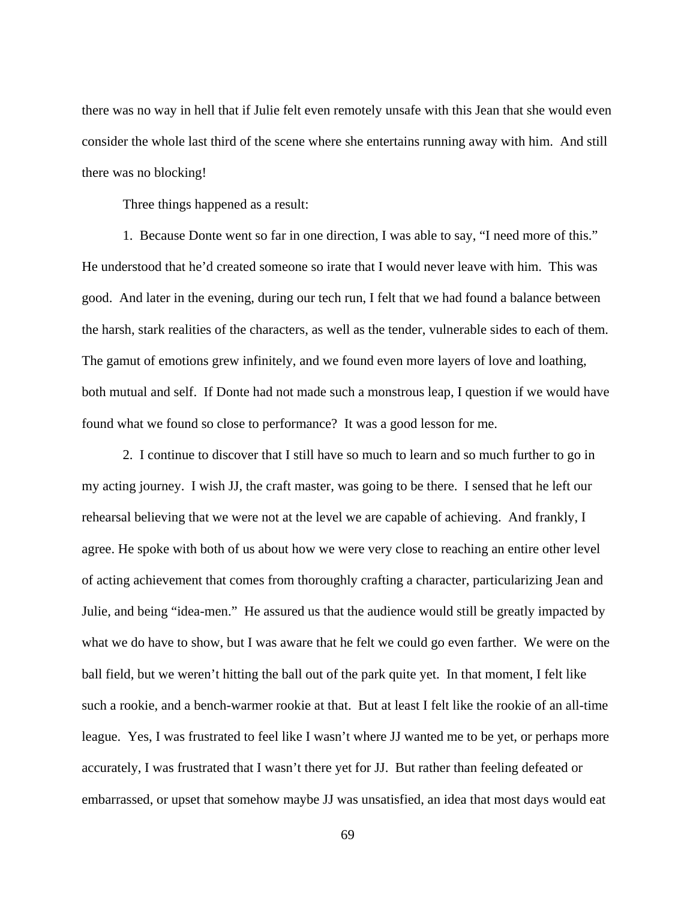there was no way in hell that if Julie felt even remotely unsafe with this Jean that she would even consider the whole last third of the scene where she entertains running away with him. And still there was no blocking!

Three things happened as a result:

 1. Because Donte went so far in one direction, I was able to say, "I need more of this." He understood that he'd created someone so irate that I would never leave with him. This was good. And later in the evening, during our tech run, I felt that we had found a balance between the harsh, stark realities of the characters, as well as the tender, vulnerable sides to each of them. The gamut of emotions grew infinitely, and we found even more layers of love and loathing, both mutual and self. If Donte had not made such a monstrous leap, I question if we would have found what we found so close to performance? It was a good lesson for me.

 2. I continue to discover that I still have so much to learn and so much further to go in my acting journey. I wish JJ, the craft master, was going to be there. I sensed that he left our rehearsal believing that we were not at the level we are capable of achieving. And frankly, I agree. He spoke with both of us about how we were very close to reaching an entire other level of acting achievement that comes from thoroughly crafting a character, particularizing Jean and Julie, and being "idea-men." He assured us that the audience would still be greatly impacted by what we do have to show, but I was aware that he felt we could go even farther. We were on the ball field, but we weren't hitting the ball out of the park quite yet. In that moment, I felt like such a rookie, and a bench-warmer rookie at that. But at least I felt like the rookie of an all-time league. Yes, I was frustrated to feel like I wasn't where JJ wanted me to be yet, or perhaps more accurately, I was frustrated that I wasn't there yet for JJ. But rather than feeling defeated or embarrassed, or upset that somehow maybe JJ was unsatisfied, an idea that most days would eat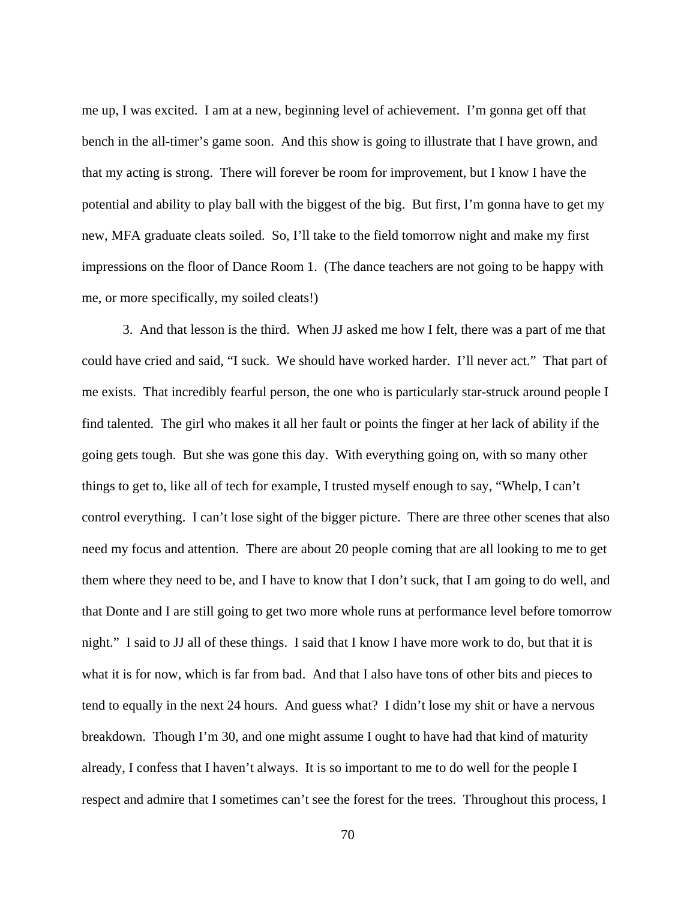me up, I was excited. I am at a new, beginning level of achievement. I'm gonna get off that bench in the all-timer's game soon. And this show is going to illustrate that I have grown, and that my acting is strong. There will forever be room for improvement, but I know I have the potential and ability to play ball with the biggest of the big. But first, I'm gonna have to get my new, MFA graduate cleats soiled. So, I'll take to the field tomorrow night and make my first impressions on the floor of Dance Room 1. (The dance teachers are not going to be happy with me, or more specifically, my soiled cleats!)

 3. And that lesson is the third. When JJ asked me how I felt, there was a part of me that could have cried and said, "I suck. We should have worked harder. I'll never act." That part of me exists. That incredibly fearful person, the one who is particularly star-struck around people I find talented. The girl who makes it all her fault or points the finger at her lack of ability if the going gets tough. But she was gone this day. With everything going on, with so many other things to get to, like all of tech for example, I trusted myself enough to say, "Whelp, I can't control everything. I can't lose sight of the bigger picture. There are three other scenes that also need my focus and attention. There are about 20 people coming that are all looking to me to get them where they need to be, and I have to know that I don't suck, that I am going to do well, and that Donte and I are still going to get two more whole runs at performance level before tomorrow night." I said to JJ all of these things. I said that I know I have more work to do, but that it is what it is for now, which is far from bad. And that I also have tons of other bits and pieces to tend to equally in the next 24 hours. And guess what? I didn't lose my shit or have a nervous breakdown. Though I'm 30, and one might assume I ought to have had that kind of maturity already, I confess that I haven't always. It is so important to me to do well for the people I respect and admire that I sometimes can't see the forest for the trees. Throughout this process, I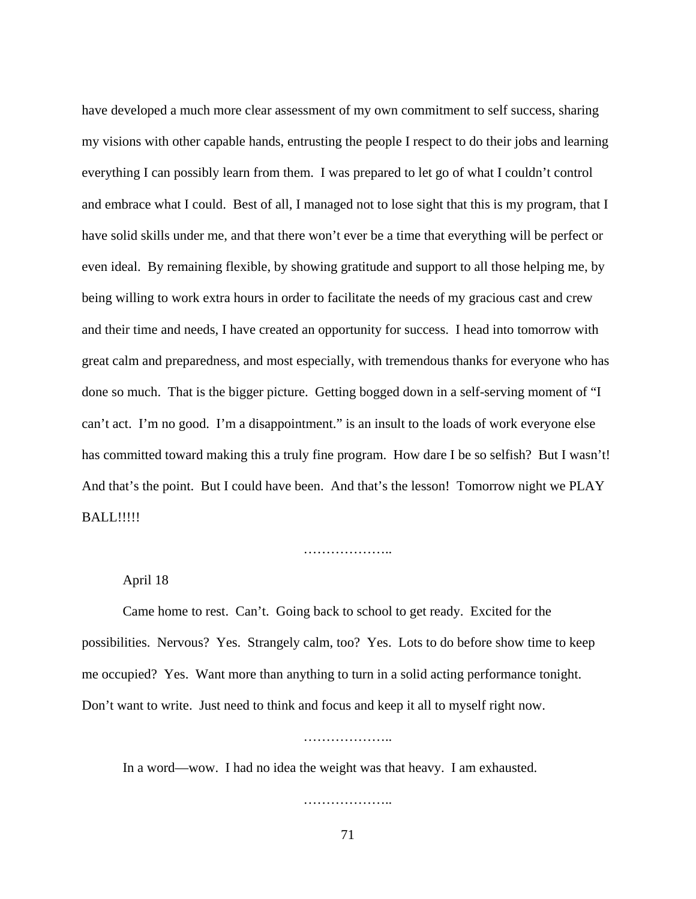have developed a much more clear assessment of my own commitment to self success, sharing my visions with other capable hands, entrusting the people I respect to do their jobs and learning everything I can possibly learn from them. I was prepared to let go of what I couldn't control and embrace what I could. Best of all, I managed not to lose sight that this is my program, that I have solid skills under me, and that there won't ever be a time that everything will be perfect or even ideal. By remaining flexible, by showing gratitude and support to all those helping me, by being willing to work extra hours in order to facilitate the needs of my gracious cast and crew and their time and needs, I have created an opportunity for success. I head into tomorrow with great calm and preparedness, and most especially, with tremendous thanks for everyone who has done so much. That is the bigger picture. Getting bogged down in a self-serving moment of "I can't act. I'm no good. I'm a disappointment." is an insult to the loads of work everyone else has committed toward making this a truly fine program. How dare I be so selfish? But I wasn't! And that's the point. But I could have been. And that's the lesson! Tomorrow night we PLAY **BALL!!!!!** 

…………………

April 18

 Came home to rest. Can't. Going back to school to get ready. Excited for the possibilities. Nervous? Yes. Strangely calm, too? Yes. Lots to do before show time to keep me occupied? Yes. Want more than anything to turn in a solid acting performance tonight. Don't want to write. Just need to think and focus and keep it all to myself right now.

……………………

In a word—wow. I had no idea the weight was that heavy. I am exhausted.

…………………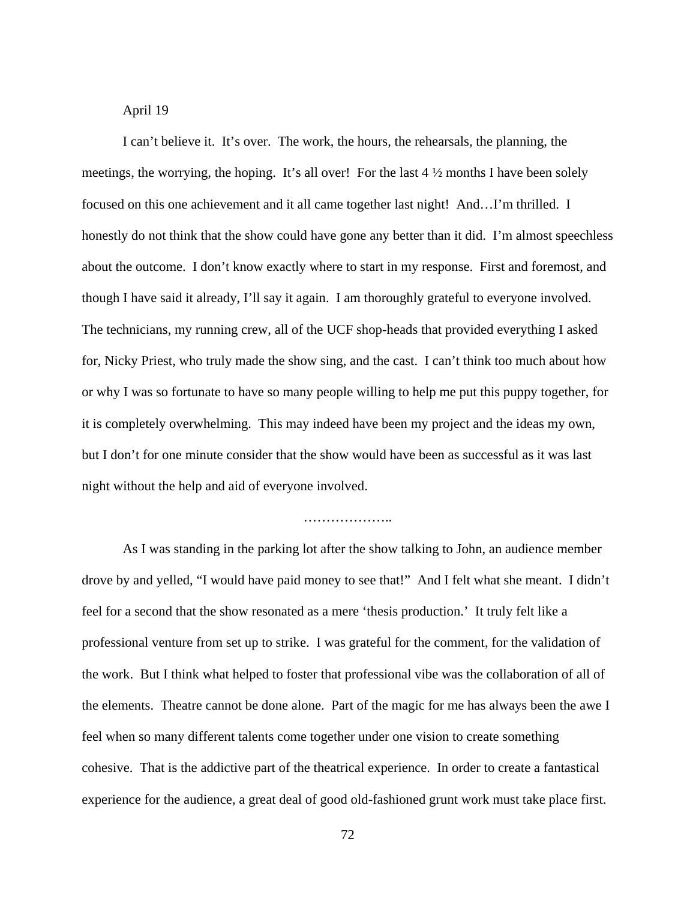## April 19

 I can't believe it. It's over. The work, the hours, the rehearsals, the planning, the meetings, the worrying, the hoping. It's all over! For the last  $4\frac{1}{2}$  months I have been solely focused on this one achievement and it all came together last night! And…I'm thrilled. I honestly do not think that the show could have gone any better than it did. I'm almost speechless about the outcome. I don't know exactly where to start in my response. First and foremost, and though I have said it already, I'll say it again. I am thoroughly grateful to everyone involved. The technicians, my running crew, all of the UCF shop-heads that provided everything I asked for, Nicky Priest, who truly made the show sing, and the cast. I can't think too much about how or why I was so fortunate to have so many people willing to help me put this puppy together, for it is completely overwhelming. This may indeed have been my project and the ideas my own, but I don't for one minute consider that the show would have been as successful as it was last night without the help and aid of everyone involved.

### ………………..

 As I was standing in the parking lot after the show talking to John, an audience member drove by and yelled, "I would have paid money to see that!" And I felt what she meant. I didn't feel for a second that the show resonated as a mere 'thesis production.' It truly felt like a professional venture from set up to strike. I was grateful for the comment, for the validation of the work. But I think what helped to foster that professional vibe was the collaboration of all of the elements. Theatre cannot be done alone. Part of the magic for me has always been the awe I feel when so many different talents come together under one vision to create something cohesive. That is the addictive part of the theatrical experience. In order to create a fantastical experience for the audience, a great deal of good old-fashioned grunt work must take place first.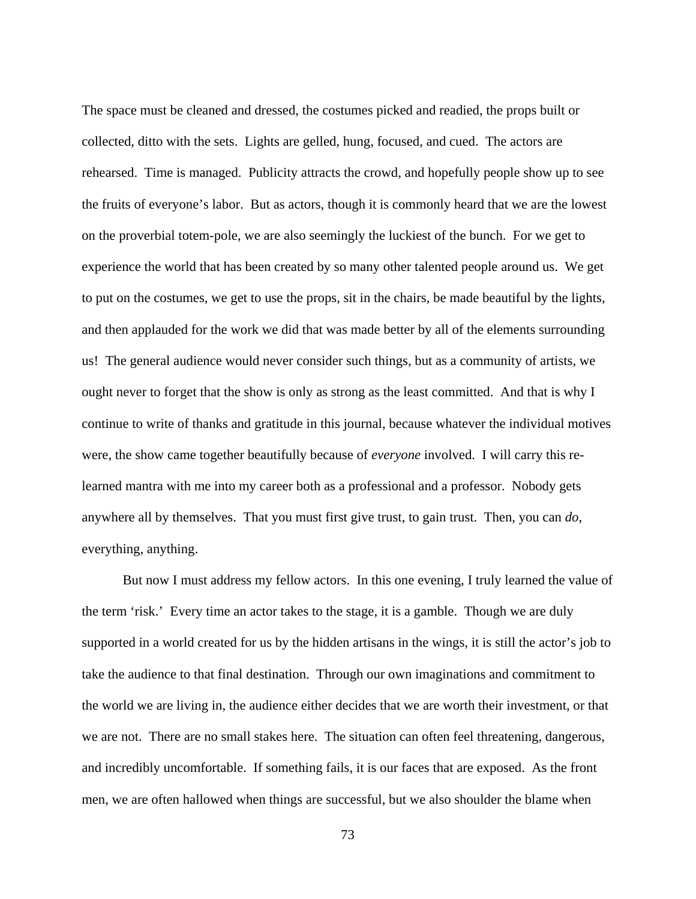The space must be cleaned and dressed, the costumes picked and readied, the props built or collected, ditto with the sets. Lights are gelled, hung, focused, and cued. The actors are rehearsed. Time is managed. Publicity attracts the crowd, and hopefully people show up to see the fruits of everyone's labor. But as actors, though it is commonly heard that we are the lowest on the proverbial totem-pole, we are also seemingly the luckiest of the bunch. For we get to experience the world that has been created by so many other talented people around us. We get to put on the costumes, we get to use the props, sit in the chairs, be made beautiful by the lights, and then applauded for the work we did that was made better by all of the elements surrounding us! The general audience would never consider such things, but as a community of artists, we ought never to forget that the show is only as strong as the least committed. And that is why I continue to write of thanks and gratitude in this journal, because whatever the individual motives were, the show came together beautifully because of *everyone* involved. I will carry this relearned mantra with me into my career both as a professional and a professor. Nobody gets anywhere all by themselves. That you must first give trust, to gain trust. Then, you can *do*, everything, anything.

 But now I must address my fellow actors. In this one evening, I truly learned the value of the term 'risk.' Every time an actor takes to the stage, it is a gamble. Though we are duly supported in a world created for us by the hidden artisans in the wings, it is still the actor's job to take the audience to that final destination. Through our own imaginations and commitment to the world we are living in, the audience either decides that we are worth their investment, or that we are not. There are no small stakes here. The situation can often feel threatening, dangerous, and incredibly uncomfortable. If something fails, it is our faces that are exposed. As the front men, we are often hallowed when things are successful, but we also shoulder the blame when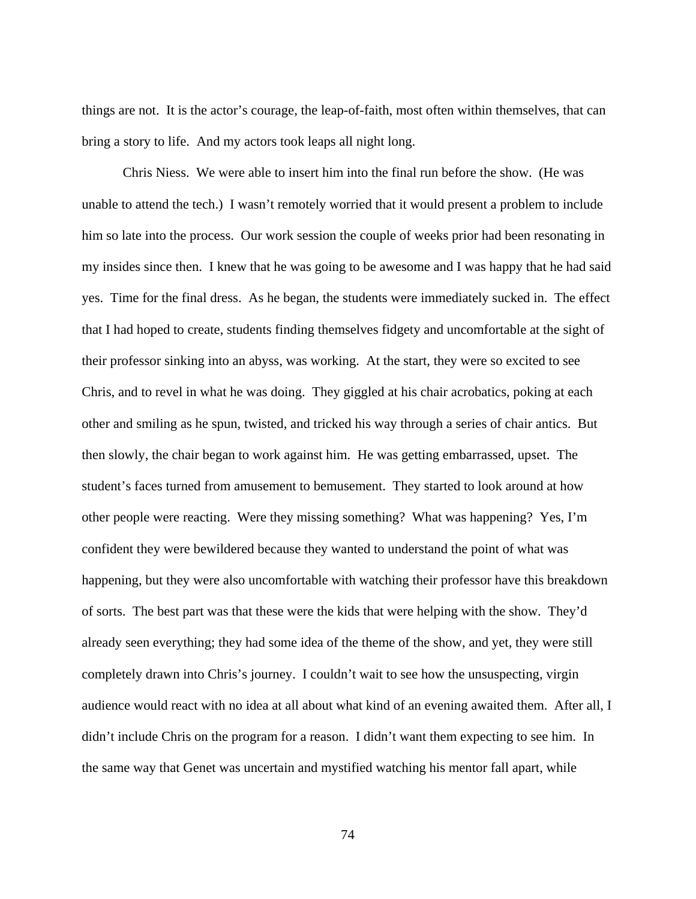things are not. It is the actor's courage, the leap-of-faith, most often within themselves, that can bring a story to life. And my actors took leaps all night long.

 Chris Niess. We were able to insert him into the final run before the show. (He was unable to attend the tech.) I wasn't remotely worried that it would present a problem to include him so late into the process. Our work session the couple of weeks prior had been resonating in my insides since then. I knew that he was going to be awesome and I was happy that he had said yes. Time for the final dress. As he began, the students were immediately sucked in. The effect that I had hoped to create, students finding themselves fidgety and uncomfortable at the sight of their professor sinking into an abyss, was working. At the start, they were so excited to see Chris, and to revel in what he was doing. They giggled at his chair acrobatics, poking at each other and smiling as he spun, twisted, and tricked his way through a series of chair antics. But then slowly, the chair began to work against him. He was getting embarrassed, upset. The student's faces turned from amusement to bemusement. They started to look around at how other people were reacting. Were they missing something? What was happening? Yes, I'm confident they were bewildered because they wanted to understand the point of what was happening, but they were also uncomfortable with watching their professor have this breakdown of sorts. The best part was that these were the kids that were helping with the show. They'd already seen everything; they had some idea of the theme of the show, and yet, they were still completely drawn into Chris's journey. I couldn't wait to see how the unsuspecting, virgin audience would react with no idea at all about what kind of an evening awaited them. After all, I didn't include Chris on the program for a reason. I didn't want them expecting to see him. In the same way that Genet was uncertain and mystified watching his mentor fall apart, while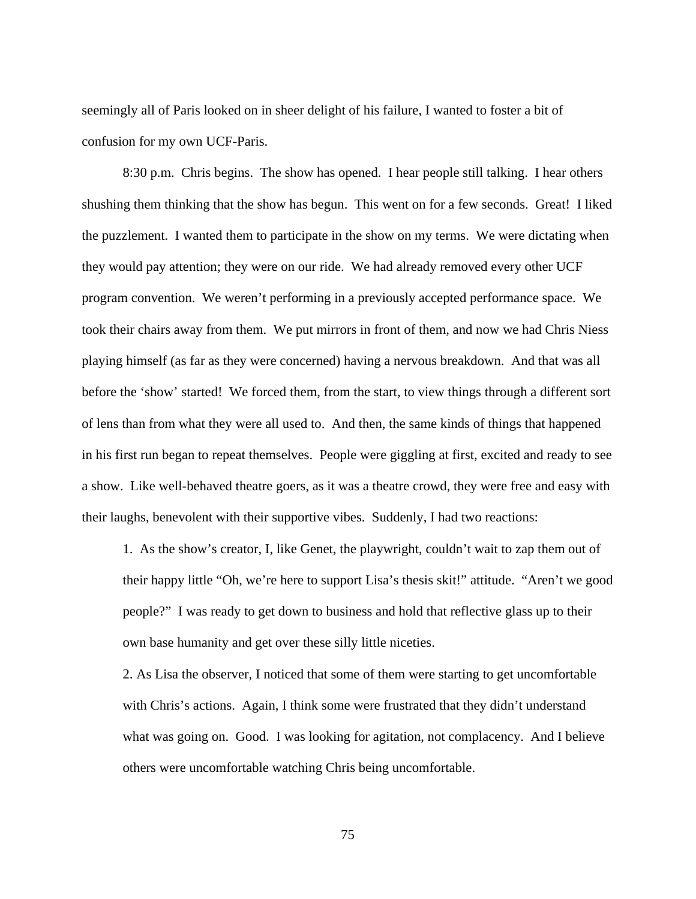seemingly all of Paris looked on in sheer delight of his failure, I wanted to foster a bit of confusion for my own UCF-Paris.

 8:30 p.m. Chris begins. The show has opened. I hear people still talking. I hear others shushing them thinking that the show has begun. This went on for a few seconds. Great! I liked the puzzlement. I wanted them to participate in the show on my terms. We were dictating when they would pay attention; they were on our ride. We had already removed every other UCF program convention. We weren't performing in a previously accepted performance space. We took their chairs away from them. We put mirrors in front of them, and now we had Chris Niess playing himself (as far as they were concerned) having a nervous breakdown. And that was all before the 'show' started! We forced them, from the start, to view things through a different sort of lens than from what they were all used to. And then, the same kinds of things that happened in his first run began to repeat themselves. People were giggling at first, excited and ready to see a show. Like well-behaved theatre goers, as it was a theatre crowd, they were free and easy with their laughs, benevolent with their supportive vibes. Suddenly, I had two reactions:

1. As the show's creator, I, like Genet, the playwright, couldn't wait to zap them out of their happy little "Oh, we're here to support Lisa's thesis skit!" attitude. "Aren't we good people?" I was ready to get down to business and hold that reflective glass up to their own base humanity and get over these silly little niceties.

2. As Lisa the observer, I noticed that some of them were starting to get uncomfortable with Chris's actions. Again, I think some were frustrated that they didn't understand what was going on. Good. I was looking for agitation, not complacency. And I believe others were uncomfortable watching Chris being uncomfortable.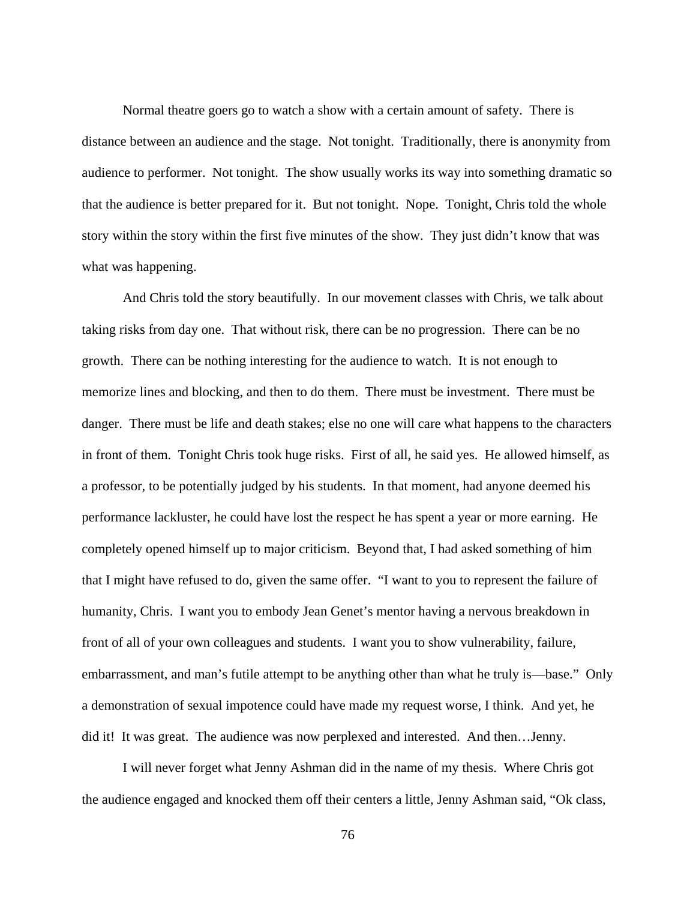Normal theatre goers go to watch a show with a certain amount of safety. There is distance between an audience and the stage. Not tonight. Traditionally, there is anonymity from audience to performer. Not tonight. The show usually works its way into something dramatic so that the audience is better prepared for it. But not tonight. Nope. Tonight, Chris told the whole story within the story within the first five minutes of the show. They just didn't know that was what was happening.

 And Chris told the story beautifully. In our movement classes with Chris, we talk about taking risks from day one. That without risk, there can be no progression. There can be no growth. There can be nothing interesting for the audience to watch. It is not enough to memorize lines and blocking, and then to do them. There must be investment. There must be danger. There must be life and death stakes; else no one will care what happens to the characters in front of them. Tonight Chris took huge risks. First of all, he said yes. He allowed himself, as a professor, to be potentially judged by his students. In that moment, had anyone deemed his performance lackluster, he could have lost the respect he has spent a year or more earning. He completely opened himself up to major criticism. Beyond that, I had asked something of him that I might have refused to do, given the same offer. "I want to you to represent the failure of humanity, Chris. I want you to embody Jean Genet's mentor having a nervous breakdown in front of all of your own colleagues and students. I want you to show vulnerability, failure, embarrassment, and man's futile attempt to be anything other than what he truly is—base." Only a demonstration of sexual impotence could have made my request worse, I think. And yet, he did it! It was great. The audience was now perplexed and interested. And then…Jenny.

 I will never forget what Jenny Ashman did in the name of my thesis. Where Chris got the audience engaged and knocked them off their centers a little, Jenny Ashman said, "Ok class,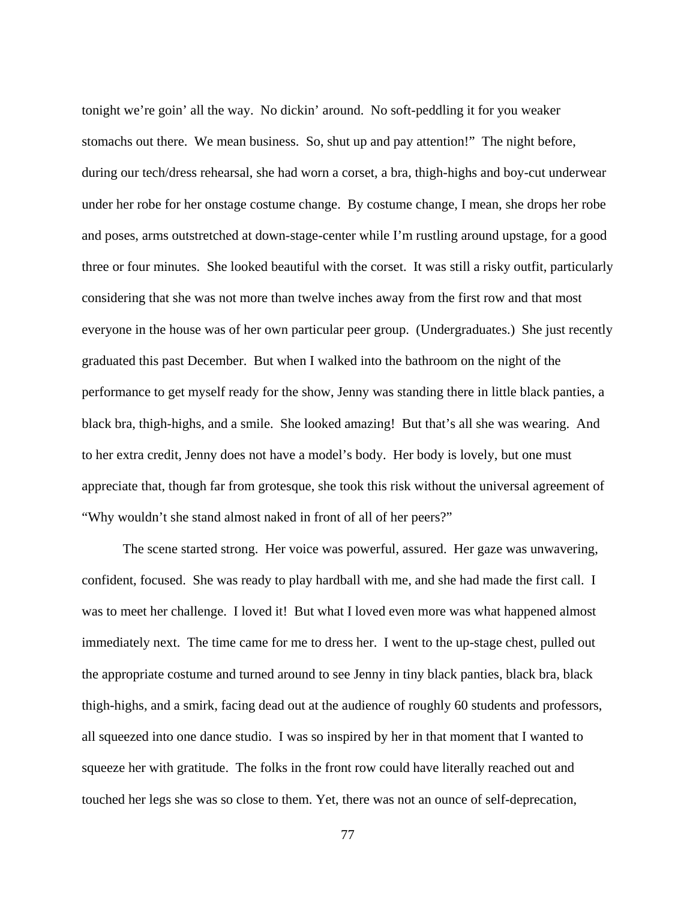tonight we're goin' all the way. No dickin' around. No soft-peddling it for you weaker stomachs out there. We mean business. So, shut up and pay attention!" The night before, during our tech/dress rehearsal, she had worn a corset, a bra, thigh-highs and boy-cut underwear under her robe for her onstage costume change. By costume change, I mean, she drops her robe and poses, arms outstretched at down-stage-center while I'm rustling around upstage, for a good three or four minutes. She looked beautiful with the corset. It was still a risky outfit, particularly considering that she was not more than twelve inches away from the first row and that most everyone in the house was of her own particular peer group. (Undergraduates.) She just recently graduated this past December. But when I walked into the bathroom on the night of the performance to get myself ready for the show, Jenny was standing there in little black panties, a black bra, thigh-highs, and a smile. She looked amazing! But that's all she was wearing. And to her extra credit, Jenny does not have a model's body. Her body is lovely, but one must appreciate that, though far from grotesque, she took this risk without the universal agreement of "Why wouldn't she stand almost naked in front of all of her peers?"

 The scene started strong. Her voice was powerful, assured. Her gaze was unwavering, confident, focused. She was ready to play hardball with me, and she had made the first call. I was to meet her challenge. I loved it! But what I loved even more was what happened almost immediately next. The time came for me to dress her. I went to the up-stage chest, pulled out the appropriate costume and turned around to see Jenny in tiny black panties, black bra, black thigh-highs, and a smirk, facing dead out at the audience of roughly 60 students and professors, all squeezed into one dance studio. I was so inspired by her in that moment that I wanted to squeeze her with gratitude. The folks in the front row could have literally reached out and touched her legs she was so close to them. Yet, there was not an ounce of self-deprecation,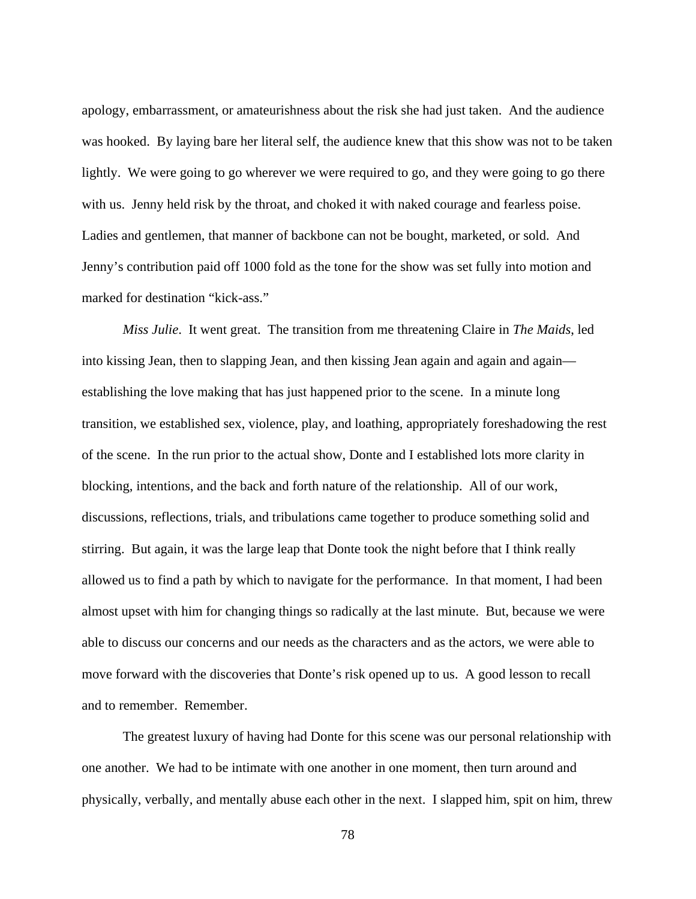apology, embarrassment, or amateurishness about the risk she had just taken. And the audience was hooked. By laying bare her literal self, the audience knew that this show was not to be taken lightly. We were going to go wherever we were required to go, and they were going to go there with us. Jenny held risk by the throat, and choked it with naked courage and fearless poise. Ladies and gentlemen, that manner of backbone can not be bought, marketed, or sold. And Jenny's contribution paid off 1000 fold as the tone for the show was set fully into motion and marked for destination "kick-ass."

 *Miss Julie*. It went great. The transition from me threatening Claire in *The Maids*, led into kissing Jean, then to slapping Jean, and then kissing Jean again and again and again establishing the love making that has just happened prior to the scene. In a minute long transition, we established sex, violence, play, and loathing, appropriately foreshadowing the rest of the scene. In the run prior to the actual show, Donte and I established lots more clarity in blocking, intentions, and the back and forth nature of the relationship. All of our work, discussions, reflections, trials, and tribulations came together to produce something solid and stirring. But again, it was the large leap that Donte took the night before that I think really allowed us to find a path by which to navigate for the performance. In that moment, I had been almost upset with him for changing things so radically at the last minute. But, because we were able to discuss our concerns and our needs as the characters and as the actors, we were able to move forward with the discoveries that Donte's risk opened up to us. A good lesson to recall and to remember. Remember.

 The greatest luxury of having had Donte for this scene was our personal relationship with one another. We had to be intimate with one another in one moment, then turn around and physically, verbally, and mentally abuse each other in the next. I slapped him, spit on him, threw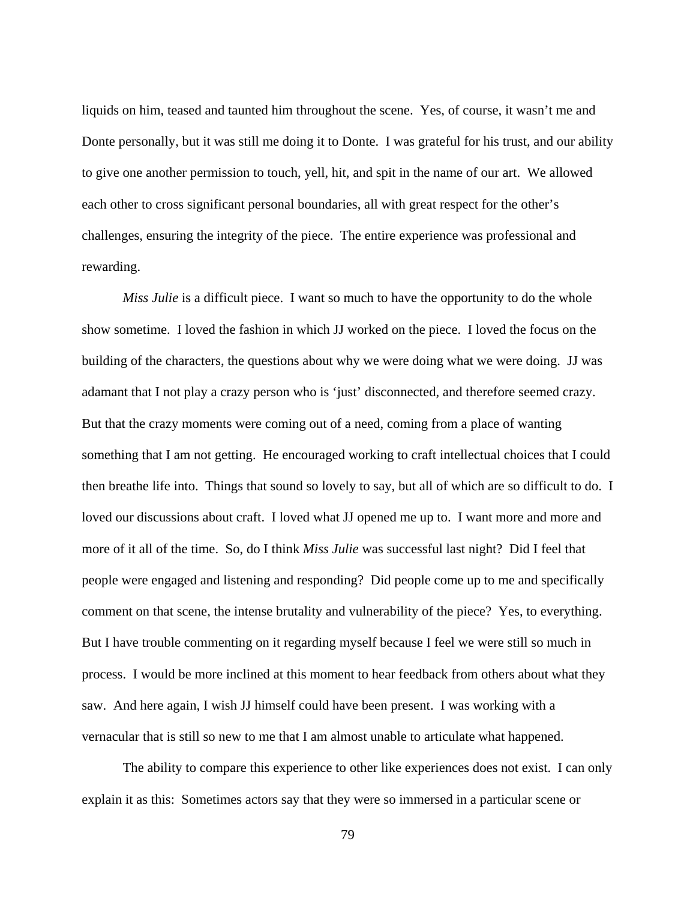liquids on him, teased and taunted him throughout the scene. Yes, of course, it wasn't me and Donte personally, but it was still me doing it to Donte. I was grateful for his trust, and our ability to give one another permission to touch, yell, hit, and spit in the name of our art. We allowed each other to cross significant personal boundaries, all with great respect for the other's challenges, ensuring the integrity of the piece. The entire experience was professional and rewarding.

*Miss Julie* is a difficult piece. I want so much to have the opportunity to do the whole show sometime. I loved the fashion in which JJ worked on the piece. I loved the focus on the building of the characters, the questions about why we were doing what we were doing. JJ was adamant that I not play a crazy person who is 'just' disconnected, and therefore seemed crazy. But that the crazy moments were coming out of a need, coming from a place of wanting something that I am not getting. He encouraged working to craft intellectual choices that I could then breathe life into. Things that sound so lovely to say, but all of which are so difficult to do. I loved our discussions about craft. I loved what JJ opened me up to. I want more and more and more of it all of the time. So, do I think *Miss Julie* was successful last night? Did I feel that people were engaged and listening and responding? Did people come up to me and specifically comment on that scene, the intense brutality and vulnerability of the piece? Yes, to everything. But I have trouble commenting on it regarding myself because I feel we were still so much in process. I would be more inclined at this moment to hear feedback from others about what they saw. And here again, I wish JJ himself could have been present. I was working with a vernacular that is still so new to me that I am almost unable to articulate what happened.

 The ability to compare this experience to other like experiences does not exist. I can only explain it as this: Sometimes actors say that they were so immersed in a particular scene or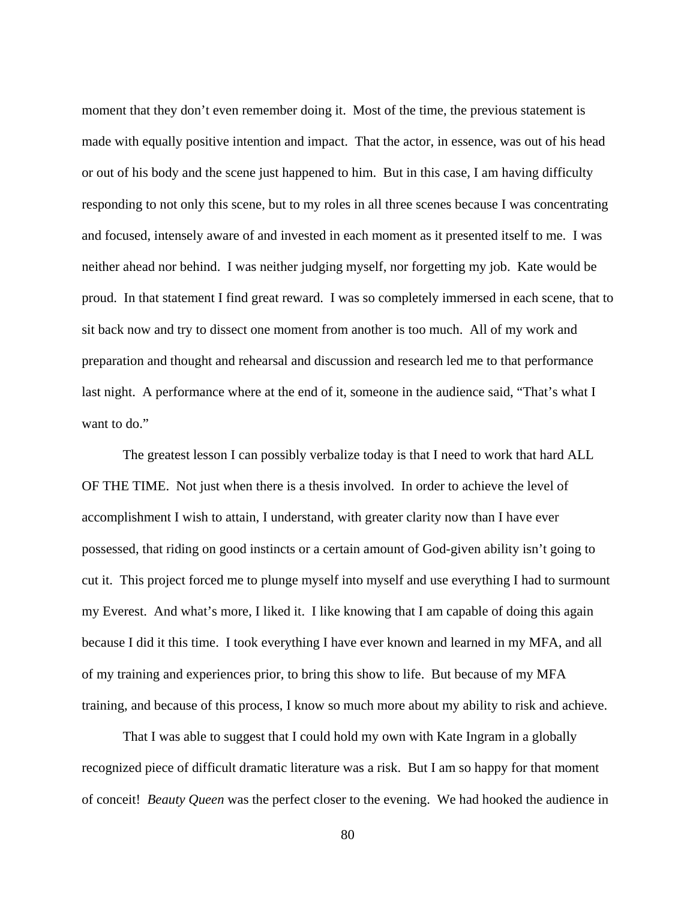moment that they don't even remember doing it. Most of the time, the previous statement is made with equally positive intention and impact. That the actor, in essence, was out of his head or out of his body and the scene just happened to him. But in this case, I am having difficulty responding to not only this scene, but to my roles in all three scenes because I was concentrating and focused, intensely aware of and invested in each moment as it presented itself to me. I was neither ahead nor behind. I was neither judging myself, nor forgetting my job. Kate would be proud. In that statement I find great reward. I was so completely immersed in each scene, that to sit back now and try to dissect one moment from another is too much. All of my work and preparation and thought and rehearsal and discussion and research led me to that performance last night. A performance where at the end of it, someone in the audience said, "That's what I want to do."

 The greatest lesson I can possibly verbalize today is that I need to work that hard ALL OF THE TIME. Not just when there is a thesis involved. In order to achieve the level of accomplishment I wish to attain, I understand, with greater clarity now than I have ever possessed, that riding on good instincts or a certain amount of God-given ability isn't going to cut it. This project forced me to plunge myself into myself and use everything I had to surmount my Everest. And what's more, I liked it. I like knowing that I am capable of doing this again because I did it this time. I took everything I have ever known and learned in my MFA, and all of my training and experiences prior, to bring this show to life. But because of my MFA training, and because of this process, I know so much more about my ability to risk and achieve.

 That I was able to suggest that I could hold my own with Kate Ingram in a globally recognized piece of difficult dramatic literature was a risk. But I am so happy for that moment of conceit! *Beauty Queen* was the perfect closer to the evening. We had hooked the audience in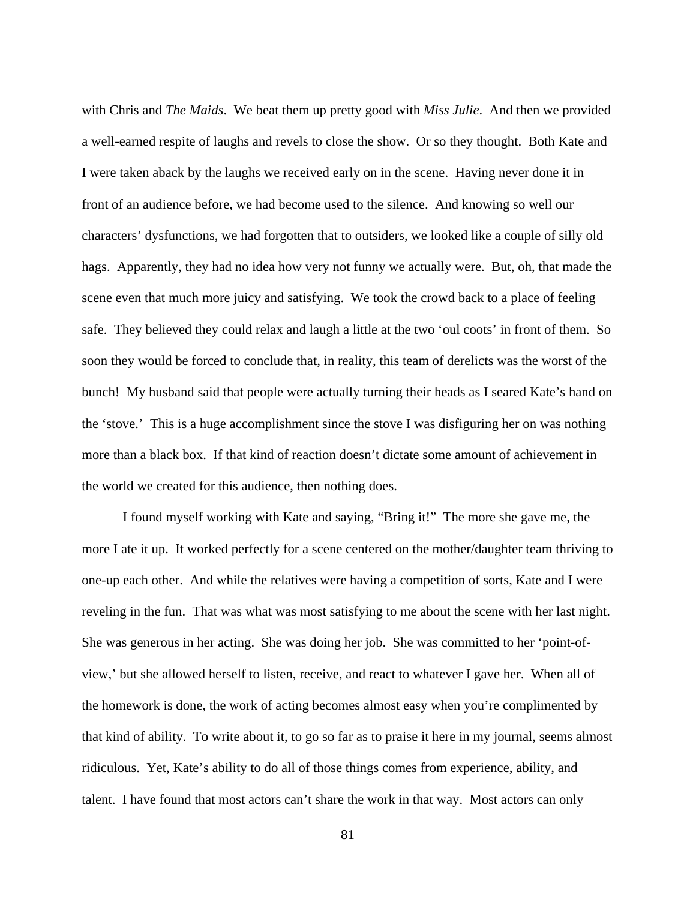with Chris and *The Maids*. We beat them up pretty good with *Miss Julie*. And then we provided a well-earned respite of laughs and revels to close the show. Or so they thought. Both Kate and I were taken aback by the laughs we received early on in the scene. Having never done it in front of an audience before, we had become used to the silence. And knowing so well our characters' dysfunctions, we had forgotten that to outsiders, we looked like a couple of silly old hags. Apparently, they had no idea how very not funny we actually were. But, oh, that made the scene even that much more juicy and satisfying. We took the crowd back to a place of feeling safe. They believed they could relax and laugh a little at the two 'oul coots' in front of them. So soon they would be forced to conclude that, in reality, this team of derelicts was the worst of the bunch! My husband said that people were actually turning their heads as I seared Kate's hand on the 'stove.' This is a huge accomplishment since the stove I was disfiguring her on was nothing more than a black box. If that kind of reaction doesn't dictate some amount of achievement in the world we created for this audience, then nothing does.

 I found myself working with Kate and saying, "Bring it!" The more she gave me, the more I ate it up. It worked perfectly for a scene centered on the mother/daughter team thriving to one-up each other. And while the relatives were having a competition of sorts, Kate and I were reveling in the fun. That was what was most satisfying to me about the scene with her last night. She was generous in her acting. She was doing her job. She was committed to her 'point-ofview,' but she allowed herself to listen, receive, and react to whatever I gave her. When all of the homework is done, the work of acting becomes almost easy when you're complimented by that kind of ability. To write about it, to go so far as to praise it here in my journal, seems almost ridiculous. Yet, Kate's ability to do all of those things comes from experience, ability, and talent. I have found that most actors can't share the work in that way. Most actors can only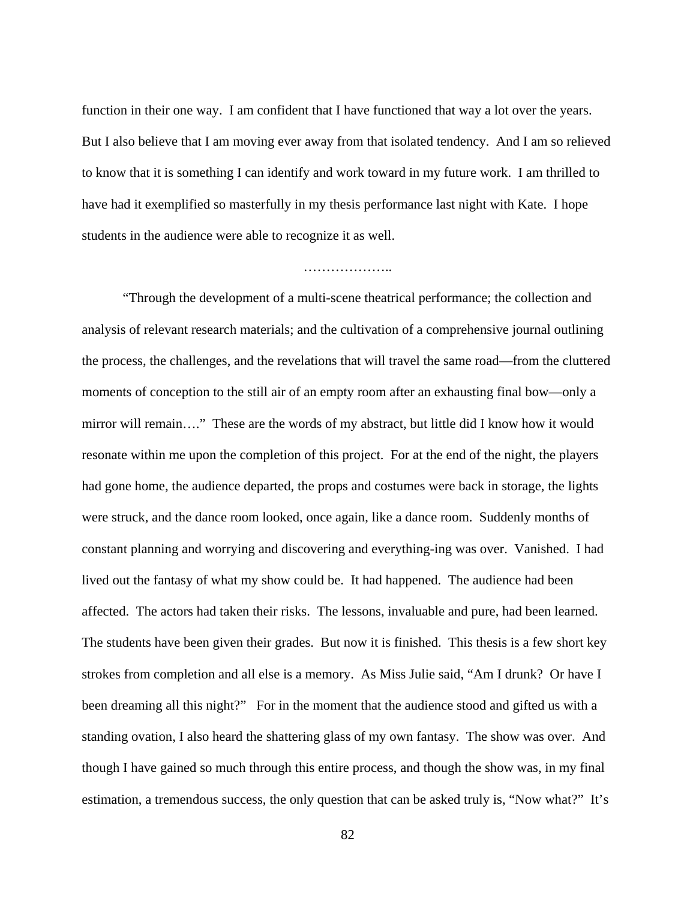function in their one way. I am confident that I have functioned that way a lot over the years. But I also believe that I am moving ever away from that isolated tendency. And I am so relieved to know that it is something I can identify and work toward in my future work. I am thrilled to have had it exemplified so masterfully in my thesis performance last night with Kate. I hope students in the audience were able to recognize it as well.

#### ……………………

 "Through the development of a multi-scene theatrical performance; the collection and analysis of relevant research materials; and the cultivation of a comprehensive journal outlining the process, the challenges, and the revelations that will travel the same road—from the cluttered moments of conception to the still air of an empty room after an exhausting final bow—only a mirror will remain…." These are the words of my abstract, but little did I know how it would resonate within me upon the completion of this project. For at the end of the night, the players had gone home, the audience departed, the props and costumes were back in storage, the lights were struck, and the dance room looked, once again, like a dance room. Suddenly months of constant planning and worrying and discovering and everything-ing was over. Vanished. I had lived out the fantasy of what my show could be. It had happened. The audience had been affected. The actors had taken their risks. The lessons, invaluable and pure, had been learned. The students have been given their grades. But now it is finished. This thesis is a few short key strokes from completion and all else is a memory. As Miss Julie said, "Am I drunk? Or have I been dreaming all this night?" For in the moment that the audience stood and gifted us with a standing ovation, I also heard the shattering glass of my own fantasy. The show was over. And though I have gained so much through this entire process, and though the show was, in my final estimation, a tremendous success, the only question that can be asked truly is, "Now what?" It's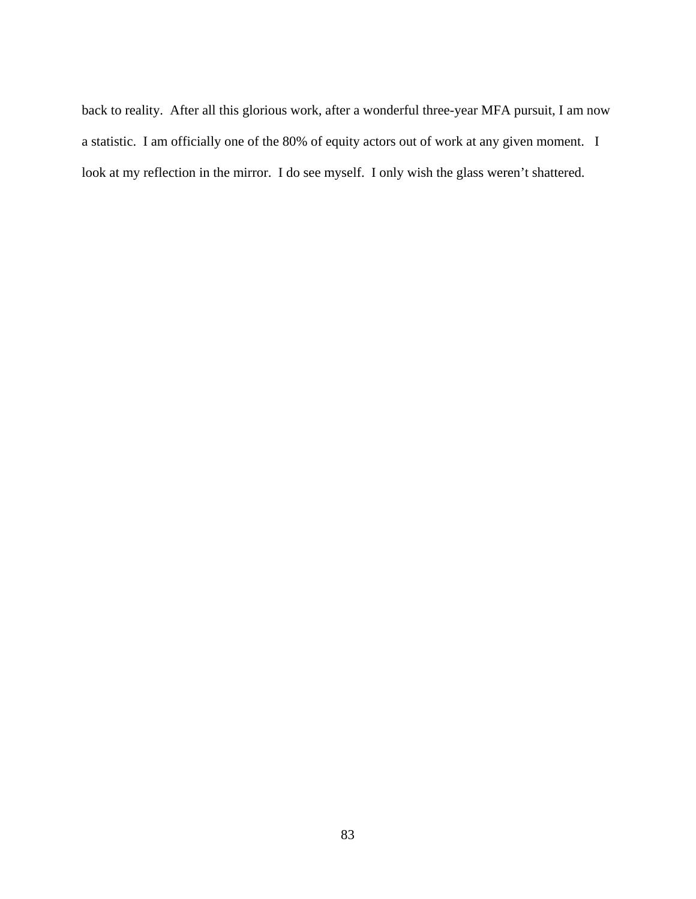back to reality. After all this glorious work, after a wonderful three-year MFA pursuit, I am now a statistic. I am officially one of the 80% of equity actors out of work at any given moment. I look at my reflection in the mirror. I do see myself. I only wish the glass weren't shattered.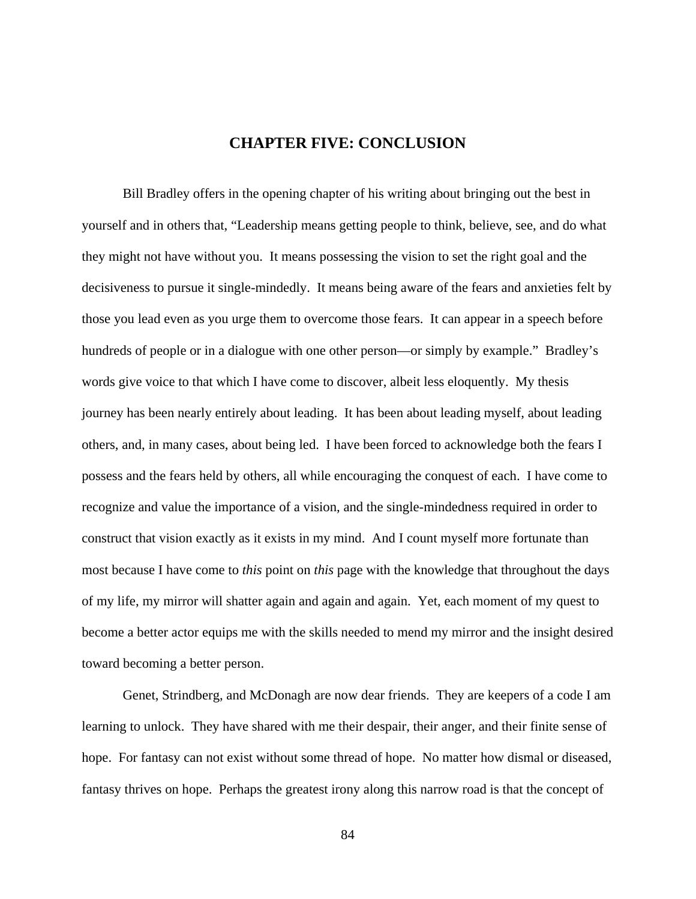# **CHAPTER FIVE: CONCLUSION**

Bill Bradley offers in the opening chapter of his writing about bringing out the best in yourself and in others that, "Leadership means getting people to think, believe, see, and do what they might not have without you. It means possessing the vision to set the right goal and the decisiveness to pursue it single-mindedly. It means being aware of the fears and anxieties felt by those you lead even as you urge them to overcome those fears. It can appear in a speech before hundreds of people or in a dialogue with one other person—or simply by example." Bradley's words give voice to that which I have come to discover, albeit less eloquently. My thesis journey has been nearly entirely about leading. It has been about leading myself, about leading others, and, in many cases, about being led. I have been forced to acknowledge both the fears I possess and the fears held by others, all while encouraging the conquest of each. I have come to recognize and value the importance of a vision, and the single-mindedness required in order to construct that vision exactly as it exists in my mind. And I count myself more fortunate than most because I have come to *this* point on *this* page with the knowledge that throughout the days of my life, my mirror will shatter again and again and again. Yet, each moment of my quest to become a better actor equips me with the skills needed to mend my mirror and the insight desired toward becoming a better person.

Genet, Strindberg, and McDonagh are now dear friends. They are keepers of a code I am learning to unlock. They have shared with me their despair, their anger, and their finite sense of hope. For fantasy can not exist without some thread of hope. No matter how dismal or diseased, fantasy thrives on hope. Perhaps the greatest irony along this narrow road is that the concept of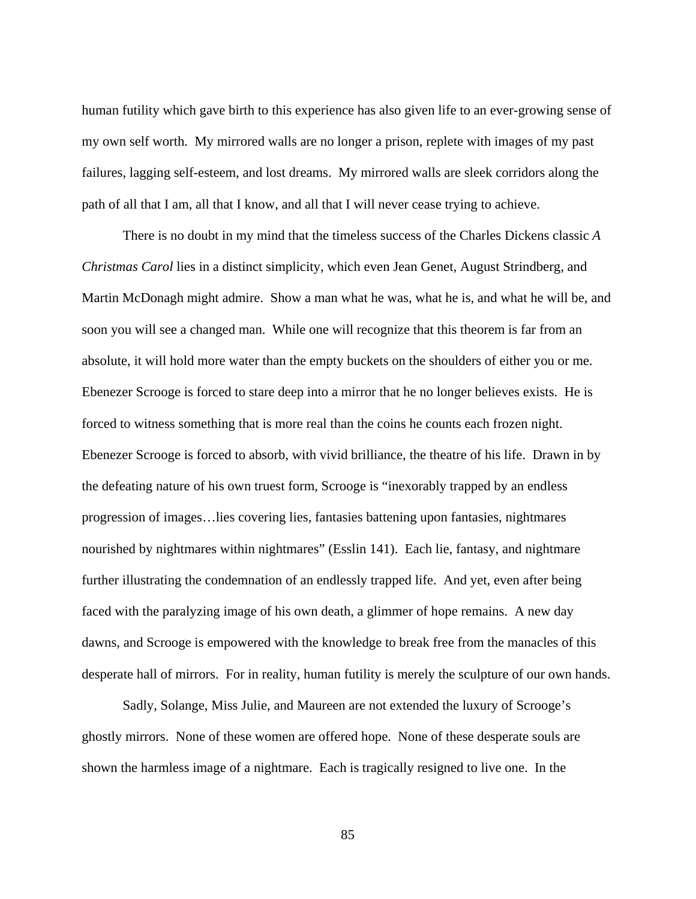human futility which gave birth to this experience has also given life to an ever-growing sense of my own self worth. My mirrored walls are no longer a prison, replete with images of my past failures, lagging self-esteem, and lost dreams. My mirrored walls are sleek corridors along the path of all that I am, all that I know, and all that I will never cease trying to achieve.

There is no doubt in my mind that the timeless success of the Charles Dickens classic *A Christmas Carol* lies in a distinct simplicity, which even Jean Genet, August Strindberg, and Martin McDonagh might admire. Show a man what he was, what he is, and what he will be, and soon you will see a changed man. While one will recognize that this theorem is far from an absolute, it will hold more water than the empty buckets on the shoulders of either you or me. Ebenezer Scrooge is forced to stare deep into a mirror that he no longer believes exists. He is forced to witness something that is more real than the coins he counts each frozen night. Ebenezer Scrooge is forced to absorb, with vivid brilliance, the theatre of his life. Drawn in by the defeating nature of his own truest form, Scrooge is "inexorably trapped by an endless progression of images…lies covering lies, fantasies battening upon fantasies, nightmares nourished by nightmares within nightmares" (Esslin 141). Each lie, fantasy, and nightmare further illustrating the condemnation of an endlessly trapped life. And yet, even after being faced with the paralyzing image of his own death, a glimmer of hope remains. A new day dawns, and Scrooge is empowered with the knowledge to break free from the manacles of this desperate hall of mirrors. For in reality, human futility is merely the sculpture of our own hands.

Sadly, Solange, Miss Julie, and Maureen are not extended the luxury of Scrooge's ghostly mirrors. None of these women are offered hope. None of these desperate souls are shown the harmless image of a nightmare. Each is tragically resigned to live one. In the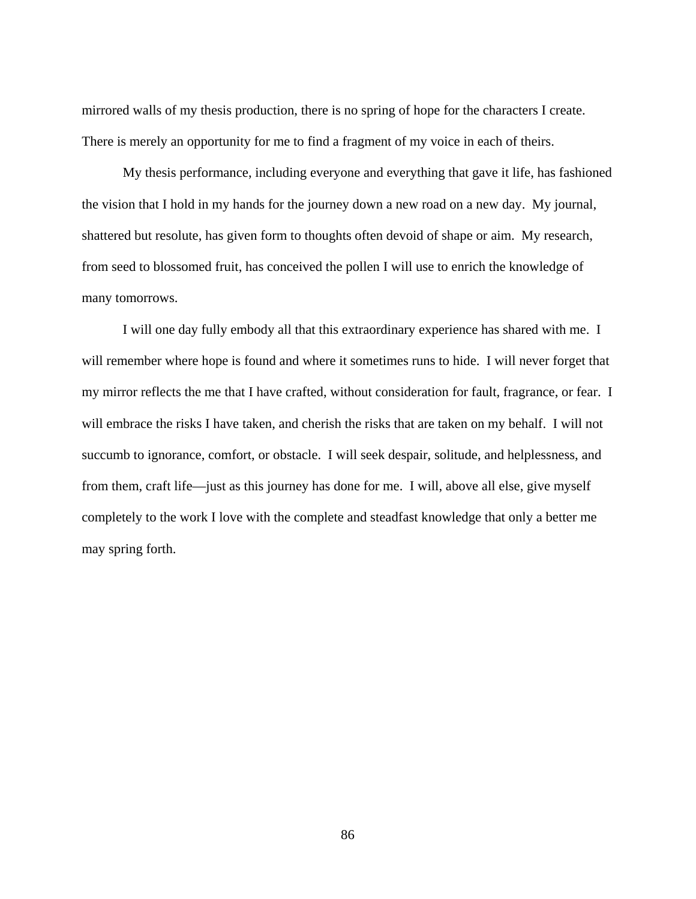mirrored walls of my thesis production, there is no spring of hope for the characters I create. There is merely an opportunity for me to find a fragment of my voice in each of theirs.

My thesis performance, including everyone and everything that gave it life, has fashioned the vision that I hold in my hands for the journey down a new road on a new day. My journal, shattered but resolute, has given form to thoughts often devoid of shape or aim. My research, from seed to blossomed fruit, has conceived the pollen I will use to enrich the knowledge of many tomorrows.

I will one day fully embody all that this extraordinary experience has shared with me. I will remember where hope is found and where it sometimes runs to hide. I will never forget that my mirror reflects the me that I have crafted, without consideration for fault, fragrance, or fear. I will embrace the risks I have taken, and cherish the risks that are taken on my behalf. I will not succumb to ignorance, comfort, or obstacle. I will seek despair, solitude, and helplessness, and from them, craft life—just as this journey has done for me. I will, above all else, give myself completely to the work I love with the complete and steadfast knowledge that only a better me may spring forth.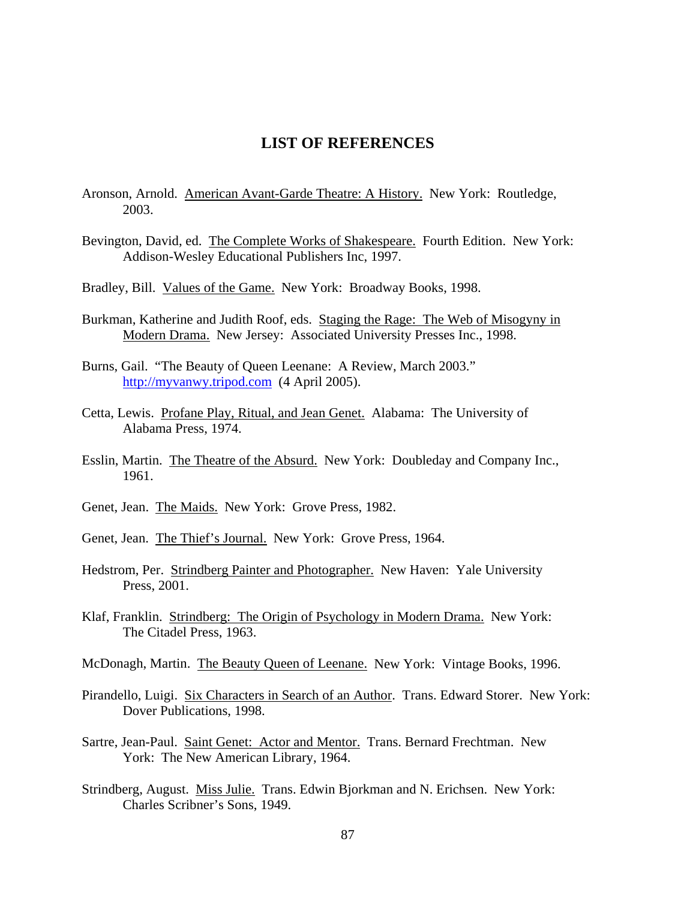# **LIST OF REFERENCES**

- Aronson, Arnold. American Avant-Garde Theatre: A History. New York: Routledge, 2003.
- Bevington, David, ed. The Complete Works of Shakespeare. Fourth Edition. New York: Addison-Wesley Educational Publishers Inc, 1997.
- Bradley, Bill. Values of the Game. New York: Broadway Books, 1998.
- Burkman, Katherine and Judith Roof, eds. Staging the Rage: The Web of Misogyny in Modern Drama. New Jersey: Associated University Presses Inc., 1998.
- Burns, Gail. "The Beauty of Queen Leenane: A Review, March 2003." [http://myvanwy.tripod.com](http://myvanwy.tripod.com/) (4 April 2005).
- Cetta, Lewis. Profane Play, Ritual, and Jean Genet. Alabama: The University of Alabama Press, 1974.
- Esslin, Martin. The Theatre of the Absurd. New York: Doubleday and Company Inc., 1961.
- Genet, Jean. The Maids. New York: Grove Press, 1982.
- Genet, Jean. The Thief's Journal. New York: Grove Press, 1964.
- Hedstrom, Per. Strindberg Painter and Photographer. New Haven: Yale University Press, 2001.
- Klaf, Franklin. Strindberg: The Origin of Psychology in Modern Drama. New York: The Citadel Press, 1963.
- McDonagh, Martin. The Beauty Queen of Leenane. New York: Vintage Books, 1996.
- Pirandello, Luigi. Six Characters in Search of an Author. Trans. Edward Storer. New York: Dover Publications, 1998.
- Sartre, Jean-Paul. Saint Genet: Actor and Mentor. Trans. Bernard Frechtman. New York: The New American Library, 1964.
- Strindberg, August. Miss Julie. Trans. Edwin Bjorkman and N. Erichsen. New York: Charles Scribner's Sons, 1949.